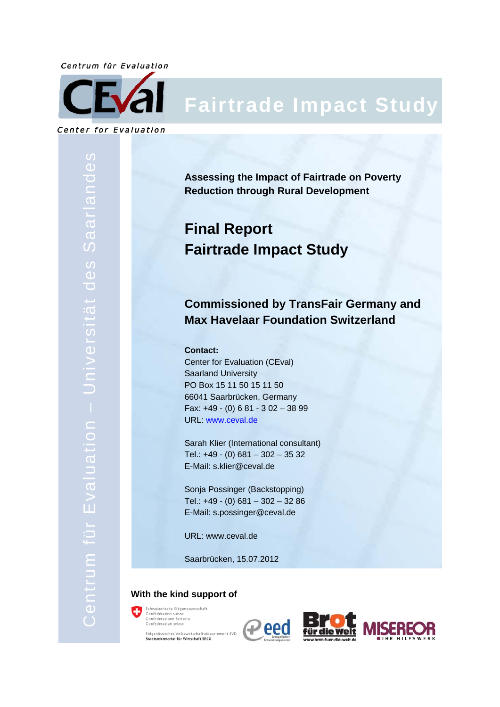Centrum für Evaluation



# **Fairtrade Impact Study**

Center for Evaluation

**Assessing the Impact of Fairtrade on Poverty Reduction through Rural Development**

# **Final Report Fairtrade Impact Study**

# **Max Havelaar Foundation Switzerland**

#### **Contact:**

Commissione In Impact of Faintrade on Poverty<br>
Reduction through Rural Development<br>
Final Report<br>
Final Report<br>
Final Report<br>
Commissioned by TransFair Germany and<br>
Max Havelaar Foundation Switzerland<br>
Contact:<br>
Center f Center for Evaluation (CEval) Saarland University PO Box 15 11 50 15 11 50 66041 Saarbrücken, Germany Fax: +49 - (0) 6 81 - 3 02 – 38 99 URL: www.ceval.de

Sarah Klier (International consultant) Tel.: +49 - (0) 681 – 302 – 35 32 E-Mail: s.klier@ceval.de

Sonja Possinger (Backstopping) Tel.: +49 - (0) 681 – 302 – 32 86 E-Mail: s.possinger@ceval.de

URL: www.ceval.de

Saarbrücken, 15.07.2012

# **With the kind support of**

Schweizerische Eidgenossenschaft<br>Confédération suisse<br>Confederazione Svizzera<br>Confederaziun svizra

Eidgenössisches Volkswirtschaftsdepartement EVD<br>Staatssekretariat für Wirtschaft SECO



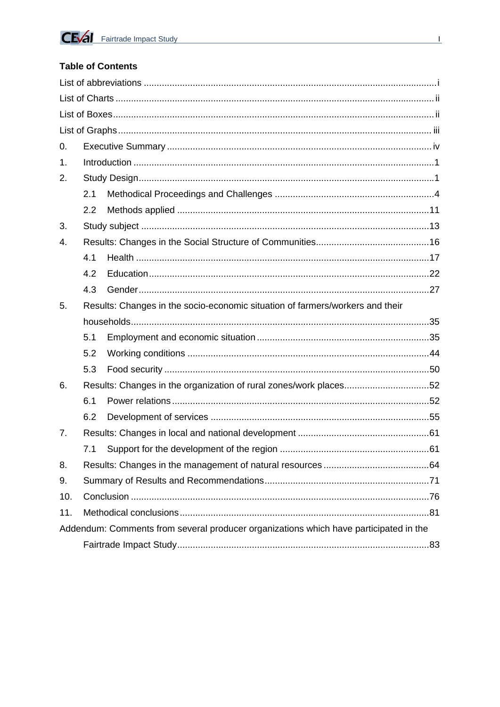# **Table of Contents**

| 0.            |     |                                                                                       |  |
|---------------|-----|---------------------------------------------------------------------------------------|--|
| $\mathbf 1$ . |     |                                                                                       |  |
| 2.            |     |                                                                                       |  |
|               | 2.1 |                                                                                       |  |
|               | 2.2 |                                                                                       |  |
| 3.            |     |                                                                                       |  |
| 4.            |     |                                                                                       |  |
|               | 4.1 |                                                                                       |  |
|               | 4.2 |                                                                                       |  |
|               | 4.3 |                                                                                       |  |
| 5.            |     | Results: Changes in the socio-economic situation of farmers/workers and their         |  |
|               |     |                                                                                       |  |
|               |     |                                                                                       |  |
|               | 5.1 |                                                                                       |  |
|               | 5.2 |                                                                                       |  |
|               | 5.3 |                                                                                       |  |
| 6.            |     | Results: Changes in the organization of rural zones/work places52                     |  |
|               | 6.1 |                                                                                       |  |
|               | 6.2 |                                                                                       |  |
| 7.            |     |                                                                                       |  |
|               | 7.1 |                                                                                       |  |
| 8.            |     |                                                                                       |  |
| 9.            |     |                                                                                       |  |
| 10.           |     |                                                                                       |  |
| 11.           |     |                                                                                       |  |
|               |     | Addendum: Comments from several producer organizations which have participated in the |  |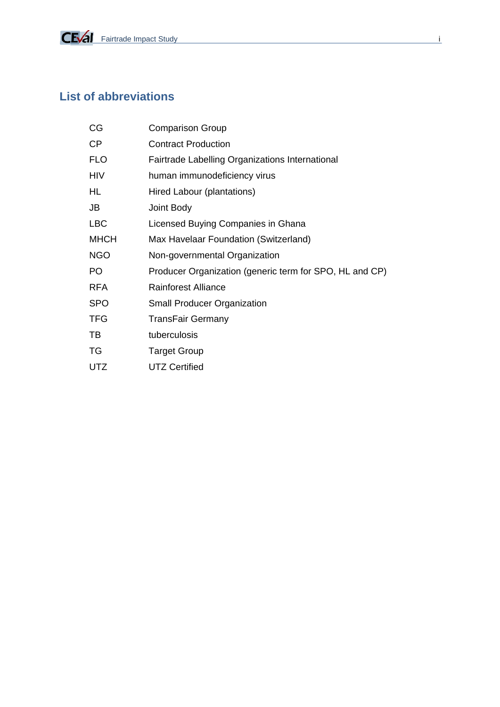CEVal Fairtrade Impact Study in the study of the state of the state of the state of the state of the state of the state of the state of the state of the state of the state of the state of the state of the state of the stat

# **List of abbreviations**

| CG          | <b>Comparison Group</b>                                 |
|-------------|---------------------------------------------------------|
| CP          | <b>Contract Production</b>                              |
| <b>FLO</b>  | Fairtrade Labelling Organizations International         |
| <b>HIV</b>  | human immunodeficiency virus                            |
| HL          | Hired Labour (plantations)                              |
| JB          | Joint Body                                              |
| LBC         | Licensed Buying Companies in Ghana                      |
| <b>MHCH</b> | Max Havelaar Foundation (Switzerland)                   |
| <b>NGO</b>  | Non-governmental Organization                           |
| PO          | Producer Organization (generic term for SPO, HL and CP) |
| <b>RFA</b>  | <b>Rainforest Alliance</b>                              |
| <b>SPO</b>  | <b>Small Producer Organization</b>                      |
| <b>TFG</b>  | <b>TransFair Germany</b>                                |
| TВ          | tuberculosis                                            |
| TG          | <b>Target Group</b>                                     |
| UTZ         | <b>UTZ Certified</b>                                    |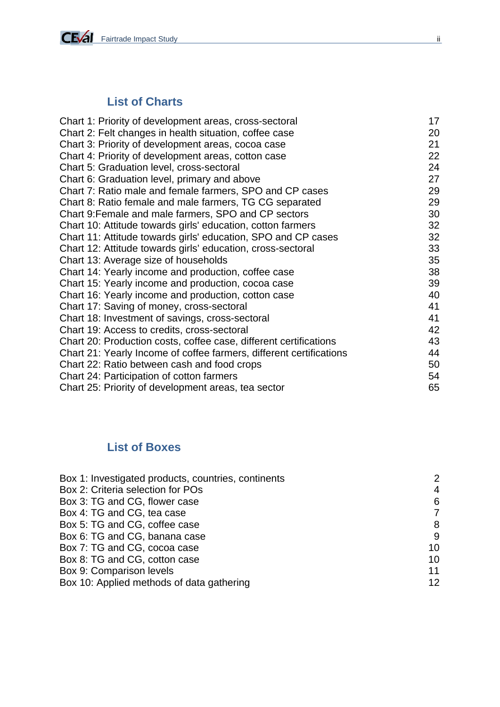

# **List of Charts**

| Chart 1: Priority of development areas, cross-sectoral              | 17 |
|---------------------------------------------------------------------|----|
| Chart 2: Felt changes in health situation, coffee case              | 20 |
| Chart 3: Priority of development areas, cocoa case                  | 21 |
| Chart 4: Priority of development areas, cotton case                 | 22 |
| Chart 5: Graduation level, cross-sectoral                           | 24 |
| Chart 6: Graduation level, primary and above                        | 27 |
| Chart 7: Ratio male and female farmers, SPO and CP cases            | 29 |
| Chart 8: Ratio female and male farmers, TG CG separated             | 29 |
| Chart 9: Female and male farmers, SPO and CP sectors                | 30 |
| Chart 10: Attitude towards girls' education, cotton farmers         | 32 |
| Chart 11: Attitude towards girls' education, SPO and CP cases       | 32 |
| Chart 12: Attitude towards girls' education, cross-sectoral         | 33 |
| Chart 13: Average size of households                                | 35 |
| Chart 14: Yearly income and production, coffee case                 | 38 |
| Chart 15: Yearly income and production, cocoa case                  | 39 |
| Chart 16: Yearly income and production, cotton case                 | 40 |
| Chart 17: Saving of money, cross-sectoral                           | 41 |
| Chart 18: Investment of savings, cross-sectoral                     | 41 |
| Chart 19: Access to credits, cross-sectoral                         | 42 |
| Chart 20: Production costs, coffee case, different certifications   | 43 |
| Chart 21: Yearly Income of coffee farmers, different certifications | 44 |
| Chart 22: Ratio between cash and food crops                         | 50 |
| Chart 24: Participation of cotton farmers                           | 54 |
| Chart 25: Priority of development areas, tea sector                 | 65 |

# **List of Boxes**

| Box 1: Investigated products, countries, continents | 2  |
|-----------------------------------------------------|----|
| Box 2: Criteria selection for POs                   | 4  |
| Box 3: TG and CG, flower case                       | 6  |
| Box 4: TG and CG, tea case                          |    |
| Box 5: TG and CG, coffee case                       | 8  |
| Box 6: TG and CG, banana case                       | 9  |
| Box 7: TG and CG, cocoa case                        | 10 |
| Box 8: TG and CG, cotton case                       | 10 |
| Box 9: Comparison levels                            | 11 |
| Box 10: Applied methods of data gathering           | 12 |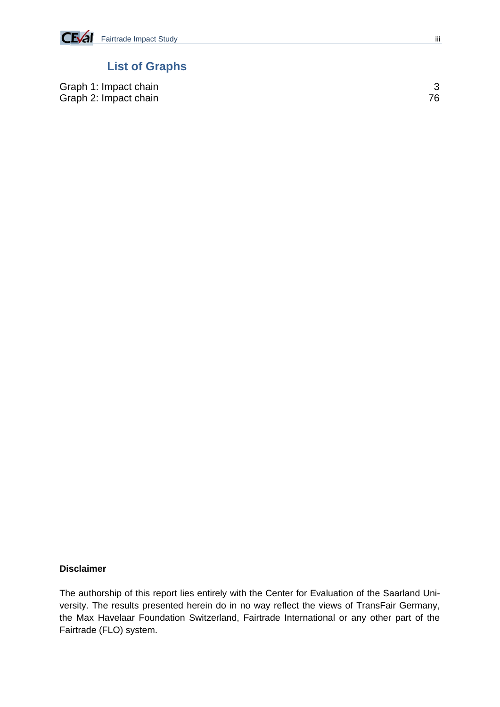

# **List of Graphs**

Graph 1: Impact chain 3 Graph 2: Impact chain 76

#### **Disclaimer**

The authorship of this report lies entirely with the Center for Evaluation of the Saarland University. The results presented herein do in no way reflect the views of TransFair Germany, the Max Havelaar Foundation Switzerland, Fairtrade International or any other part of the Fairtrade (FLO) system.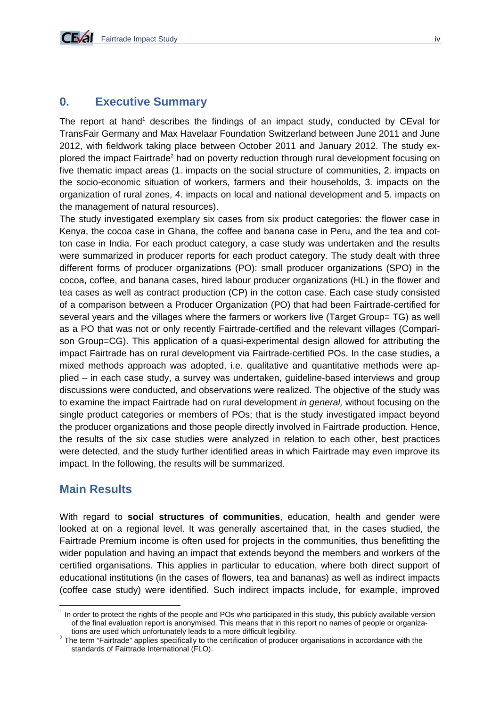# **0. Executive Summary**

The report at hand<sup>1</sup> describes the findings of an impact study, conducted by CEval for TransFair Germany and Max Havelaar Foundation Switzerland between June 2011 and June 2012, with fieldwork taking place between October 2011 and January 2012. The study explored the impact Fairtrade<sup>2</sup> had on poverty reduction through rural development focusing on five thematic impact areas (1. impacts on the social structure of communities, 2. impacts on the socio-economic situation of workers, farmers and their households, 3. impacts on the organization of rural zones, 4. impacts on local and national development and 5. impacts on the management of natural resources).

The study investigated exemplary six cases from six product categories: the flower case in Kenya, the cocoa case in Ghana, the coffee and banana case in Peru, and the tea and cotton case in India. For each product category, a case study was undertaken and the results were summarized in producer reports for each product category. The study dealt with three different forms of producer organizations (PO): small producer organizations (SPO) in the cocoa, coffee, and banana cases, hired labour producer organizations (HL) in the flower and tea cases as well as contract production (CP) in the cotton case. Each case study consisted of a comparison between a Producer Organization (PO) that had been Fairtrade-certified for several years and the villages where the farmers or workers live (Target Group= TG) as well as a PO that was not or only recently Fairtrade-certified and the relevant villages (Comparison Group=CG). This application of a quasi-experimental design allowed for attributing the impact Fairtrade has on rural development via Fairtrade-certified POs. In the case studies, a mixed methods approach was adopted, i.e. qualitative and quantitative methods were applied – in each case study, a survey was undertaken, guideline-based interviews and group discussions were conducted, and observations were realized. The objective of the study was to examine the impact Fairtrade had on rural development *in general,* without focusing on the single product categories or members of POs; that is the study investigated impact beyond the producer organizations and those people directly involved in Fairtrade production. Hence, the results of the six case studies were analyzed in relation to each other, best practices were detected, and the study further identified areas in which Fairtrade may even improve its impact. In the following, the results will be summarized.

# **Main Results**

With regard to **social structures of communities**, education, health and gender were looked at on a regional level. It was generally ascertained that, in the cases studied, the Fairtrade Premium income is often used for projects in the communities, thus benefitting the wider population and having an impact that extends beyond the members and workers of the certified organisations. This applies in particular to education, where both direct support of educational institutions (in the cases of flowers, tea and bananas) as well as indirect impacts (coffee case study) were identified. Such indirect impacts include, for example, improved

<sup>1</sup>  $1$  In order to protect the rights of the people and POs who participated in this study, this publicly available version of the final evaluation report is anonymised. This means that in this report no names of people or organizations are used which unfortunately leads to a more difficult legibility. 2

 $2$  The term "Fairtrade" applies specifically to the certification of producer organisations in accordance with the standards of Fairtrade International (FLO).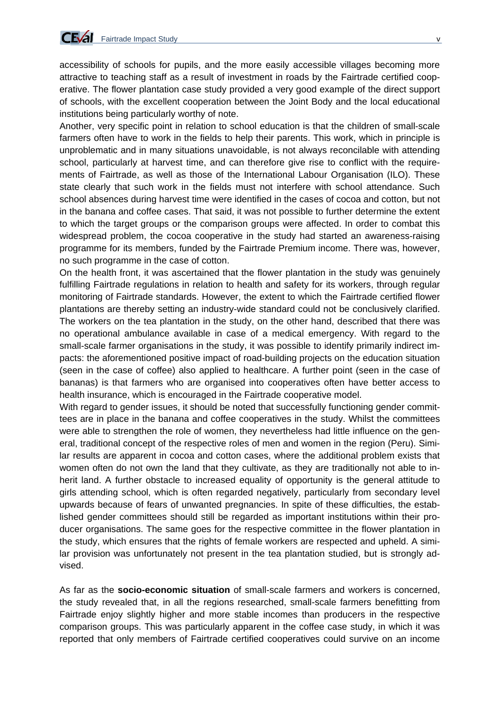accessibility of schools for pupils, and the more easily accessible villages becoming more attractive to teaching staff as a result of investment in roads by the Fairtrade certified cooperative. The flower plantation case study provided a very good example of the direct support of schools, with the excellent cooperation between the Joint Body and the local educational institutions being particularly worthy of note.

Another, very specific point in relation to school education is that the children of small-scale farmers often have to work in the fields to help their parents. This work, which in principle is unproblematic and in many situations unavoidable, is not always reconcilable with attending school, particularly at harvest time, and can therefore give rise to conflict with the requirements of Fairtrade, as well as those of the International Labour Organisation (ILO). These state clearly that such work in the fields must not interfere with school attendance. Such school absences during harvest time were identified in the cases of cocoa and cotton, but not in the banana and coffee cases. That said, it was not possible to further determine the extent to which the target groups or the comparison groups were affected. In order to combat this widespread problem, the cocoa cooperative in the study had started an awareness-raising programme for its members, funded by the Fairtrade Premium income. There was, however, no such programme in the case of cotton.

On the health front, it was ascertained that the flower plantation in the study was genuinely fulfilling Fairtrade regulations in relation to health and safety for its workers, through regular monitoring of Fairtrade standards. However, the extent to which the Fairtrade certified flower plantations are thereby setting an industry-wide standard could not be conclusively clarified. The workers on the tea plantation in the study, on the other hand, described that there was no operational ambulance available in case of a medical emergency. With regard to the small-scale farmer organisations in the study, it was possible to identify primarily indirect impacts: the aforementioned positive impact of road-building projects on the education situation (seen in the case of coffee) also applied to healthcare. A further point (seen in the case of bananas) is that farmers who are organised into cooperatives often have better access to health insurance, which is encouraged in the Fairtrade cooperative model.

With regard to gender issues, it should be noted that successfully functioning gender committees are in place in the banana and coffee cooperatives in the study. Whilst the committees were able to strengthen the role of women, they nevertheless had little influence on the general, traditional concept of the respective roles of men and women in the region (Peru). Similar results are apparent in cocoa and cotton cases, where the additional problem exists that women often do not own the land that they cultivate, as they are traditionally not able to inherit land. A further obstacle to increased equality of opportunity is the general attitude to girls attending school, which is often regarded negatively, particularly from secondary level upwards because of fears of unwanted pregnancies. In spite of these difficulties, the established gender committees should still be regarded as important institutions within their producer organisations. The same goes for the respective committee in the flower plantation in the study, which ensures that the rights of female workers are respected and upheld. A similar provision was unfortunately not present in the tea plantation studied, but is strongly advised.

As far as the **socio-economic situation** of small-scale farmers and workers is concerned, the study revealed that, in all the regions researched, small-scale farmers benefitting from Fairtrade enjoy slightly higher and more stable incomes than producers in the respective comparison groups. This was particularly apparent in the coffee case study, in which it was reported that only members of Fairtrade certified cooperatives could survive on an income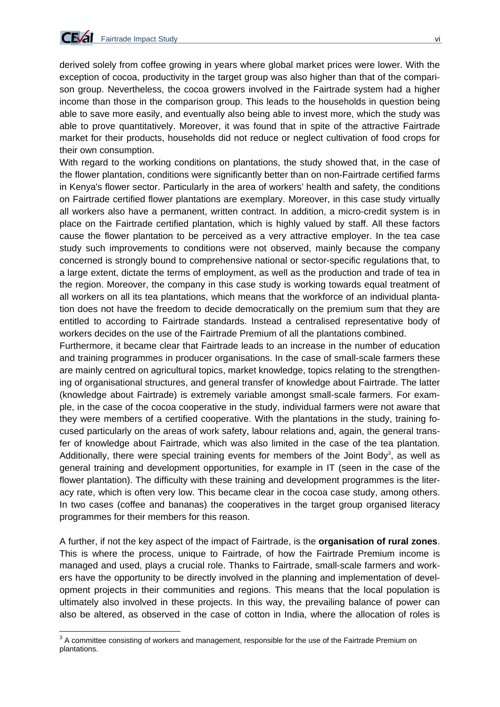

derived solely from coffee growing in years where global market prices were lower. With the exception of cocoa, productivity in the target group was also higher than that of the comparison group. Nevertheless, the cocoa growers involved in the Fairtrade system had a higher income than those in the comparison group. This leads to the households in question being able to save more easily, and eventually also being able to invest more, which the study was able to prove quantitatively. Moreover, it was found that in spite of the attractive Fairtrade market for their products, households did not reduce or neglect cultivation of food crops for their own consumption.

With regard to the working conditions on plantations, the study showed that, in the case of the flower plantation, conditions were significantly better than on non-Fairtrade certified farms in Kenya's flower sector. Particularly in the area of workers' health and safety, the conditions on Fairtrade certified flower plantations are exemplary. Moreover, in this case study virtually all workers also have a permanent, written contract. In addition, a micro-credit system is in place on the Fairtrade certified plantation, which is highly valued by staff. All these factors cause the flower plantation to be perceived as a very attractive employer. In the tea case study such improvements to conditions were not observed, mainly because the company concerned is strongly bound to comprehensive national or sector-specific regulations that, to a large extent, dictate the terms of employment, as well as the production and trade of tea in the region. Moreover, the company in this case study is working towards equal treatment of all workers on all its tea plantations, which means that the workforce of an individual plantation does not have the freedom to decide democratically on the premium sum that they are entitled to according to Fairtrade standards. Instead a centralised representative body of workers decides on the use of the Fairtrade Premium of all the plantations combined.

Furthermore, it became clear that Fairtrade leads to an increase in the number of education and training programmes in producer organisations. In the case of small-scale farmers these are mainly centred on agricultural topics, market knowledge, topics relating to the strengthening of organisational structures, and general transfer of knowledge about Fairtrade. The latter (knowledge about Fairtrade) is extremely variable amongst small-scale farmers. For example, in the case of the cocoa cooperative in the study, individual farmers were not aware that they were members of a certified cooperative. With the plantations in the study, training focused particularly on the areas of work safety, labour relations and, again, the general transfer of knowledge about Fairtrade, which was also limited in the case of the tea plantation. Additionally, there were special training events for members of the Joint Body<sup>3</sup>, as well as general training and development opportunities, for example in IT (seen in the case of the flower plantation). The difficulty with these training and development programmes is the literacy rate, which is often very low. This became clear in the cocoa case study, among others. In two cases (coffee and bananas) the cooperatives in the target group organised literacy programmes for their members for this reason.

A further, if not the key aspect of the impact of Fairtrade, is the **organisation of rural zones**. This is where the process, unique to Fairtrade, of how the Fairtrade Premium income is managed and used, plays a crucial role. Thanks to Fairtrade, small-scale farmers and workers have the opportunity to be directly involved in the planning and implementation of development projects in their communities and regions. This means that the local population is ultimately also involved in these projects. In this way, the prevailing balance of power can also be altered, as observed in the case of cotton in India, where the allocation of roles is

 3 A committee consisting of workers and management, responsible for the use of the Fairtrade Premium on plantations.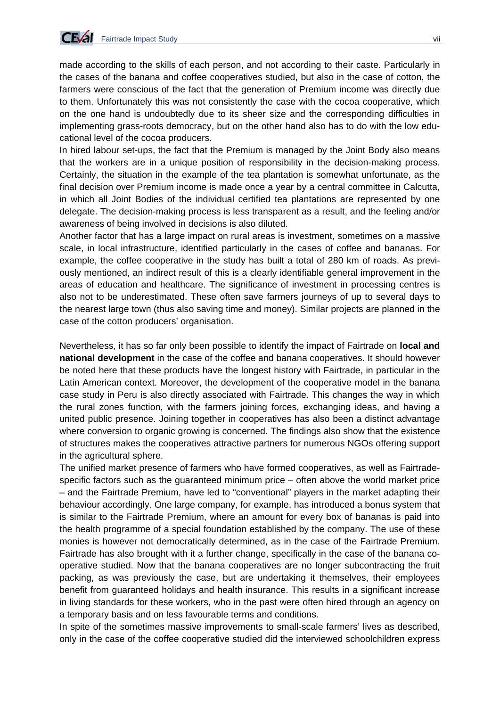

made according to the skills of each person, and not according to their caste. Particularly in the cases of the banana and coffee cooperatives studied, but also in the case of cotton, the farmers were conscious of the fact that the generation of Premium income was directly due to them. Unfortunately this was not consistently the case with the cocoa cooperative, which on the one hand is undoubtedly due to its sheer size and the corresponding difficulties in implementing grass-roots democracy, but on the other hand also has to do with the low educational level of the cocoa producers.

In hired labour set-ups, the fact that the Premium is managed by the Joint Body also means that the workers are in a unique position of responsibility in the decision-making process. Certainly, the situation in the example of the tea plantation is somewhat unfortunate, as the final decision over Premium income is made once a year by a central committee in Calcutta, in which all Joint Bodies of the individual certified tea plantations are represented by one delegate. The decision-making process is less transparent as a result, and the feeling and/or awareness of being involved in decisions is also diluted.

Another factor that has a large impact on rural areas is investment, sometimes on a massive scale, in local infrastructure, identified particularly in the cases of coffee and bananas. For example, the coffee cooperative in the study has built a total of 280 km of roads. As previously mentioned, an indirect result of this is a clearly identifiable general improvement in the areas of education and healthcare. The significance of investment in processing centres is also not to be underestimated. These often save farmers journeys of up to several days to the nearest large town (thus also saving time and money). Similar projects are planned in the case of the cotton producers' organisation.

Nevertheless, it has so far only been possible to identify the impact of Fairtrade on **local and national development** in the case of the coffee and banana cooperatives. It should however be noted here that these products have the longest history with Fairtrade, in particular in the Latin American context. Moreover, the development of the cooperative model in the banana case study in Peru is also directly associated with Fairtrade. This changes the way in which the rural zones function, with the farmers joining forces, exchanging ideas, and having a united public presence. Joining together in cooperatives has also been a distinct advantage where conversion to organic growing is concerned. The findings also show that the existence of structures makes the cooperatives attractive partners for numerous NGOs offering support in the agricultural sphere.

The unified market presence of farmers who have formed cooperatives, as well as Fairtradespecific factors such as the guaranteed minimum price – often above the world market price – and the Fairtrade Premium, have led to "conventional" players in the market adapting their behaviour accordingly. One large company, for example, has introduced a bonus system that is similar to the Fairtrade Premium, where an amount for every box of bananas is paid into the health programme of a special foundation established by the company. The use of these monies is however not democratically determined, as in the case of the Fairtrade Premium. Fairtrade has also brought with it a further change, specifically in the case of the banana cooperative studied. Now that the banana cooperatives are no longer subcontracting the fruit packing, as was previously the case, but are undertaking it themselves, their employees benefit from guaranteed holidays and health insurance. This results in a significant increase in living standards for these workers, who in the past were often hired through an agency on a temporary basis and on less favourable terms and conditions.

In spite of the sometimes massive improvements to small-scale farmers' lives as described, only in the case of the coffee cooperative studied did the interviewed schoolchildren express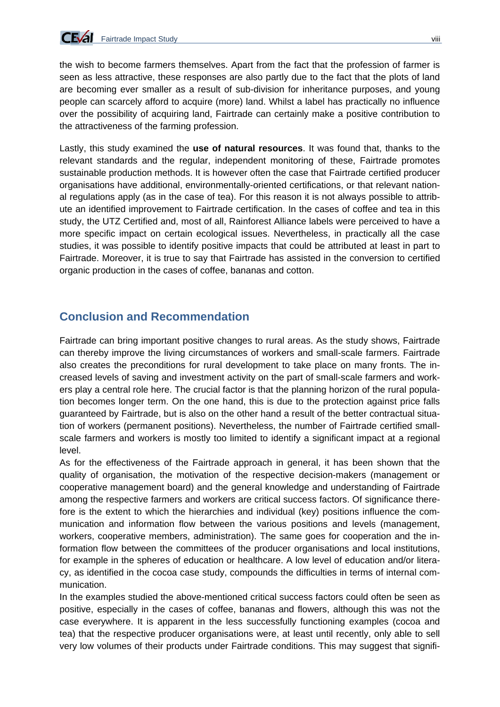

the wish to become farmers themselves. Apart from the fact that the profession of farmer is seen as less attractive, these responses are also partly due to the fact that the plots of land are becoming ever smaller as a result of sub-division for inheritance purposes, and young people can scarcely afford to acquire (more) land. Whilst a label has practically no influence over the possibility of acquiring land, Fairtrade can certainly make a positive contribution to the attractiveness of the farming profession.

Lastly, this study examined the **use of natural resources**. It was found that, thanks to the relevant standards and the regular, independent monitoring of these, Fairtrade promotes sustainable production methods. It is however often the case that Fairtrade certified producer organisations have additional, environmentally-oriented certifications, or that relevant national regulations apply (as in the case of tea). For this reason it is not always possible to attribute an identified improvement to Fairtrade certification. In the cases of coffee and tea in this study, the UTZ Certified and, most of all, Rainforest Alliance labels were perceived to have a more specific impact on certain ecological issues. Nevertheless, in practically all the case studies, it was possible to identify positive impacts that could be attributed at least in part to Fairtrade. Moreover, it is true to say that Fairtrade has assisted in the conversion to certified organic production in the cases of coffee, bananas and cotton.

# **Conclusion and Recommendation**

Fairtrade can bring important positive changes to rural areas. As the study shows, Fairtrade can thereby improve the living circumstances of workers and small-scale farmers. Fairtrade also creates the preconditions for rural development to take place on many fronts. The increased levels of saving and investment activity on the part of small-scale farmers and workers play a central role here. The crucial factor is that the planning horizon of the rural population becomes longer term. On the one hand, this is due to the protection against price falls guaranteed by Fairtrade, but is also on the other hand a result of the better contractual situation of workers (permanent positions). Nevertheless, the number of Fairtrade certified smallscale farmers and workers is mostly too limited to identify a significant impact at a regional level.

As for the effectiveness of the Fairtrade approach in general, it has been shown that the quality of organisation, the motivation of the respective decision-makers (management or cooperative management board) and the general knowledge and understanding of Fairtrade among the respective farmers and workers are critical success factors. Of significance therefore is the extent to which the hierarchies and individual (key) positions influence the communication and information flow between the various positions and levels (management, workers, cooperative members, administration). The same goes for cooperation and the information flow between the committees of the producer organisations and local institutions, for example in the spheres of education or healthcare. A low level of education and/or literacy, as identified in the cocoa case study, compounds the difficulties in terms of internal communication.

In the examples studied the above-mentioned critical success factors could often be seen as positive, especially in the cases of coffee, bananas and flowers, although this was not the case everywhere. It is apparent in the less successfully functioning examples (cocoa and tea) that the respective producer organisations were, at least until recently, only able to sell very low volumes of their products under Fairtrade conditions. This may suggest that signifi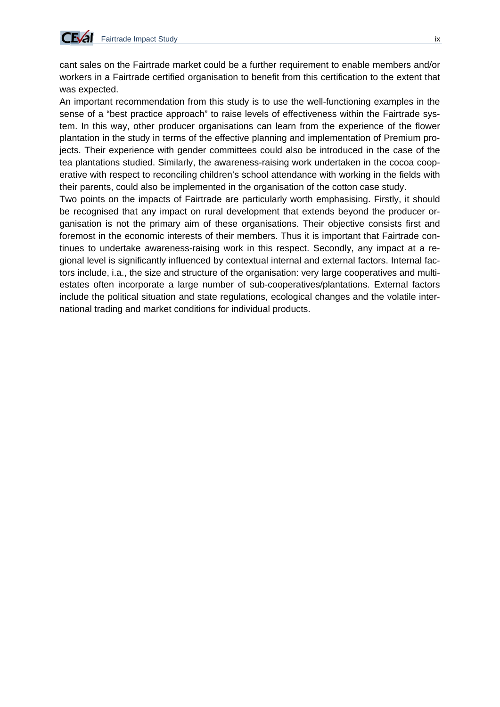cant sales on the Fairtrade market could be a further requirement to enable members and/or workers in a Fairtrade certified organisation to benefit from this certification to the extent that was expected.

An important recommendation from this study is to use the well-functioning examples in the sense of a "best practice approach" to raise levels of effectiveness within the Fairtrade system. In this way, other producer organisations can learn from the experience of the flower plantation in the study in terms of the effective planning and implementation of Premium projects. Their experience with gender committees could also be introduced in the case of the tea plantations studied. Similarly, the awareness-raising work undertaken in the cocoa cooperative with respect to reconciling children's school attendance with working in the fields with their parents, could also be implemented in the organisation of the cotton case study.

Two points on the impacts of Fairtrade are particularly worth emphasising. Firstly, it should be recognised that any impact on rural development that extends beyond the producer organisation is not the primary aim of these organisations. Their objective consists first and foremost in the economic interests of their members. Thus it is important that Fairtrade continues to undertake awareness-raising work in this respect. Secondly, any impact at a regional level is significantly influenced by contextual internal and external factors. Internal factors include, i.a., the size and structure of the organisation: very large cooperatives and multiestates often incorporate a large number of sub-cooperatives/plantations. External factors include the political situation and state regulations, ecological changes and the volatile international trading and market conditions for individual products.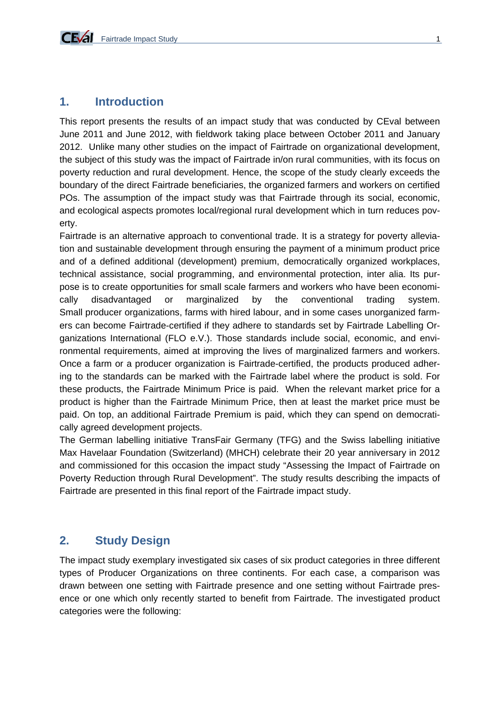# **1. Introduction**

This report presents the results of an impact study that was conducted by CEval between June 2011 and June 2012, with fieldwork taking place between October 2011 and January 2012. Unlike many other studies on the impact of Fairtrade on organizational development, the subject of this study was the impact of Fairtrade in/on rural communities, with its focus on poverty reduction and rural development. Hence, the scope of the study clearly exceeds the boundary of the direct Fairtrade beneficiaries, the organized farmers and workers on certified POs. The assumption of the impact study was that Fairtrade through its social, economic, and ecological aspects promotes local/regional rural development which in turn reduces poverty.

Fairtrade is an alternative approach to conventional trade. It is a strategy for poverty alleviation and sustainable development through ensuring the payment of a minimum product price and of a defined additional (development) premium, democratically organized workplaces, technical assistance, social programming, and environmental protection, inter alia. Its purpose is to create opportunities for small scale farmers and workers who have been economically disadvantaged or marginalized by the conventional trading system. Small producer organizations, farms with hired labour, and in some cases unorganized farmers can become Fairtrade-certified if they adhere to standards set by Fairtrade Labelling Organizations International (FLO e.V.). Those standards include social, economic, and environmental requirements, aimed at improving the lives of marginalized farmers and workers. Once a farm or a producer organization is Fairtrade-certified, the products produced adhering to the standards can be marked with the Fairtrade label where the product is sold. For these products, the Fairtrade Minimum Price is paid. When the relevant market price for a product is higher than the Fairtrade Minimum Price, then at least the market price must be paid. On top, an additional Fairtrade Premium is paid, which they can spend on democratically agreed development projects.

The German labelling initiative TransFair Germany (TFG) and the Swiss labelling initiative Max Havelaar Foundation (Switzerland) (MHCH) celebrate their 20 year anniversary in 2012 and commissioned for this occasion the impact study "Assessing the Impact of Fairtrade on Poverty Reduction through Rural Development". The study results describing the impacts of Fairtrade are presented in this final report of the Fairtrade impact study.

# **2. Study Design**

The impact study exemplary investigated six cases of six product categories in three different types of Producer Organizations on three continents. For each case, a comparison was drawn between one setting with Fairtrade presence and one setting without Fairtrade presence or one which only recently started to benefit from Fairtrade. The investigated product categories were the following: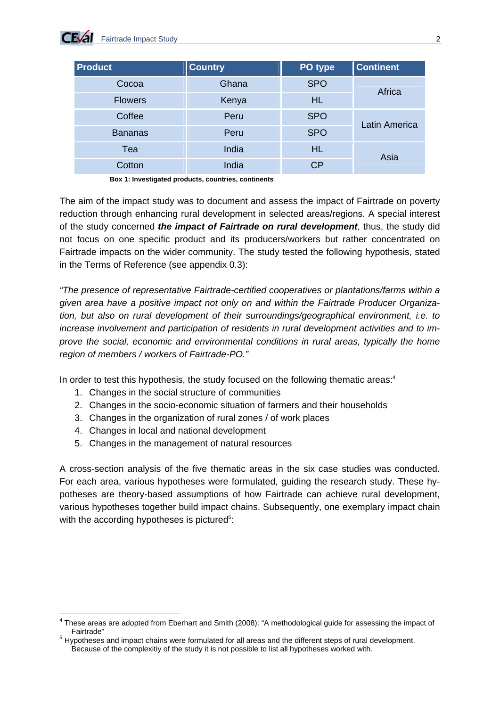

| <b>Product</b> | <b>Country</b>     | PO type                                   | <b>Continent</b> |
|----------------|--------------------|-------------------------------------------|------------------|
| Cocoa          | Ghana              | <b>SPO</b>                                | Africa           |
| <b>Flowers</b> | Kenya              | <b>HL</b>                                 |                  |
| Coffee         | Peru               | <b>SPO</b><br>Latin America<br><b>SPO</b> |                  |
| <b>Bananas</b> | Peru               |                                           |                  |
| Tea            | India              | <b>HL</b>                                 | Asia             |
| Cotton         | <b>CP</b><br>India |                                           |                  |

**Box 1: Investigated products, countries, continents** 

The aim of the impact study was to document and assess the impact of Fairtrade on poverty reduction through enhancing rural development in selected areas/regions. A special interest of the study concerned *the impact of Fairtrade on rural development*, thus, the study did not focus on one specific product and its producers/workers but rather concentrated on Fairtrade impacts on the wider community. The study tested the following hypothesis, stated in the Terms of Reference (see appendix 0.3):

*"The presence of representative Fairtrade-certified cooperatives or plantations/farms within a given area have a positive impact not only on and within the Fairtrade Producer Organization, but also on rural development of their surroundings/geographical environment, i.e. to increase involvement and participation of residents in rural development activities and to improve the social, economic and environmental conditions in rural areas, typically the home region of members / workers of Fairtrade-PO."* 

In order to test this hypothesis, the study focused on the following thematic areas:<sup>4</sup>

- 1. Changes in the social structure of communities
- 2. Changes in the socio-economic situation of farmers and their households
- 3. Changes in the organization of rural zones / of work places
- 4. Changes in local and national development

<u>.</u>

5. Changes in the management of natural resources

A cross-section analysis of the five thematic areas in the six case studies was conducted. For each area, various hypotheses were formulated, guiding the research study. These hypotheses are theory-based assumptions of how Fairtrade can achieve rural development, various hypotheses together build impact chains. Subsequently, one exemplary impact chain with the according hypotheses is pictured $5$ :

<sup>&</sup>lt;sup>4</sup> These areas are adopted from Eberhart and Smith (2008): "A methodological guide for assessing the impact of Fairtrade"<br><sup>5</sup> Hypotheses and impact chains were formulated for all areas and the different steps of rural development.

Because of the complexitiy of the study it is not possible to list all hypotheses worked with.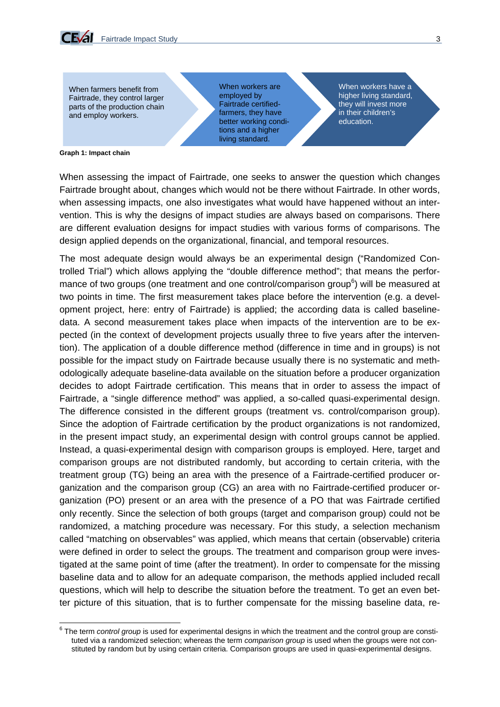

When farmers benefit from Fairtrade, they control larger parts of the production chain and employ workers.

When workers are employed by Fairtrade certifiedfarmers, they have better working conditions and a higher living standard.

When workers have a higher living standard, they will invest more in their children's education.

**Graph 1: Impact chain** 

When assessing the impact of Fairtrade, one seeks to answer the question which changes Fairtrade brought about, changes which would not be there without Fairtrade. In other words, when assessing impacts, one also investigates what would have happened without an intervention. This is why the designs of impact studies are always based on comparisons. There are different evaluation designs for impact studies with various forms of comparisons. The design applied depends on the organizational, financial, and temporal resources.

The most adequate design would always be an experimental design ("Randomized Controlled Trial") which allows applying the "double difference method"; that means the performance of two groups (one treatment and one control/comparison group<sup>6</sup>) will be measured at two points in time. The first measurement takes place before the intervention (e.g. a development project, here: entry of Fairtrade) is applied; the according data is called baselinedata. A second measurement takes place when impacts of the intervention are to be expected (in the context of development projects usually three to five years after the intervention). The application of a double difference method (difference in time and in groups) is not possible for the impact study on Fairtrade because usually there is no systematic and methodologically adequate baseline-data available on the situation before a producer organization decides to adopt Fairtrade certification. This means that in order to assess the impact of Fairtrade, a "single difference method" was applied, a so-called quasi-experimental design. The difference consisted in the different groups (treatment vs. control/comparison group). Since the adoption of Fairtrade certification by the product organizations is not randomized, in the present impact study, an experimental design with control groups cannot be applied. Instead, a quasi-experimental design with comparison groups is employed. Here, target and comparison groups are not distributed randomly, but according to certain criteria, with the treatment group (TG) being an area with the presence of a Fairtrade-certified producer organization and the comparison group (CG) an area with no Fairtrade-certified producer organization (PO) present or an area with the presence of a PO that was Fairtrade certified only recently. Since the selection of both groups (target and comparison group) could not be randomized, a matching procedure was necessary. For this study, a selection mechanism called "matching on observables" was applied, which means that certain (observable) criteria were defined in order to select the groups. The treatment and comparison group were investigated at the same point of time (after the treatment). In order to compensate for the missing baseline data and to allow for an adequate comparison, the methods applied included recall questions, which will help to describe the situation before the treatment. To get an even better picture of this situation, that is to further compensate for the missing baseline data, re-

 6 The term *control group* is used for experimental designs in which the treatment and the control group are constituted via a randomized selection; whereas the term *comparison group* is used when the groups were not constituted by random but by using certain criteria. Comparison groups are used in quasi-experimental designs.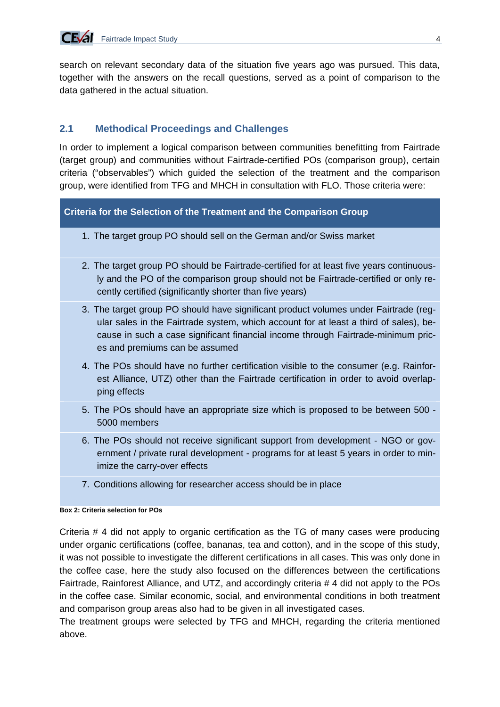search on relevant secondary data of the situation five years ago was pursued. This data, together with the answers on the recall questions, served as a point of comparison to the data gathered in the actual situation.

# **2.1 Methodical Proceedings and Challenges**

In order to implement a logical comparison between communities benefitting from Fairtrade (target group) and communities without Fairtrade-certified POs (comparison group), certain criteria ("observables") which guided the selection of the treatment and the comparison group, were identified from TFG and MHCH in consultation with FLO. Those criteria were:

#### **Criteria for the Selection of the Treatment and the Comparison Group**

- 1. The target group PO should sell on the German and/or Swiss market
- 2. The target group PO should be Fairtrade-certified for at least five years continuously and the PO of the comparison group should not be Fairtrade-certified or only recently certified (significantly shorter than five years)
- 3. The target group PO should have significant product volumes under Fairtrade (regular sales in the Fairtrade system, which account for at least a third of sales), because in such a case significant financial income through Fairtrade-minimum prices and premiums can be assumed
- 4. The POs should have no further certification visible to the consumer (e.g. Rainforest Alliance, UTZ) other than the Fairtrade certification in order to avoid overlapping effects
- 5. The POs should have an appropriate size which is proposed to be between 500 5000 members
- 6. The POs should not receive significant support from development NGO or government / private rural development - programs for at least 5 years in order to minimize the carry-over effects
- 7. Conditions allowing for researcher access should be in place

#### **Box 2: Criteria selection for POs**

Criteria # 4 did not apply to organic certification as the TG of many cases were producing under organic certifications (coffee, bananas, tea and cotton), and in the scope of this study, it was not possible to investigate the different certifications in all cases. This was only done in the coffee case, here the study also focused on the differences between the certifications Fairtrade, Rainforest Alliance, and UTZ, and accordingly criteria # 4 did not apply to the POs in the coffee case. Similar economic, social, and environmental conditions in both treatment and comparison group areas also had to be given in all investigated cases.

The treatment groups were selected by TFG and MHCH, regarding the criteria mentioned above.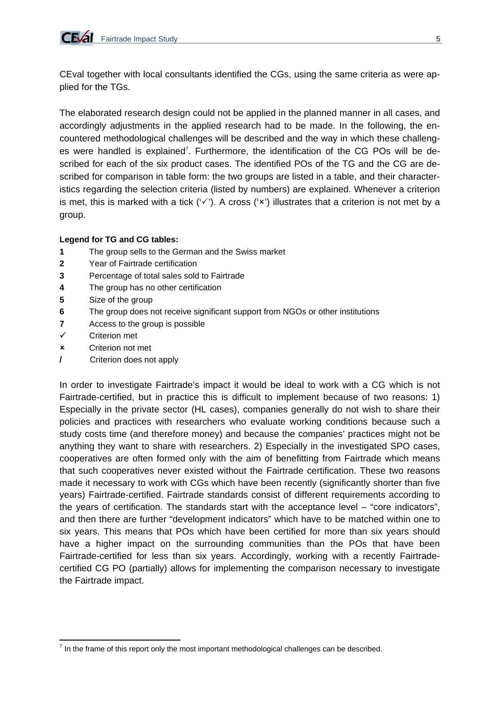

CEval together with local consultants identified the CGs, using the same criteria as were applied for the TGs.

The elaborated research design could not be applied in the planned manner in all cases, and accordingly adjustments in the applied research had to be made. In the following, the encountered methodological challenges will be described and the way in which these challenges were handled is explained<sup>7</sup>. Furthermore, the identification of the CG POs will be described for each of the six product cases. The identified POs of the TG and the CG are described for comparison in table form: the two groups are listed in a table, and their characteristics regarding the selection criteria (listed by numbers) are explained. Whenever a criterion is met, this is marked with a tick  $(\checkmark')$ . A cross  $(\checkmark')$  illustrates that a criterion is not met by a group.

#### **Legend for TG and CG tables:**

- **1** The group sells to the German and the Swiss market
- **2** Year of Fairtrade certification
- **3** Percentage of total sales sold to Fairtrade
- **4** The group has no other certification
- **5** Size of the group
- **6** The group does not receive significant support from NGOs or other institutions
- **7** Access to the group is possible
- $\checkmark$  Criterion met
- Criterion not met
- **/** Criterion does not apply

In order to investigate Fairtrade's impact it would be ideal to work with a CG which is not Fairtrade-certified, but in practice this is difficult to implement because of two reasons: 1) Especially in the private sector (HL cases), companies generally do not wish to share their policies and practices with researchers who evaluate working conditions because such a study costs time (and therefore money) and because the companies' practices might not be anything they want to share with researchers. 2) Especially in the investigated SPO cases, cooperatives are often formed only with the aim of benefitting from Fairtrade which means that such cooperatives never existed without the Fairtrade certification. These two reasons made it necessary to work with CGs which have been recently (significantly shorter than five years) Fairtrade-certified. Fairtrade standards consist of different requirements according to the years of certification. The standards start with the acceptance level – "core indicators", and then there are further "development indicators" which have to be matched within one to six years. This means that POs which have been certified for more than six years should have a higher impact on the surrounding communities than the POs that have been Fairtrade-certified for less than six years. Accordingly, working with a recently Fairtradecertified CG PO (partially) allows for implementing the comparison necessary to investigate the Fairtrade impact.

<sup>&</sup>lt;u>.</u>  $<sup>7</sup>$  In the frame of this report only the most important methodological challenges can be described.</sup>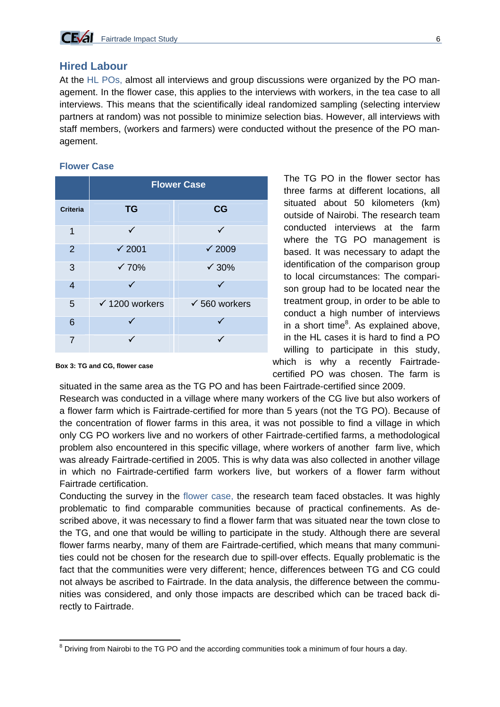

#### **Hired Labour**

At the HL POs, almost all interviews and group discussions were organized by the PO management. In the flower case, this applies to the interviews with workers, in the tea case to all interviews. This means that the scientifically ideal randomized sampling (selecting interview partners at random) was not possible to minimize selection bias. However, all interviews with staff members, (workers and farmers) were conducted without the presence of the PO management.

#### **Flower Case**

|                 | <b>Flower Case</b>        |                          |  |  |
|-----------------|---------------------------|--------------------------|--|--|
| <b>Criteria</b> | <b>TG</b>                 | CG                       |  |  |
| $\mathbf 1$     | ✓                         | ✓                        |  |  |
| $\overline{2}$  | $\checkmark$ 2001         | $\checkmark$ 2009        |  |  |
| 3               | $\times 70\%$             | $\times$ 30%             |  |  |
| $\overline{4}$  | ✓                         | ✓                        |  |  |
| 5               | $\checkmark$ 1200 workers | $\checkmark$ 560 workers |  |  |
| 6               | ✓                         | ✓                        |  |  |
| $\overline{7}$  | ✓                         | ✓                        |  |  |

The TG PO in the flower sector has three farms at different locations, all situated about 50 kilometers (km) outside of Nairobi. The research team conducted interviews at the farm where the TG PO management is based. It was necessary to adapt the identification of the comparison group to local circumstances: The comparison group had to be located near the treatment group, in order to be able to conduct a high number of interviews in a short time<sup>8</sup>. As explained above, in the HL cases it is hard to find a PO willing to participate in this study, which is why a recently Fairtradecertified PO was chosen. The farm is

**Box 3: TG and CG, flower case** 

situated in the same area as the TG PO and has been Fairtrade-certified since 2009. Research was conducted in a village where many workers of the CG live but also workers of a flower farm which is Fairtrade-certified for more than 5 years (not the TG PO). Because of the concentration of flower farms in this area, it was not possible to find a village in which only CG PO workers live and no workers of other Fairtrade-certified farms, a methodological problem also encountered in this specific village, where workers of another farm live, which was already Fairtrade-certified in 2005. This is why data was also collected in another village in which no Fairtrade-certified farm workers live, but workers of a flower farm without Fairtrade certification.

Conducting the survey in the flower case, the research team faced obstacles. It was highly problematic to find comparable communities because of practical confinements. As described above, it was necessary to find a flower farm that was situated near the town close to the TG, and one that would be willing to participate in the study. Although there are several flower farms nearby, many of them are Fairtrade-certified, which means that many communities could not be chosen for the research due to spill-over effects. Equally problematic is the fact that the communities were very different; hence, differences between TG and CG could not always be ascribed to Fairtrade. In the data analysis, the difference between the communities was considered, and only those impacts are described which can be traced back directly to Fairtrade.

 8 Driving from Nairobi to the TG PO and the according communities took a minimum of four hours a day.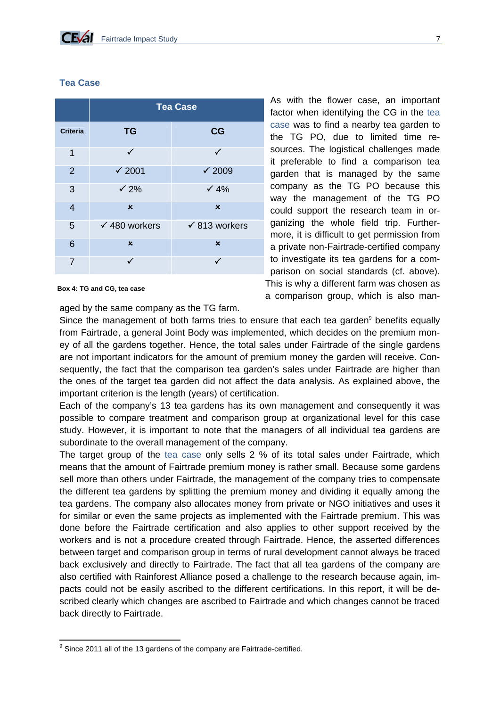# **Tea Case Criteria TG CG** 1 and  $\checkmark$  and  $\checkmark$ 2  $\sqrt{2001}$   $\sqrt{2009}$ 3  $\sqrt{2\%}$   $\sqrt{4\%}$ 4 **x** x  $5 \times 480$  workers  $\times 813$  workers 6 x x 7

**Tea Case** 

**Box 4: TG and CG, tea case** 

aged by the same company as the TG farm.

Since the management of both farms tries to ensure that each tea garden<sup>9</sup> benefits equally from Fairtrade, a general Joint Body was implemented, which decides on the premium money of all the gardens together. Hence, the total sales under Fairtrade of the single gardens are not important indicators for the amount of premium money the garden will receive. Consequently, the fact that the comparison tea garden's sales under Fairtrade are higher than the ones of the target tea garden did not affect the data analysis. As explained above, the important criterion is the length (years) of certification.

Each of the company's 13 tea gardens has its own management and consequently it was possible to compare treatment and comparison group at organizational level for this case study. However, it is important to note that the managers of all individual tea gardens are subordinate to the overall management of the company.

The target group of the tea case only sells 2 % of its total sales under Fairtrade, which means that the amount of Fairtrade premium money is rather small. Because some gardens sell more than others under Fairtrade, the management of the company tries to compensate the different tea gardens by splitting the premium money and dividing it equally among the tea gardens. The company also allocates money from private or NGO initiatives and uses it for similar or even the same projects as implemented with the Fairtrade premium. This was done before the Fairtrade certification and also applies to other support received by the workers and is not a procedure created through Fairtrade. Hence, the asserted differences between target and comparison group in terms of rural development cannot always be traced back exclusively and directly to Fairtrade. The fact that all tea gardens of the company are also certified with Rainforest Alliance posed a challenge to the research because again, impacts could not be easily ascribed to the different certifications. In this report, it will be described clearly which changes are ascribed to Fairtrade and which changes cannot be traced back directly to Fairtrade.

As with the flower case, an important factor when identifying the CG in the tea case was to find a nearby tea garden to the TG PO, due to limited time resources. The logistical challenges made it preferable to find a comparison tea garden that is managed by the same company as the TG PO because this way the management of the TG PO could support the research team in organizing the whole field trip. Furthermore, it is difficult to get permission from a private non-Fairtrade-certified company to investigate its tea gardens for a comparison on social standards (cf. above). This is why a different farm was chosen as a comparison group, which is also man-

<sup>&</sup>lt;u>.</u>  $9$  Since 2011 all of the 13 gardens of the company are Fairtrade-certified.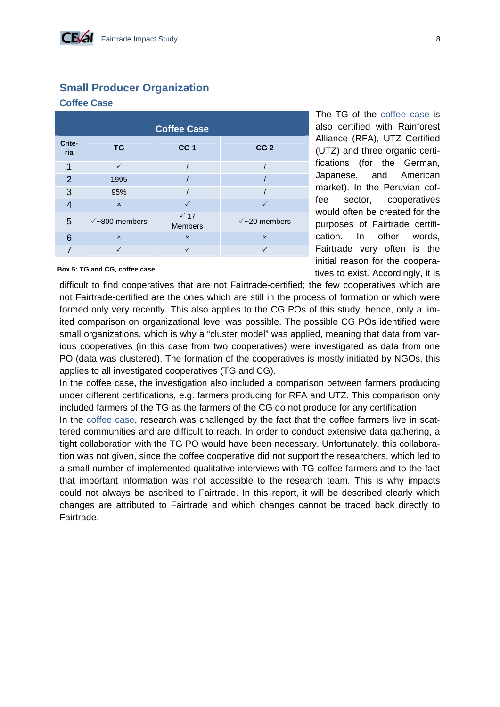# **Small Producer Organization**

#### **Coffee Case**

| <b>Coffee Case</b> |                           |                               |                     |  |  |  |
|--------------------|---------------------------|-------------------------------|---------------------|--|--|--|
| Crite-<br>ria      | <b>TG</b>                 | CG <sub>1</sub>               | CG <sub>2</sub>     |  |  |  |
| 1                  | $\checkmark$              |                               |                     |  |  |  |
| $\overline{2}$     | 1995                      |                               |                     |  |  |  |
| 3                  | 95%                       |                               |                     |  |  |  |
| $\overline{4}$     | $\boldsymbol{\mathsf{x}}$ | ✓                             | $\checkmark$        |  |  |  |
| 5                  | $\sqrt{800}$ members      | $\times$ 17<br><b>Members</b> | $\sqrt{20}$ members |  |  |  |
| 6                  | $\mathbf x$               | $\mathbf x$                   | $\mathbf x$         |  |  |  |
|                    |                           |                               |                     |  |  |  |

The TG of the coffee case is also certified with Rainforest Alliance (RFA), UTZ Certified (UTZ) and three organic certifications (for the German, Japanese, and American market). In the Peruvian coffee sector, cooperatives would often be created for the purposes of Fairtrade certification. In other words, Fairtrade very often is the initial reason for the cooperatives to exist. Accordingly, it is

#### **Box 5: TG and CG, coffee case**

difficult to find cooperatives that are not Fairtrade-certified; the few cooperatives which are not Fairtrade-certified are the ones which are still in the process of formation or which were formed only very recently. This also applies to the CG POs of this study, hence, only a limited comparison on organizational level was possible. The possible CG POs identified were small organizations, which is why a "cluster model" was applied, meaning that data from various cooperatives (in this case from two cooperatives) were investigated as data from one PO (data was clustered). The formation of the cooperatives is mostly initiated by NGOs, this applies to all investigated cooperatives (TG and CG).

In the coffee case, the investigation also included a comparison between farmers producing under different certifications, e.g. farmers producing for RFA and UTZ. This comparison only included farmers of the TG as the farmers of the CG do not produce for any certification.

In the coffee case, research was challenged by the fact that the coffee farmers live in scattered communities and are difficult to reach. In order to conduct extensive data gathering, a tight collaboration with the TG PO would have been necessary. Unfortunately, this collaboration was not given, since the coffee cooperative did not support the researchers, which led to a small number of implemented qualitative interviews with TG coffee farmers and to the fact that important information was not accessible to the research team. This is why impacts could not always be ascribed to Fairtrade. In this report, it will be described clearly which changes are attributed to Fairtrade and which changes cannot be traced back directly to Fairtrade.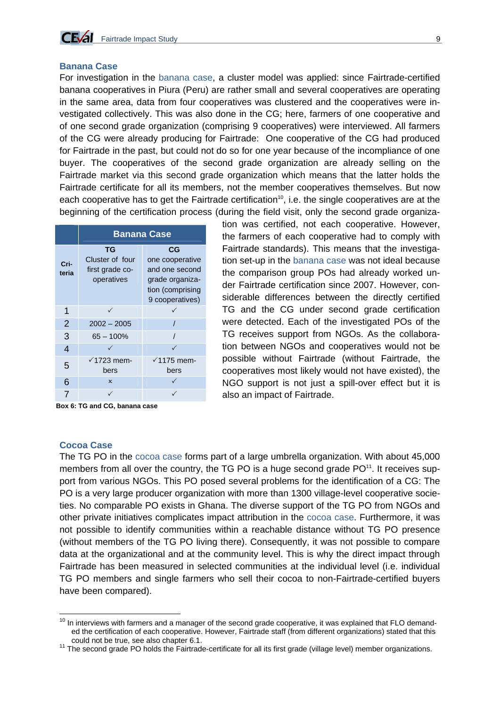

#### **Banana Case**

For investigation in the banana case, a cluster model was applied: since Fairtrade-certified banana cooperatives in Piura (Peru) are rather small and several cooperatives are operating in the same area, data from four cooperatives was clustered and the cooperatives were investigated collectively. This was also done in the CG; here, farmers of one cooperative and of one second grade organization (comprising 9 cooperatives) were interviewed. All farmers of the CG were already producing for Fairtrade: One cooperative of the CG had produced for Fairtrade in the past, but could not do so for one year because of the incompliance of one buyer. The cooperatives of the second grade organization are already selling on the Fairtrade market via this second grade organization which means that the latter holds the Fairtrade certificate for all its members, not the member cooperatives themselves. But now each cooperative has to get the Fairtrade certification<sup>10</sup>, i.e. the single cooperatives are at the beginning of the certification process (during the field visit, only the second grade organiza-

|                | <b>Banana Case</b>                                     |                                                                                                   |  |  |
|----------------|--------------------------------------------------------|---------------------------------------------------------------------------------------------------|--|--|
| Cri-<br>teria  | ТG<br>Cluster of four<br>first grade co-<br>operatives | CG<br>one cooperative<br>and one second<br>grade organiza-<br>tion (comprising<br>9 cooperatives) |  |  |
| 1              |                                                        |                                                                                                   |  |  |
| $\overline{2}$ | $2002 - 2005$                                          |                                                                                                   |  |  |
| 3              | $65 - 100%$                                            |                                                                                                   |  |  |
| $\overline{4}$ |                                                        |                                                                                                   |  |  |
| 5              | $\sqrt{1723}$ mem-<br>bers                             | $\checkmark$ 1175 mem-<br>bers                                                                    |  |  |
| 6              | $\mathbf x$                                            |                                                                                                   |  |  |
|                |                                                        |                                                                                                   |  |  |

**Box 6: TG and CG, banana case** 

tion was certified, not each cooperative. However, the farmers of each cooperative had to comply with Fairtrade standards). This means that the investigation set-up in the banana case was not ideal because the comparison group POs had already worked under Fairtrade certification since 2007. However, considerable differences between the directly certified TG and the CG under second grade certification were detected. Each of the investigated POs of the TG receives support from NGOs. As the collaboration between NGOs and cooperatives would not be possible without Fairtrade (without Fairtrade, the cooperatives most likely would not have existed), the NGO support is not just a spill-over effect but it is also an impact of Fairtrade.

#### **Cocoa Case**

<u>.</u>

The TG PO in the cocoa case forms part of a large umbrella organization. With about 45,000 members from all over the country, the TG PO is a huge second grade  $PO<sup>11</sup>$ . It receives support from various NGOs. This PO posed several problems for the identification of a CG: The PO is a very large producer organization with more than 1300 village-level cooperative societies. No comparable PO exists in Ghana. The diverse support of the TG PO from NGOs and other private initiatives complicates impact attribution in the cocoa case. Furthermore, it was not possible to identify communities within a reachable distance without TG PO presence (without members of the TG PO living there). Consequently, it was not possible to compare data at the organizational and at the community level. This is why the direct impact through Fairtrade has been measured in selected communities at the individual level (i.e. individual TG PO members and single farmers who sell their cocoa to non-Fairtrade-certified buyers have been compared).

<sup>&</sup>lt;sup>10</sup> In interviews with farmers and a manager of the second grade cooperative, it was explained that FLO demanded the certification of each cooperative. However, Fairtrade staff (from different organizations) stated that this

could not be true, see also chapter 6.1.<br><sup>11</sup> The second grade PO holds the Fairtrade-certificate for all its first grade (village level) member organizations.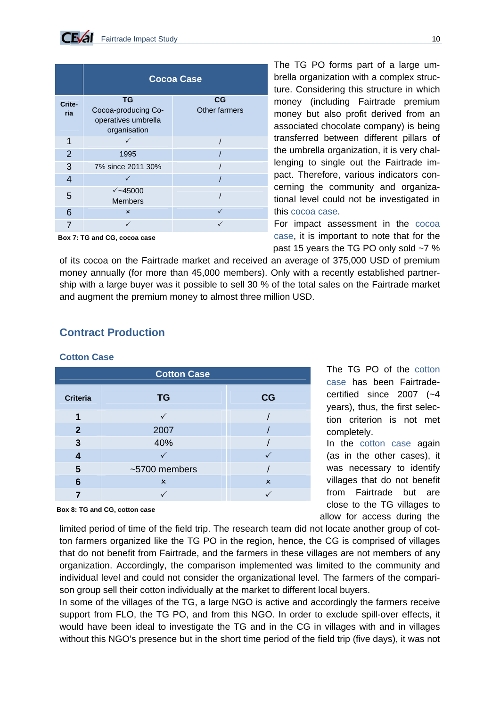|                              | <b>Cocoa Case</b>                                                       |                     |  |  |
|------------------------------|-------------------------------------------------------------------------|---------------------|--|--|
| Crite-<br>ria                | <b>TG</b><br>Cocoa-producing Co-<br>operatives umbrella<br>organisation | CG<br>Other farmers |  |  |
| 1                            |                                                                         |                     |  |  |
| $\overline{2}$               | 1995                                                                    |                     |  |  |
| 3                            | 7% since 2011 30%                                                       |                     |  |  |
| $\overline{4}$               |                                                                         |                     |  |  |
| 5                            | $\sqrt{-45000}$<br><b>Members</b>                                       |                     |  |  |
| 6                            | $\mathbf x$                                                             |                     |  |  |
| 7                            | $\checkmark$                                                            |                     |  |  |
| Box 7: TG and CG, cocoa case |                                                                         |                     |  |  |

The TG PO forms part of a large umbrella organization with a complex structure. Considering this structure in which money (including Fairtrade premium money but also profit derived from an associated chocolate company) is being transferred between different pillars of the umbrella organization, it is very challenging to single out the Fairtrade impact. Therefore, various indicators concerning the community and organizational level could not be investigated in this cocoa case.

For impact assessment in the cocoa case, it is important to note that for the past 15 years the TG PO only sold ~7 %

of its cocoa on the Fairtrade market and received an average of 375,000 USD of premium money annually (for more than 45,000 members). Only with a recently established partnership with a large buyer was it possible to sell 30 % of the total sales on the Fairtrade market and augment the premium money to almost three million USD.

# **Contract Production**

| <b>Cotton Case</b> |                           |                           |  |  |
|--------------------|---------------------------|---------------------------|--|--|
| <b>Criteria</b>    | <b>TG</b>                 | CG                        |  |  |
| 1                  |                           |                           |  |  |
| $\overline{2}$     | 2007                      |                           |  |  |
| $\mathbf{3}$       | 40%                       |                           |  |  |
| 4                  |                           |                           |  |  |
| 5                  | $~5700$ members           |                           |  |  |
| 6                  | $\boldsymbol{\mathsf{x}}$ | $\boldsymbol{\mathsf{x}}$ |  |  |
|                    |                           |                           |  |  |

The TG PO of the cotton case has been Fairtradecertified since 2007 (~4 years), thus, the first selection criterion is not met completely.

In the cotton case again (as in the other cases), it was necessary to identify villages that do not benefit from Fairtrade but are close to the TG villages to allow for access during the

**Box 8: TG and CG, cotton case** 

limited period of time of the field trip. The research team did not locate another group of cotton farmers organized like the TG PO in the region, hence, the CG is comprised of villages that do not benefit from Fairtrade, and the farmers in these villages are not members of any organization. Accordingly, the comparison implemented was limited to the community and individual level and could not consider the organizational level. The farmers of the comparison group sell their cotton individually at the market to different local buyers.

In some of the villages of the TG, a large NGO is active and accordingly the farmers receive support from FLO, the TG PO, and from this NGO. In order to exclude spill-over effects, it would have been ideal to investigate the TG and in the CG in villages with and in villages without this NGO's presence but in the short time period of the field trip (five days), it was not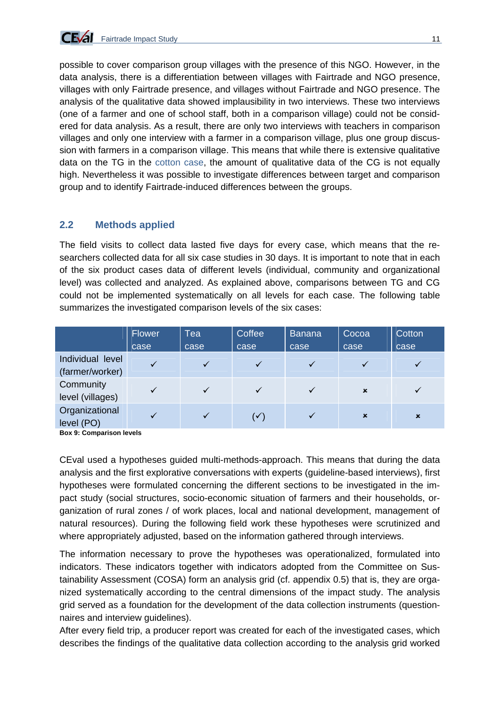possible to cover comparison group villages with the presence of this NGO. However, in the data analysis, there is a differentiation between villages with Fairtrade and NGO presence, villages with only Fairtrade presence, and villages without Fairtrade and NGO presence. The analysis of the qualitative data showed implausibility in two interviews. These two interviews (one of a farmer and one of school staff, both in a comparison village) could not be considered for data analysis. As a result, there are only two interviews with teachers in comparison villages and only one interview with a farmer in a comparison village, plus one group discussion with farmers in a comparison village. This means that while there is extensive qualitative data on the TG in the cotton case, the amount of qualitative data of the CG is not equally high. Nevertheless it was possible to investigate differences between target and comparison group and to identify Fairtrade-induced differences between the groups.

# **2.2 Methods applied**

The field visits to collect data lasted five days for every case, which means that the researchers collected data for all six case studies in 30 days. It is important to note that in each of the six product cases data of different levels (individual, community and organizational level) was collected and analyzed. As explained above, comparisons between TG and CG could not be implemented systematically on all levels for each case. The following table summarizes the investigated comparison levels of the six cases:

|                                     | Flower       | Tea          | Coffee         | <b>Banana</b> | Cocoa                     | Cotton                    |
|-------------------------------------|--------------|--------------|----------------|---------------|---------------------------|---------------------------|
|                                     | case         | case         | case           | case          | case                      | case                      |
| Individual level<br>(farmer/worker) | $\checkmark$ | $\checkmark$ | $\checkmark$   | $\checkmark$  |                           |                           |
| Community<br>level (villages)       | ✓            | $\checkmark$ | ✓              | $\checkmark$  | $\boldsymbol{\mathsf{x}}$ |                           |
| Organizational<br>level (PO)        |              | ✓            | $(\checkmark)$ |               | $\mathbf{x}$              | $\boldsymbol{\mathsf{x}}$ |

**Box 9: Comparison levels** 

CEval used a hypotheses guided multi-methods-approach. This means that during the data analysis and the first explorative conversations with experts (guideline-based interviews), first hypotheses were formulated concerning the different sections to be investigated in the impact study (social structures, socio-economic situation of farmers and their households, organization of rural zones / of work places, local and national development, management of natural resources). During the following field work these hypotheses were scrutinized and where appropriately adjusted, based on the information gathered through interviews.

The information necessary to prove the hypotheses was operationalized, formulated into indicators. These indicators together with indicators adopted from the Committee on Sustainability Assessment (COSA) form an analysis grid (cf. appendix 0.5) that is, they are organized systematically according to the central dimensions of the impact study. The analysis grid served as a foundation for the development of the data collection instruments (questionnaires and interview guidelines).

After every field trip, a producer report was created for each of the investigated cases, which describes the findings of the qualitative data collection according to the analysis grid worked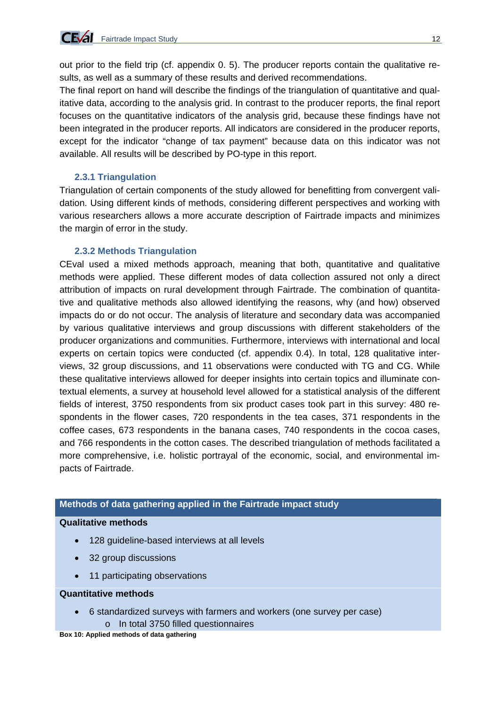out prior to the field trip (cf. appendix 0. 5). The producer reports contain the qualitative results, as well as a summary of these results and derived recommendations.

The final report on hand will describe the findings of the triangulation of quantitative and qualitative data, according to the analysis grid. In contrast to the producer reports, the final report focuses on the quantitative indicators of the analysis grid, because these findings have not been integrated in the producer reports. All indicators are considered in the producer reports, except for the indicator "change of tax payment" because data on this indicator was not available. All results will be described by PO-type in this report.

#### **2.3.1 Triangulation**

Triangulation of certain components of the study allowed for benefitting from convergent validation. Using different kinds of methods, considering different perspectives and working with various researchers allows a more accurate description of Fairtrade impacts and minimizes the margin of error in the study.

#### **2.3.2 Methods Triangulation**

CEval used a mixed methods approach, meaning that both, quantitative and qualitative methods were applied. These different modes of data collection assured not only a direct attribution of impacts on rural development through Fairtrade. The combination of quantitative and qualitative methods also allowed identifying the reasons, why (and how) observed impacts do or do not occur. The analysis of literature and secondary data was accompanied by various qualitative interviews and group discussions with different stakeholders of the producer organizations and communities. Furthermore, interviews with international and local experts on certain topics were conducted (cf. appendix 0.4). In total, 128 qualitative interviews, 32 group discussions, and 11 observations were conducted with TG and CG. While these qualitative interviews allowed for deeper insights into certain topics and illuminate contextual elements, a survey at household level allowed for a statistical analysis of the different fields of interest, 3750 respondents from six product cases took part in this survey: 480 respondents in the flower cases, 720 respondents in the tea cases, 371 respondents in the coffee cases, 673 respondents in the banana cases, 740 respondents in the cocoa cases, and 766 respondents in the cotton cases. The described triangulation of methods facilitated a more comprehensive, i.e. holistic portrayal of the economic, social, and environmental impacts of Fairtrade.

# **Methods of data gathering applied in the Fairtrade impact study**

#### **Qualitative methods**

- 128 guideline-based interviews at all levels
- 32 group discussions
- 11 participating observations

#### **Quantitative methods**

- 6 standardized surveys with farmers and workers (one survey per case)
	- o In total 3750 filled questionnaires

**Box 10: Applied methods of data gathering**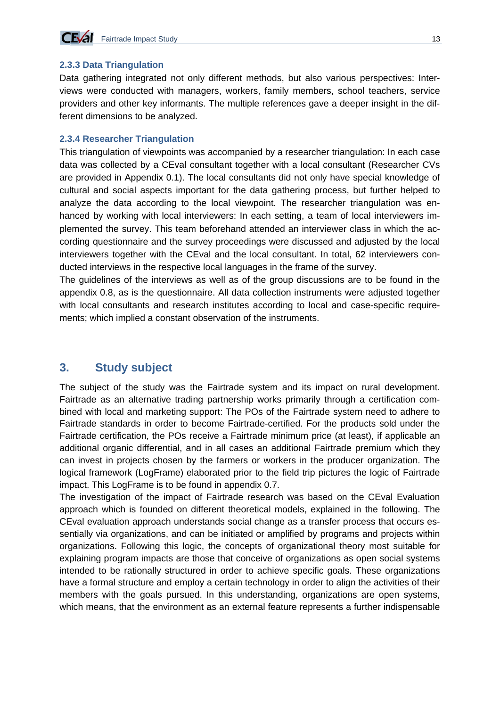

#### **2.3.3 Data Triangulation**

Data gathering integrated not only different methods, but also various perspectives: Interviews were conducted with managers, workers, family members, school teachers, service providers and other key informants. The multiple references gave a deeper insight in the different dimensions to be analyzed.

#### **2.3.4 Researcher Triangulation**

This triangulation of viewpoints was accompanied by a researcher triangulation: In each case data was collected by a CEval consultant together with a local consultant (Researcher CVs are provided in Appendix 0.1). The local consultants did not only have special knowledge of cultural and social aspects important for the data gathering process, but further helped to analyze the data according to the local viewpoint. The researcher triangulation was enhanced by working with local interviewers: In each setting, a team of local interviewers implemented the survey. This team beforehand attended an interviewer class in which the according questionnaire and the survey proceedings were discussed and adjusted by the local interviewers together with the CEval and the local consultant. In total, 62 interviewers conducted interviews in the respective local languages in the frame of the survey.

The guidelines of the interviews as well as of the group discussions are to be found in the appendix 0.8, as is the questionnaire. All data collection instruments were adjusted together with local consultants and research institutes according to local and case-specific requirements; which implied a constant observation of the instruments.

# **3. Study subject**

The subject of the study was the Fairtrade system and its impact on rural development. Fairtrade as an alternative trading partnership works primarily through a certification combined with local and marketing support: The POs of the Fairtrade system need to adhere to Fairtrade standards in order to become Fairtrade-certified. For the products sold under the Fairtrade certification, the POs receive a Fairtrade minimum price (at least), if applicable an additional organic differential, and in all cases an additional Fairtrade premium which they can invest in projects chosen by the farmers or workers in the producer organization. The logical framework (LogFrame) elaborated prior to the field trip pictures the logic of Fairtrade impact. This LogFrame is to be found in appendix 0.7.

The investigation of the impact of Fairtrade research was based on the CEval Evaluation approach which is founded on different theoretical models, explained in the following. The CEval evaluation approach understands social change as a transfer process that occurs essentially via organizations, and can be initiated or amplified by programs and projects within organizations. Following this logic, the concepts of organizational theory most suitable for explaining program impacts are those that conceive of organizations as open social systems intended to be rationally structured in order to achieve specific goals. These organizations have a formal structure and employ a certain technology in order to align the activities of their members with the goals pursued. In this understanding, organizations are open systems, which means, that the environment as an external feature represents a further indispensable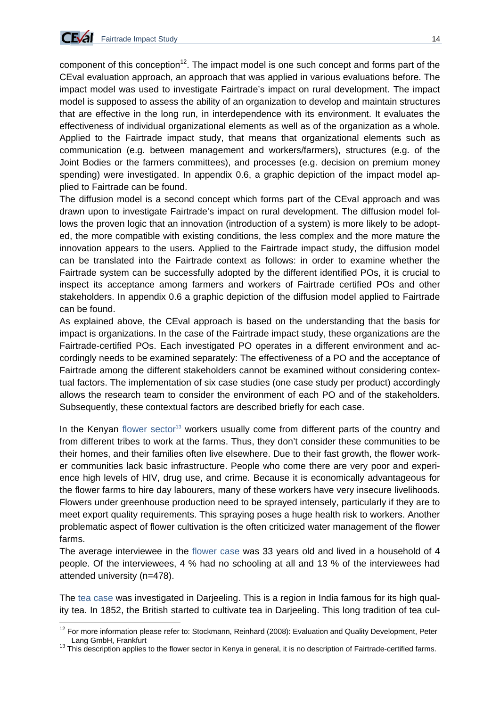1

component of this conception<sup>12</sup>. The impact model is one such concept and forms part of the CEval evaluation approach, an approach that was applied in various evaluations before. The impact model was used to investigate Fairtrade's impact on rural development. The impact model is supposed to assess the ability of an organization to develop and maintain structures that are effective in the long run, in interdependence with its environment. It evaluates the effectiveness of individual organizational elements as well as of the organization as a whole. Applied to the Fairtrade impact study, that means that organizational elements such as communication (e.g. between management and workers/farmers), structures (e.g. of the Joint Bodies or the farmers committees), and processes (e.g. decision on premium money spending) were investigated. In appendix 0.6, a graphic depiction of the impact model applied to Fairtrade can be found.

The diffusion model is a second concept which forms part of the CEval approach and was drawn upon to investigate Fairtrade's impact on rural development. The diffusion model follows the proven logic that an innovation (introduction of a system) is more likely to be adopted, the more compatible with existing conditions, the less complex and the more mature the innovation appears to the users. Applied to the Fairtrade impact study, the diffusion model can be translated into the Fairtrade context as follows: in order to examine whether the Fairtrade system can be successfully adopted by the different identified POs, it is crucial to inspect its acceptance among farmers and workers of Fairtrade certified POs and other stakeholders. In appendix 0.6 a graphic depiction of the diffusion model applied to Fairtrade can be found.

As explained above, the CEval approach is based on the understanding that the basis for impact is organizations. In the case of the Fairtrade impact study, these organizations are the Fairtrade-certified POs. Each investigated PO operates in a different environment and accordingly needs to be examined separately: The effectiveness of a PO and the acceptance of Fairtrade among the different stakeholders cannot be examined without considering contextual factors. The implementation of six case studies (one case study per product) accordingly allows the research team to consider the environment of each PO and of the stakeholders. Subsequently, these contextual factors are described briefly for each case.

In the Kenyan flower sector<sup>13</sup> workers usually come from different parts of the country and from different tribes to work at the farms. Thus, they don't consider these communities to be their homes, and their families often live elsewhere. Due to their fast growth, the flower worker communities lack basic infrastructure. People who come there are very poor and experience high levels of HIV, drug use, and crime. Because it is economically advantageous for the flower farms to hire day labourers, many of these workers have very insecure livelihoods. Flowers under greenhouse production need to be sprayed intensely, particularly if they are to meet export quality requirements. This spraying poses a huge health risk to workers. Another problematic aspect of flower cultivation is the often criticized water management of the flower farms.

The average interviewee in the flower case was 33 years old and lived in a household of 4 people. Of the interviewees, 4 % had no schooling at all and 13 % of the interviewees had attended university (n=478).

The tea case was investigated in Darjeeling. This is a region in India famous for its high quality tea. In 1852, the British started to cultivate tea in Darjeeling. This long tradition of tea cul-

<sup>&</sup>lt;sup>12</sup> For more information please refer to: Stockmann, Reinhard (2008): Evaluation and Quality Development, Peter Lang GmbH, Frankfurt<br><sup>13</sup> This description applies to the flower sector in Kenya in general, it is no description of Fairtrade-certified farms.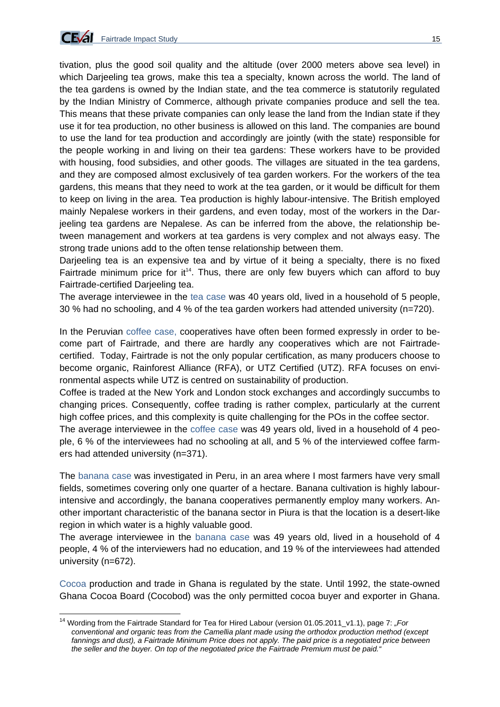

<u>.</u>

tivation, plus the good soil quality and the altitude (over 2000 meters above sea level) in which Darjeeling tea grows, make this tea a specialty, known across the world. The land of the tea gardens is owned by the Indian state, and the tea commerce is statutorily regulated by the Indian Ministry of Commerce, although private companies produce and sell the tea. This means that these private companies can only lease the land from the Indian state if they use it for tea production, no other business is allowed on this land. The companies are bound to use the land for tea production and accordingly are jointly (with the state) responsible for the people working in and living on their tea gardens: These workers have to be provided with housing, food subsidies, and other goods. The villages are situated in the tea gardens, and they are composed almost exclusively of tea garden workers. For the workers of the tea gardens, this means that they need to work at the tea garden, or it would be difficult for them to keep on living in the area. Tea production is highly labour-intensive. The British employed mainly Nepalese workers in their gardens, and even today, most of the workers in the Darjeeling tea gardens are Nepalese. As can be inferred from the above, the relationship between management and workers at tea gardens is very complex and not always easy. The strong trade unions add to the often tense relationship between them.

Darjeeling tea is an expensive tea and by virtue of it being a specialty, there is no fixed Fairtrade minimum price for  $it^{14}$ . Thus, there are only few buyers which can afford to buy Fairtrade-certified Darjeeling tea.

The average interviewee in the tea case was 40 years old, lived in a household of 5 people, 30 % had no schooling, and 4 % of the tea garden workers had attended university (n=720).

In the Peruvian coffee case, cooperatives have often been formed expressly in order to become part of Fairtrade, and there are hardly any cooperatives which are not Fairtradecertified. Today, Fairtrade is not the only popular certification, as many producers choose to become organic, Rainforest Alliance (RFA), or UTZ Certified (UTZ). RFA focuses on environmental aspects while UTZ is centred on sustainability of production.

Coffee is traded at the New York and London stock exchanges and accordingly succumbs to changing prices. Consequently, coffee trading is rather complex, particularly at the current high coffee prices, and this complexity is quite challenging for the POs in the coffee sector.

The average interviewee in the coffee case was 49 years old, lived in a household of 4 people, 6 % of the interviewees had no schooling at all, and 5 % of the interviewed coffee farmers had attended university (n=371).

The banana case was investigated in Peru, in an area where I most farmers have very small fields, sometimes covering only one quarter of a hectare. Banana cultivation is highly labourintensive and accordingly, the banana cooperatives permanently employ many workers. Another important characteristic of the banana sector in Piura is that the location is a desert-like region in which water is a highly valuable good.

The average interviewee in the banana case was 49 years old, lived in a household of 4 people, 4 % of the interviewers had no education, and 19 % of the interviewees had attended university (n=672).

Cocoa production and trade in Ghana is regulated by the state. Until 1992, the state-owned Ghana Cocoa Board (Cocobod) was the only permitted cocoa buyer and exporter in Ghana.

<sup>&</sup>lt;sup>14</sup> Wording from the Fairtrade Standard for Tea for Hired Labour (version 01.05.2011\_v1.1), page 7: "For *conventional and organic teas from the Camellia plant made using the orthodox production method (except*  fannings and dust), a Fairtrade Minimum Price does not apply. The paid price is a negotiated price between *the seller and the buyer. On top of the negotiated price the Fairtrade Premium must be paid."*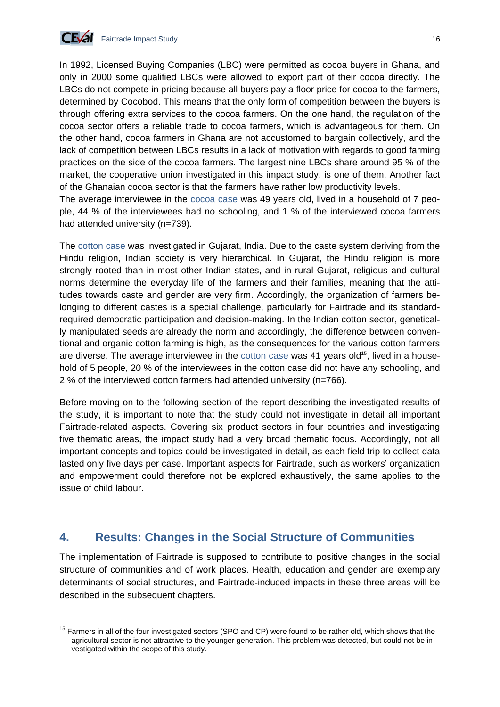

1

In 1992, Licensed Buying Companies (LBC) were permitted as cocoa buyers in Ghana, and only in 2000 some qualified LBCs were allowed to export part of their cocoa directly. The LBCs do not compete in pricing because all buyers pay a floor price for cocoa to the farmers, determined by Cocobod. This means that the only form of competition between the buyers is through offering extra services to the cocoa farmers. On the one hand, the regulation of the cocoa sector offers a reliable trade to cocoa farmers, which is advantageous for them. On the other hand, cocoa farmers in Ghana are not accustomed to bargain collectively, and the lack of competition between LBCs results in a lack of motivation with regards to good farming practices on the side of the cocoa farmers. The largest nine LBCs share around 95 % of the market, the cooperative union investigated in this impact study, is one of them. Another fact of the Ghanaian cocoa sector is that the farmers have rather low productivity levels.

The average interviewee in the cocoa case was 49 years old, lived in a household of 7 people, 44 % of the interviewees had no schooling, and 1 % of the interviewed cocoa farmers had attended university (n=739).

The cotton case was investigated in Gujarat, India. Due to the caste system deriving from the Hindu religion, Indian society is very hierarchical. In Gujarat, the Hindu religion is more strongly rooted than in most other Indian states, and in rural Gujarat, religious and cultural norms determine the everyday life of the farmers and their families, meaning that the attitudes towards caste and gender are very firm. Accordingly, the organization of farmers belonging to different castes is a special challenge, particularly for Fairtrade and its standardrequired democratic participation and decision-making. In the Indian cotton sector, genetically manipulated seeds are already the norm and accordingly, the difference between conventional and organic cotton farming is high, as the consequences for the various cotton farmers are diverse. The average interviewee in the cotton case was 41 years old<sup>15</sup>, lived in a household of 5 people, 20 % of the interviewees in the cotton case did not have any schooling, and 2 % of the interviewed cotton farmers had attended university (n=766).

Before moving on to the following section of the report describing the investigated results of the study, it is important to note that the study could not investigate in detail all important Fairtrade-related aspects. Covering six product sectors in four countries and investigating five thematic areas, the impact study had a very broad thematic focus. Accordingly, not all important concepts and topics could be investigated in detail, as each field trip to collect data lasted only five days per case. Important aspects for Fairtrade, such as workers' organization and empowerment could therefore not be explored exhaustively, the same applies to the issue of child labour.

# **4. Results: Changes in the Social Structure of Communities**

The implementation of Fairtrade is supposed to contribute to positive changes in the social structure of communities and of work places. Health, education and gender are exemplary determinants of social structures, and Fairtrade-induced impacts in these three areas will be described in the subsequent chapters.

 $15$  Farmers in all of the four investigated sectors (SPO and CP) were found to be rather old, which shows that the agricultural sector is not attractive to the younger generation. This problem was detected, but could not be investigated within the scope of this study.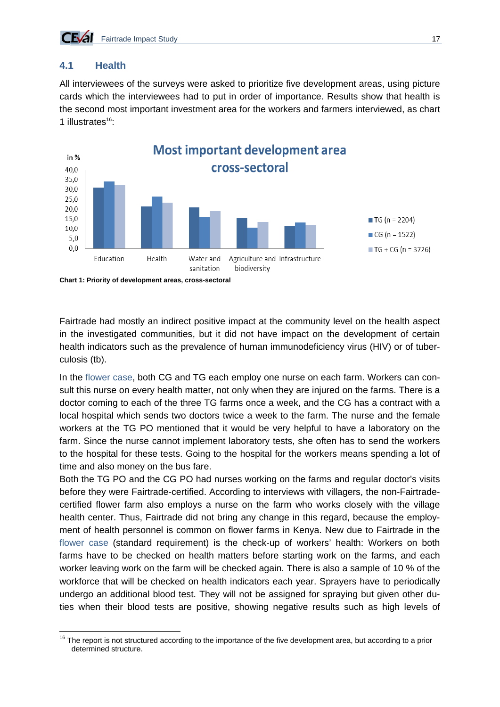

#### **4.1 Health**

All interviewees of the surveys were asked to prioritize five development areas, using picture cards which the interviewees had to put in order of importance. Results show that health is the second most important investment area for the workers and farmers interviewed, as chart 1 illustrates<sup>16</sup>:



**Chart 1: Priority of development areas, cross-sectoral** 

Fairtrade had mostly an indirect positive impact at the community level on the health aspect in the investigated communities, but it did not have impact on the development of certain health indicators such as the prevalence of human immunodeficiency virus (HIV) or of tuberculosis (tb).

In the flower case, both CG and TG each employ one nurse on each farm. Workers can consult this nurse on every health matter, not only when they are injured on the farms. There is a doctor coming to each of the three TG farms once a week, and the CG has a contract with a local hospital which sends two doctors twice a week to the farm. The nurse and the female workers at the TG PO mentioned that it would be very helpful to have a laboratory on the farm. Since the nurse cannot implement laboratory tests, she often has to send the workers to the hospital for these tests. Going to the hospital for the workers means spending a lot of time and also money on the bus fare.

Both the TG PO and the CG PO had nurses working on the farms and regular doctor's visits before they were Fairtrade-certified. According to interviews with villagers, the non-Fairtradecertified flower farm also employs a nurse on the farm who works closely with the village health center. Thus, Fairtrade did not bring any change in this regard, because the employment of health personnel is common on flower farms in Kenya. New due to Fairtrade in the flower case (standard requirement) is the check-up of workers' health: Workers on both farms have to be checked on health matters before starting work on the farms, and each worker leaving work on the farm will be checked again. There is also a sample of 10 % of the workforce that will be checked on health indicators each year. Sprayers have to periodically undergo an additional blood test. They will not be assigned for spraying but given other duties when their blood tests are positive, showing negative results such as high levels of

<sup>1</sup> <sup>16</sup> The report is not structured according to the importance of the five development area, but according to a prior determined structure.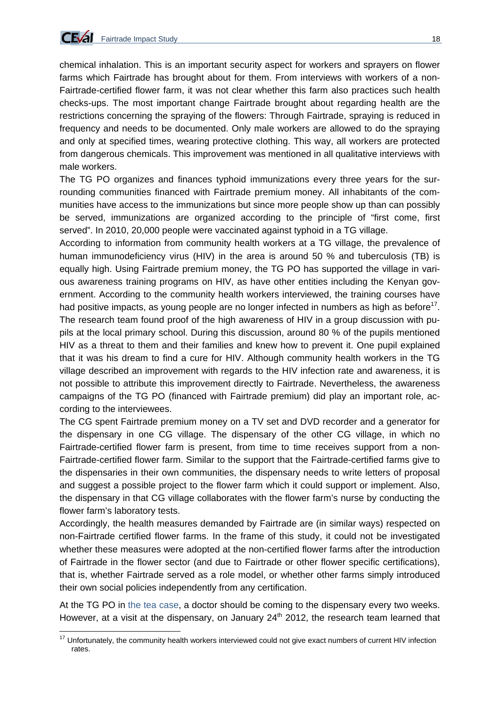

1

chemical inhalation. This is an important security aspect for workers and sprayers on flower farms which Fairtrade has brought about for them. From interviews with workers of a non-Fairtrade-certified flower farm, it was not clear whether this farm also practices such health checks-ups. The most important change Fairtrade brought about regarding health are the restrictions concerning the spraying of the flowers: Through Fairtrade, spraying is reduced in frequency and needs to be documented. Only male workers are allowed to do the spraying and only at specified times, wearing protective clothing. This way, all workers are protected from dangerous chemicals. This improvement was mentioned in all qualitative interviews with male workers.

The TG PO organizes and finances typhoid immunizations every three years for the surrounding communities financed with Fairtrade premium money. All inhabitants of the communities have access to the immunizations but since more people show up than can possibly be served, immunizations are organized according to the principle of "first come, first served". In 2010, 20,000 people were vaccinated against typhoid in a TG village.

According to information from community health workers at a TG village, the prevalence of human immunodeficiency virus (HIV) in the area is around 50 % and tuberculosis (TB) is equally high. Using Fairtrade premium money, the TG PO has supported the village in various awareness training programs on HIV, as have other entities including the Kenyan government. According to the community health workers interviewed, the training courses have had positive impacts, as young people are no longer infected in numbers as high as before<sup>17</sup>. The research team found proof of the high awareness of HIV in a group discussion with pupils at the local primary school. During this discussion, around 80 % of the pupils mentioned HIV as a threat to them and their families and knew how to prevent it. One pupil explained that it was his dream to find a cure for HIV. Although community health workers in the TG village described an improvement with regards to the HIV infection rate and awareness, it is not possible to attribute this improvement directly to Fairtrade. Nevertheless, the awareness campaigns of the TG PO (financed with Fairtrade premium) did play an important role, according to the interviewees.

The CG spent Fairtrade premium money on a TV set and DVD recorder and a generator for the dispensary in one CG village. The dispensary of the other CG village, in which no Fairtrade-certified flower farm is present, from time to time receives support from a non-Fairtrade-certified flower farm. Similar to the support that the Fairtrade-certified farms give to the dispensaries in their own communities, the dispensary needs to write letters of proposal and suggest a possible project to the flower farm which it could support or implement. Also, the dispensary in that CG village collaborates with the flower farm's nurse by conducting the flower farm's laboratory tests.

Accordingly, the health measures demanded by Fairtrade are (in similar ways) respected on non-Fairtrade certified flower farms. In the frame of this study, it could not be investigated whether these measures were adopted at the non-certified flower farms after the introduction of Fairtrade in the flower sector (and due to Fairtrade or other flower specific certifications), that is, whether Fairtrade served as a role model, or whether other farms simply introduced their own social policies independently from any certification.

At the TG PO in the tea case, a doctor should be coming to the dispensary every two weeks. However, at a visit at the dispensary, on January 24<sup>th</sup> 2012, the research team learned that

 $17$  Unfortunately, the community health workers interviewed could not give exact numbers of current HIV infection rates.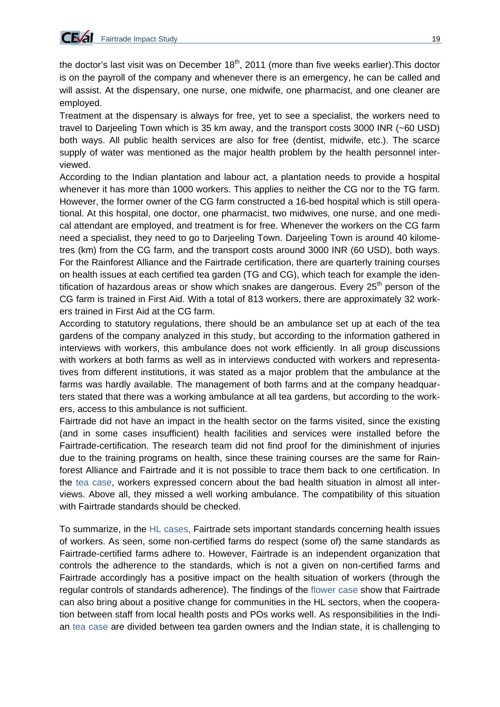

the doctor's last visit was on December  $18<sup>th</sup>$ , 2011 (more than five weeks earlier). This doctor is on the payroll of the company and whenever there is an emergency, he can be called and will assist. At the dispensary, one nurse, one midwife, one pharmacist, and one cleaner are employed.

Treatment at the dispensary is always for free, yet to see a specialist, the workers need to travel to Darjeeling Town which is 35 km away, and the transport costs 3000 INR (~60 USD) both ways. All public health services are also for free (dentist, midwife, etc.). The scarce supply of water was mentioned as the major health problem by the health personnel interviewed.

According to the Indian plantation and labour act, a plantation needs to provide a hospital whenever it has more than 1000 workers. This applies to neither the CG nor to the TG farm. However, the former owner of the CG farm constructed a 16-bed hospital which is still operational. At this hospital, one doctor, one pharmacist, two midwives, one nurse, and one medical attendant are employed, and treatment is for free. Whenever the workers on the CG farm need a specialist, they need to go to Darjeeling Town. Darjeeling Town is around 40 kilometres (km) from the CG farm, and the transport costs around 3000 INR (60 USD), both ways. For the Rainforest Alliance and the Fairtrade certification, there are quarterly training courses on health issues at each certified tea garden (TG and CG), which teach for example the identification of hazardous areas or show which snakes are dangerous. Every  $25<sup>th</sup>$  person of the CG farm is trained in First Aid. With a total of 813 workers, there are approximately 32 workers trained in First Aid at the CG farm.

According to statutory regulations, there should be an ambulance set up at each of the tea gardens of the company analyzed in this study, but according to the information gathered in interviews with workers, this ambulance does not work efficiently. In all group discussions with workers at both farms as well as in interviews conducted with workers and representatives from different institutions, it was stated as a major problem that the ambulance at the farms was hardly available. The management of both farms and at the company headquarters stated that there was a working ambulance at all tea gardens, but according to the workers, access to this ambulance is not sufficient.

Fairtrade did not have an impact in the health sector on the farms visited, since the existing (and in some cases insufficient) health facilities and services were installed before the Fairtrade-certification. The research team did not find proof for the diminishment of injuries due to the training programs on health, since these training courses are the same for Rainforest Alliance and Fairtrade and it is not possible to trace them back to one certification. In the tea case, workers expressed concern about the bad health situation in almost all interviews. Above all, they missed a well working ambulance. The compatibility of this situation with Fairtrade standards should be checked.

To summarize, in the HL cases, Fairtrade sets important standards concerning health issues of workers. As seen, some non-certified farms do respect (some of) the same standards as Fairtrade-certified farms adhere to. However, Fairtrade is an independent organization that controls the adherence to the standards, which is not a given on non-certified farms and Fairtrade accordingly has a positive impact on the health situation of workers (through the regular controls of standards adherence). The findings of the flower case show that Fairtrade can also bring about a positive change for communities in the HL sectors, when the cooperation between staff from local health posts and POs works well. As responsibilities in the Indian tea case are divided between tea garden owners and the Indian state, it is challenging to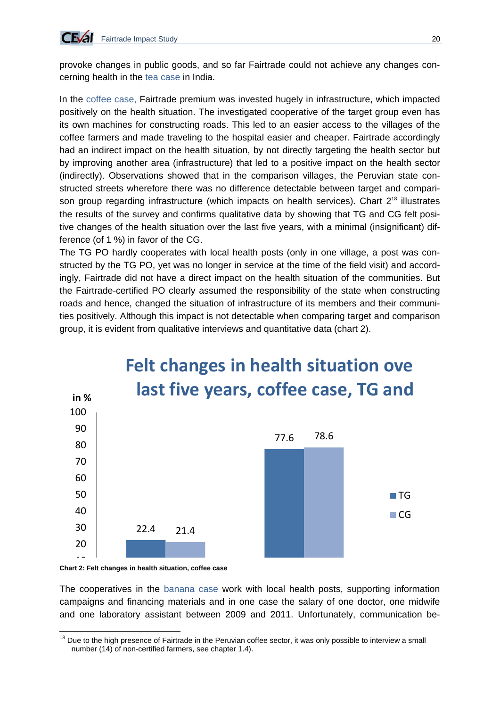

provoke changes in public goods, and so far Fairtrade could not achieve any changes concerning health in the tea case in India.

In the coffee case, Fairtrade premium was invested hugely in infrastructure, which impacted positively on the health situation. The investigated cooperative of the target group even has its own machines for constructing roads. This led to an easier access to the villages of the coffee farmers and made traveling to the hospital easier and cheaper. Fairtrade accordingly had an indirect impact on the health situation, by not directly targeting the health sector but by improving another area (infrastructure) that led to a positive impact on the health sector (indirectly). Observations showed that in the comparison villages, the Peruvian state constructed streets wherefore there was no difference detectable between target and comparison group regarding infrastructure (which impacts on health services). Chart 2<sup>18</sup> illustrates the results of the survey and confirms qualitative data by showing that TG and CG felt positive changes of the health situation over the last five years, with a minimal (insignificant) difference (of 1 %) in favor of the CG.

The TG PO hardly cooperates with local health posts (only in one village, a post was constructed by the TG PO, yet was no longer in service at the time of the field visit) and accordingly, Fairtrade did not have a direct impact on the health situation of the communities. But the Fairtrade-certified PO clearly assumed the responsibility of the state when constructing roads and hence, changed the situation of infrastructure of its members and their communities positively. Although this impact is not detectable when comparing target and comparison group, it is evident from qualitative interviews and quantitative data (chart 2).



# **Felt changes in health situation ove**

1

The cooperatives in the banana case work with local health posts, supporting information campaigns and financing materials and in one case the salary of one doctor, one midwife and one laboratory assistant between 2009 and 2011. Unfortunately, communication be-

<sup>10</sup> **Chart 2: Felt changes in health situation, coffee case** 

 $18$  Due to the high presence of Fairtrade in the Peruvian coffee sector, it was only possible to interview a small number (14) of non-certified farmers, see chapter 1.4).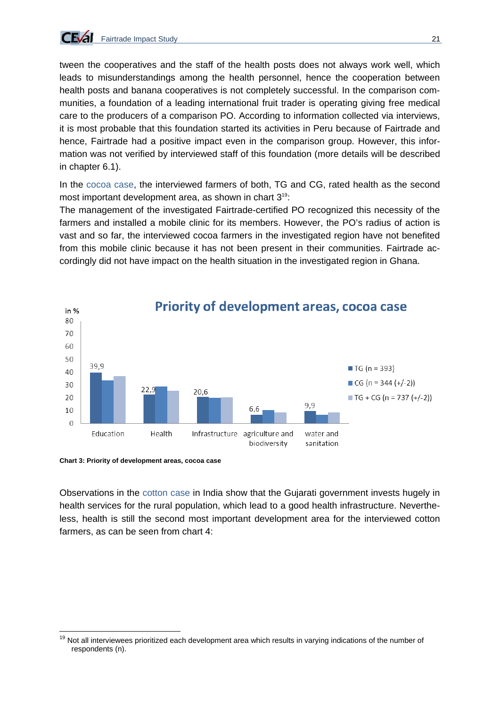

tween the cooperatives and the staff of the health posts does not always work well, which leads to misunderstandings among the health personnel, hence the cooperation between health posts and banana cooperatives is not completely successful. In the comparison communities, a foundation of a leading international fruit trader is operating giving free medical care to the producers of a comparison PO. According to information collected via interviews, it is most probable that this foundation started its activities in Peru because of Fairtrade and hence, Fairtrade had a positive impact even in the comparison group. However, this information was not verified by interviewed staff of this foundation (more details will be described in chapter 6.1).

In the cocoa case, the interviewed farmers of both, TG and CG, rated health as the second most important development area, as shown in chart 3<sup>19</sup>:

The management of the investigated Fairtrade-certified PO recognized this necessity of the farmers and installed a mobile clinic for its members. However, the PO's radius of action is vast and so far, the interviewed cocoa farmers in the investigated region have not benefited from this mobile clinic because it has not been present in their communities. Fairtrade accordingly did not have impact on the health situation in the investigated region in Ghana.



**Chart 3: Priority of development areas, cocoa case** 

1

Observations in the cotton case in India show that the Gujarati government invests hugely in health services for the rural population, which lead to a good health infrastructure. Nevertheless, health is still the second most important development area for the interviewed cotton farmers, as can be seen from chart 4:

<sup>&</sup>lt;sup>19</sup> Not all interviewees prioritized each development area which results in varying indications of the number of respondents (n).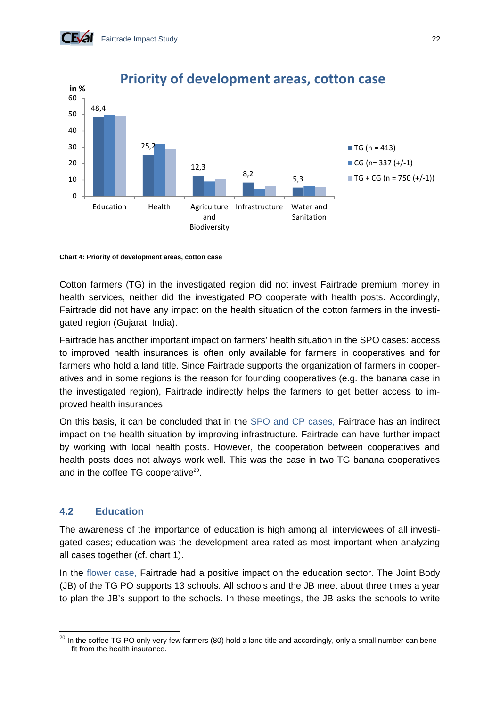

**Chart 4: Priority of development areas, cotton case** 

Cotton farmers (TG) in the investigated region did not invest Fairtrade premium money in health services, neither did the investigated PO cooperate with health posts. Accordingly, Fairtrade did not have any impact on the health situation of the cotton farmers in the investigated region (Gujarat, India).

Fairtrade has another important impact on farmers' health situation in the SPO cases: access to improved health insurances is often only available for farmers in cooperatives and for farmers who hold a land title. Since Fairtrade supports the organization of farmers in cooperatives and in some regions is the reason for founding cooperatives (e.g. the banana case in the investigated region), Fairtrade indirectly helps the farmers to get better access to improved health insurances.

On this basis, it can be concluded that in the SPO and CP cases, Fairtrade has an indirect impact on the health situation by improving infrastructure. Fairtrade can have further impact by working with local health posts. However, the cooperation between cooperatives and health posts does not always work well. This was the case in two TG banana cooperatives and in the coffee TG cooperative<sup>20</sup>.

# **4.2 Education**

The awareness of the importance of education is high among all interviewees of all investigated cases; education was the development area rated as most important when analyzing all cases together (cf. chart 1).

In the flower case, Fairtrade had a positive impact on the education sector. The Joint Body (JB) of the TG PO supports 13 schools. All schools and the JB meet about three times a year to plan the JB's support to the schools. In these meetings, the JB asks the schools to write

<sup>1</sup>  $^{20}$  In the coffee TG PO only very few farmers (80) hold a land title and accordingly, only a small number can benefit from the health insurance.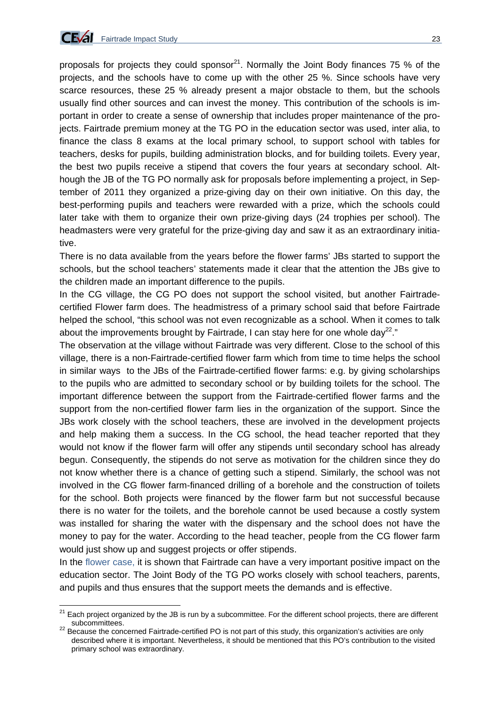

1

proposals for projects they could sponsor<sup>21</sup>. Normally the Joint Body finances 75 % of the projects, and the schools have to come up with the other 25 %. Since schools have very scarce resources, these 25 % already present a major obstacle to them, but the schools usually find other sources and can invest the money. This contribution of the schools is important in order to create a sense of ownership that includes proper maintenance of the projects. Fairtrade premium money at the TG PO in the education sector was used, inter alia, to finance the class 8 exams at the local primary school, to support school with tables for teachers, desks for pupils, building administration blocks, and for building toilets. Every year, the best two pupils receive a stipend that covers the four years at secondary school. Although the JB of the TG PO normally ask for proposals before implementing a project, in September of 2011 they organized a prize-giving day on their own initiative. On this day, the best-performing pupils and teachers were rewarded with a prize, which the schools could later take with them to organize their own prize-giving days (24 trophies per school). The headmasters were very grateful for the prize-giving day and saw it as an extraordinary initiative.

There is no data available from the years before the flower farms' JBs started to support the schools, but the school teachers' statements made it clear that the attention the JBs give to the children made an important difference to the pupils.

In the CG village, the CG PO does not support the school visited, but another Fairtradecertified Flower farm does. The headmistress of a primary school said that before Fairtrade helped the school, "this school was not even recognizable as a school. When it comes to talk about the improvements brought by Fairtrade, I can stay here for one whole day<sup>22</sup>."

The observation at the village without Fairtrade was very different. Close to the school of this village, there is a non-Fairtrade-certified flower farm which from time to time helps the school in similar ways to the JBs of the Fairtrade-certified flower farms: e.g. by giving scholarships to the pupils who are admitted to secondary school or by building toilets for the school. The important difference between the support from the Fairtrade-certified flower farms and the support from the non-certified flower farm lies in the organization of the support. Since the JBs work closely with the school teachers, these are involved in the development projects and help making them a success. In the CG school, the head teacher reported that they would not know if the flower farm will offer any stipends until secondary school has already begun. Consequently, the stipends do not serve as motivation for the children since they do not know whether there is a chance of getting such a stipend. Similarly, the school was not involved in the CG flower farm-financed drilling of a borehole and the construction of toilets for the school. Both projects were financed by the flower farm but not successful because there is no water for the toilets, and the borehole cannot be used because a costly system was installed for sharing the water with the dispensary and the school does not have the money to pay for the water. According to the head teacher, people from the CG flower farm would just show up and suggest projects or offer stipends.

In the flower case, it is shown that Fairtrade can have a very important positive impact on the education sector. The Joint Body of the TG PO works closely with school teachers, parents, and pupils and thus ensures that the support meets the demands and is effective.

<sup>&</sup>lt;sup>21</sup> Each project organized by the JB is run by a subcommittee. For the different school projects, there are different

subcommittees.<br><sup>22</sup> Because the concerned Fairtrade-certified PO is not part of this study, this organization's activities are only described where it is important. Nevertheless, it should be mentioned that this PO's contribution to the visited primary school was extraordinary.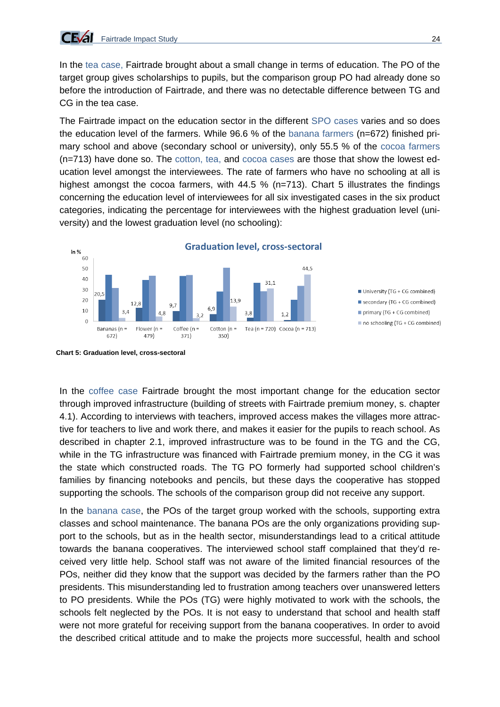In the tea case, Fairtrade brought about a small change in terms of education. The PO of the target group gives scholarships to pupils, but the comparison group PO had already done so before the introduction of Fairtrade, and there was no detectable difference between TG and CG in the tea case.

The Fairtrade impact on the education sector in the different SPO cases varies and so does the education level of the farmers. While 96.6 % of the banana farmers (n=672) finished primary school and above (secondary school or university), only 55.5 % of the cocoa farmers (n=713) have done so. The cotton, tea, and cocoa cases are those that show the lowest education level amongst the interviewees. The rate of farmers who have no schooling at all is highest amongst the cocoa farmers, with 44.5 % (n=713). Chart 5 illustrates the findings concerning the education level of interviewees for all six investigated cases in the six product categories, indicating the percentage for interviewees with the highest graduation level (university) and the lowest graduation level (no schooling):



**Chart 5: Graduation level, cross-sectoral** 

In the coffee case Fairtrade brought the most important change for the education sector through improved infrastructure (building of streets with Fairtrade premium money, s. chapter 4.1). According to interviews with teachers, improved access makes the villages more attractive for teachers to live and work there, and makes it easier for the pupils to reach school. As described in chapter 2.1, improved infrastructure was to be found in the TG and the CG, while in the TG infrastructure was financed with Fairtrade premium money, in the CG it was the state which constructed roads. The TG PO formerly had supported school children's families by financing notebooks and pencils, but these days the cooperative has stopped supporting the schools. The schools of the comparison group did not receive any support.

In the banana case, the POs of the target group worked with the schools, supporting extra classes and school maintenance. The banana POs are the only organizations providing support to the schools, but as in the health sector, misunderstandings lead to a critical attitude towards the banana cooperatives. The interviewed school staff complained that they'd received very little help. School staff was not aware of the limited financial resources of the POs, neither did they know that the support was decided by the farmers rather than the PO presidents. This misunderstanding led to frustration among teachers over unanswered letters to PO presidents. While the POs (TG) were highly motivated to work with the schools, the schools felt neglected by the POs. It is not easy to understand that school and health staff were not more grateful for receiving support from the banana cooperatives. In order to avoid the described critical attitude and to make the projects more successful, health and school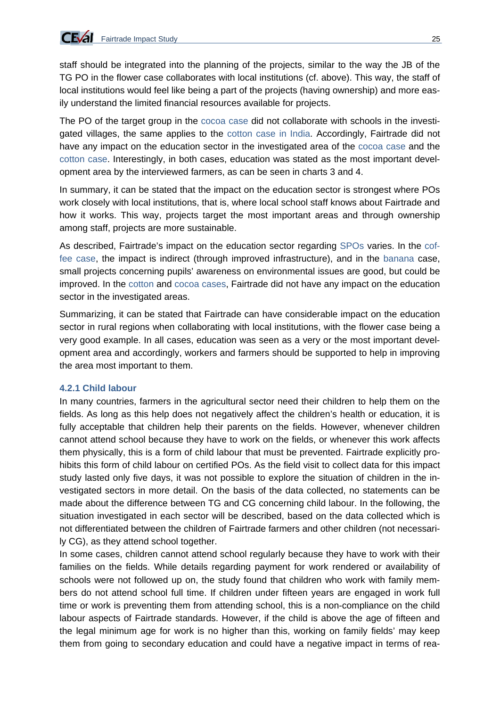staff should be integrated into the planning of the projects, similar to the way the JB of the TG PO in the flower case collaborates with local institutions (cf. above). This way, the staff of local institutions would feel like being a part of the projects (having ownership) and more easily understand the limited financial resources available for projects.

The PO of the target group in the cocoa case did not collaborate with schools in the investigated villages, the same applies to the cotton case in India. Accordingly, Fairtrade did not have any impact on the education sector in the investigated area of the cocoa case and the cotton case. Interestingly, in both cases, education was stated as the most important development area by the interviewed farmers, as can be seen in charts 3 and 4.

In summary, it can be stated that the impact on the education sector is strongest where POs work closely with local institutions, that is, where local school staff knows about Fairtrade and how it works. This way, projects target the most important areas and through ownership among staff, projects are more sustainable.

As described, Fairtrade's impact on the education sector regarding SPOs varies. In the coffee case, the impact is indirect (through improved infrastructure), and in the banana case, small projects concerning pupils' awareness on environmental issues are good, but could be improved. In the cotton and cocoa cases, Fairtrade did not have any impact on the education sector in the investigated areas.

Summarizing, it can be stated that Fairtrade can have considerable impact on the education sector in rural regions when collaborating with local institutions, with the flower case being a very good example. In all cases, education was seen as a very or the most important development area and accordingly, workers and farmers should be supported to help in improving the area most important to them.

#### **4.2.1 Child labour**

In many countries, farmers in the agricultural sector need their children to help them on the fields. As long as this help does not negatively affect the children's health or education, it is fully acceptable that children help their parents on the fields. However, whenever children cannot attend school because they have to work on the fields, or whenever this work affects them physically, this is a form of child labour that must be prevented. Fairtrade explicitly prohibits this form of child labour on certified POs. As the field visit to collect data for this impact study lasted only five days, it was not possible to explore the situation of children in the investigated sectors in more detail. On the basis of the data collected, no statements can be made about the difference between TG and CG concerning child labour. In the following, the situation investigated in each sector will be described, based on the data collected which is not differentiated between the children of Fairtrade farmers and other children (not necessarily CG), as they attend school together.

In some cases, children cannot attend school regularly because they have to work with their families on the fields. While details regarding payment for work rendered or availability of schools were not followed up on, the study found that children who work with family members do not attend school full time. If children under fifteen years are engaged in work full time or work is preventing them from attending school, this is a non-compliance on the child labour aspects of Fairtrade standards. However, if the child is above the age of fifteen and the legal minimum age for work is no higher than this, working on family fields' may keep them from going to secondary education and could have a negative impact in terms of rea-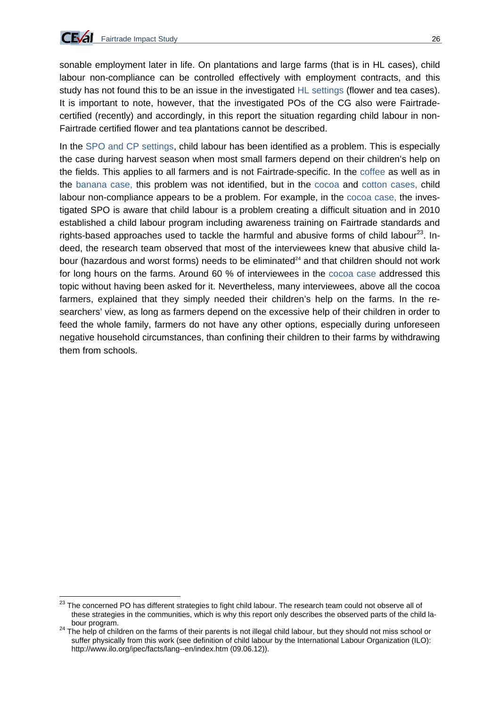sonable employment later in life. On plantations and large farms (that is in HL cases), child labour non-compliance can be controlled effectively with employment contracts, and this study has not found this to be an issue in the investigated HL settings (flower and tea cases). It is important to note, however, that the investigated POs of the CG also were Fairtradecertified (recently) and accordingly, in this report the situation regarding child labour in non-Fairtrade certified flower and tea plantations cannot be described.

In the SPO and CP settings, child labour has been identified as a problem. This is especially the case during harvest season when most small farmers depend on their children's help on the fields. This applies to all farmers and is not Fairtrade-specific. In the coffee as well as in the banana case, this problem was not identified, but in the cocoa and cotton cases, child labour non-compliance appears to be a problem. For example, in the cocoa case, the investigated SPO is aware that child labour is a problem creating a difficult situation and in 2010 established a child labour program including awareness training on Fairtrade standards and rights-based approaches used to tackle the harmful and abusive forms of child labour<sup>23</sup>. Indeed, the research team observed that most of the interviewees knew that abusive child labour (hazardous and worst forms) needs to be eliminated $24$  and that children should not work for long hours on the farms. Around 60 % of interviewees in the cocoa case addressed this topic without having been asked for it. Nevertheless, many interviewees, above all the cocoa farmers, explained that they simply needed their children's help on the farms. In the researchers' view, as long as farmers depend on the excessive help of their children in order to feed the whole family, farmers do not have any other options, especially during unforeseen negative household circumstances, than confining their children to their farms by withdrawing them from schools.

 $\overline{\phantom{a}}$ <sup>23</sup> The concerned PO has different strategies to fight child labour. The research team could not observe all of these strategies in the communities, which is why this report only describes the observed parts of the child la-

bour program.<br><sup>24</sup> The help of children on the farms of their parents is not illegal child labour, but they should not miss school or suffer physically from this work (see definition of child labour by the International Labour Organization (ILO): http://www.ilo.org/ipec/facts/lang--en/index.htm (09.06.12)).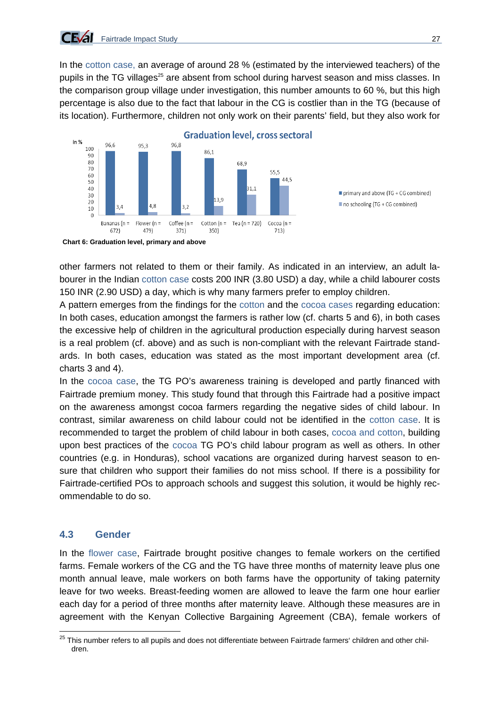In the cotton case, an average of around 28 % (estimated by the interviewed teachers) of the pupils in the TG villages<sup>25</sup> are absent from school during harvest season and miss classes. In the comparison group village under investigation, this number amounts to 60 %, but this high percentage is also due to the fact that labour in the CG is costlier than in the TG (because of its location). Furthermore, children not only work on their parents' field, but they also work for



#### **Chart 6: Graduation level, primary and above**

other farmers not related to them or their family. As indicated in an interview, an adult labourer in the Indian cotton case costs 200 INR (3.80 USD) a day, while a child labourer costs 150 INR (2.90 USD) a day, which is why many farmers prefer to employ children.

A pattern emerges from the findings for the cotton and the cocoa cases regarding education: In both cases, education amongst the farmers is rather low (cf. charts 5 and 6), in both cases the excessive help of children in the agricultural production especially during harvest season is a real problem (cf. above) and as such is non-compliant with the relevant Fairtrade standards. In both cases, education was stated as the most important development area (cf. charts 3 and 4).

In the cocoa case, the TG PO's awareness training is developed and partly financed with Fairtrade premium money. This study found that through this Fairtrade had a positive impact on the awareness amongst cocoa farmers regarding the negative sides of child labour. In contrast, similar awareness on child labour could not be identified in the cotton case. It is recommended to target the problem of child labour in both cases, cocoa and cotton, building upon best practices of the cocoa TG PO's child labour program as well as others. In other countries (e.g. in Honduras), school vacations are organized during harvest season to ensure that children who support their families do not miss school. If there is a possibility for Fairtrade-certified POs to approach schools and suggest this solution, it would be highly recommendable to do so.

#### **4.3 Gender**

In the flower case, Fairtrade brought positive changes to female workers on the certified farms. Female workers of the CG and the TG have three months of maternity leave plus one month annual leave, male workers on both farms have the opportunity of taking paternity leave for two weeks. Breast-feeding women are allowed to leave the farm one hour earlier each day for a period of three months after maternity leave. Although these measures are in agreement with the Kenyan Collective Bargaining Agreement (CBA), female workers of

<sup>1</sup>  $^{25}$  This number refers to all pupils and does not differentiate between Fairtrade farmers' children and other children.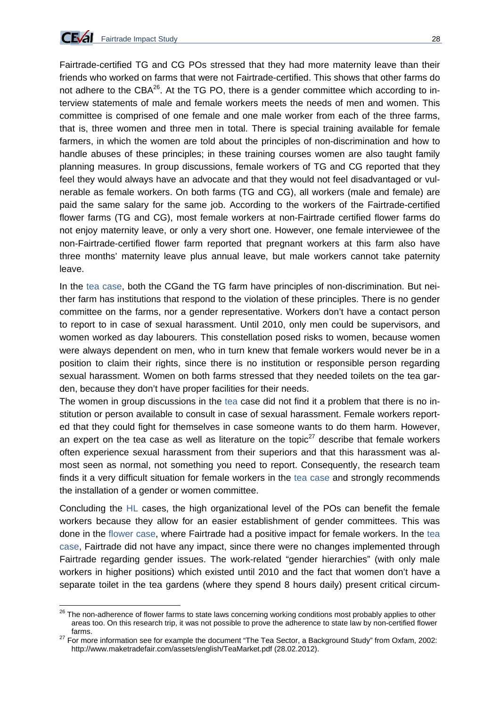Fairtrade-certified TG and CG POs stressed that they had more maternity leave than their friends who worked on farms that were not Fairtrade-certified. This shows that other farms do not adhere to the CBA<sup>26</sup>. At the TG PO, there is a gender committee which according to interview statements of male and female workers meets the needs of men and women. This committee is comprised of one female and one male worker from each of the three farms, that is, three women and three men in total. There is special training available for female farmers, in which the women are told about the principles of non-discrimination and how to handle abuses of these principles; in these training courses women are also taught family planning measures. In group discussions, female workers of TG and CG reported that they feel they would always have an advocate and that they would not feel disadvantaged or vulnerable as female workers. On both farms (TG and CG), all workers (male and female) are paid the same salary for the same job. According to the workers of the Fairtrade-certified flower farms (TG and CG), most female workers at non-Fairtrade certified flower farms do not enjoy maternity leave, or only a very short one. However, one female interviewee of the non-Fairtrade-certified flower farm reported that pregnant workers at this farm also have three months' maternity leave plus annual leave, but male workers cannot take paternity leave.

In the tea case, both the CGand the TG farm have principles of non-discrimination. But neither farm has institutions that respond to the violation of these principles. There is no gender committee on the farms, nor a gender representative. Workers don't have a contact person to report to in case of sexual harassment. Until 2010, only men could be supervisors, and women worked as day labourers. This constellation posed risks to women, because women were always dependent on men, who in turn knew that female workers would never be in a position to claim their rights, since there is no institution or responsible person regarding sexual harassment. Women on both farms stressed that they needed toilets on the tea garden, because they don't have proper facilities for their needs.

The women in group discussions in the tea case did not find it a problem that there is no institution or person available to consult in case of sexual harassment. Female workers reported that they could fight for themselves in case someone wants to do them harm. However, an expert on the tea case as well as literature on the topic<sup>27</sup> describe that female workers often experience sexual harassment from their superiors and that this harassment was almost seen as normal, not something you need to report. Consequently, the research team finds it a very difficult situation for female workers in the tea case and strongly recommends the installation of a gender or women committee.

Concluding the HL cases, the high organizational level of the POs can benefit the female workers because they allow for an easier establishment of gender committees. This was done in the flower case, where Fairtrade had a positive impact for female workers. In the tea case, Fairtrade did not have any impact, since there were no changes implemented through Fairtrade regarding gender issues. The work-related "gender hierarchies" (with only male workers in higher positions) which existed until 2010 and the fact that women don't have a separate toilet in the tea gardens (where they spend 8 hours daily) present critical circum-

<sup>1</sup> <sup>26</sup> The non-adherence of flower farms to state laws concerning working conditions most probably applies to other areas too. On this research trip, it was not possible to prove the adherence to state law by non-certified flower

farms.<br><sup>27</sup> For more information see for example the document "The Tea Sector, a Background Study" from Oxfam, 2002: http://www.maketradefair.com/assets/english/TeaMarket.pdf (28.02.2012).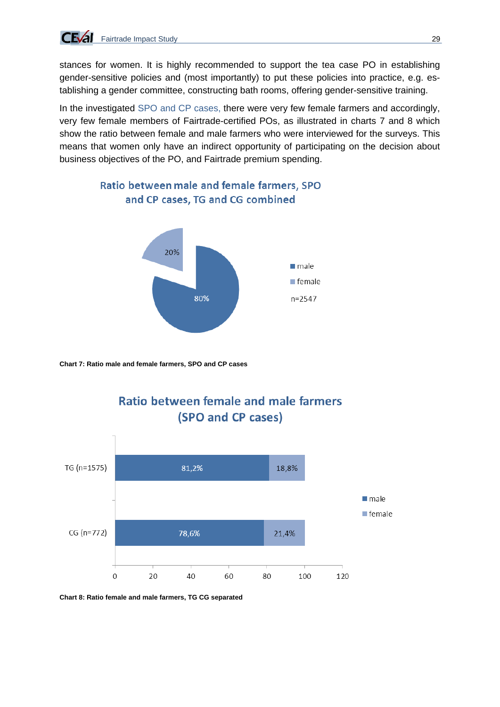stances for women. It is highly recommended to support the tea case PO in establishing gender-sensitive policies and (most importantly) to put these policies into practice, e.g. establishing a gender committee, constructing bath rooms, offering gender-sensitive training.

In the investigated SPO and CP cases, there were very few female farmers and accordingly, very few female members of Fairtrade-certified POs, as illustrated in charts 7 and 8 which show the ratio between female and male farmers who were interviewed for the surveys. This means that women only have an indirect opportunity of participating on the decision about business objectives of the PO, and Fairtrade premium spending.



**Chart 7: Ratio male and female farmers, SPO and CP cases** 



**Chart 8: Ratio female and male farmers, TG CG separated** 

# Ratio between male and female farmers, SPO and CP cases, TG and CG combined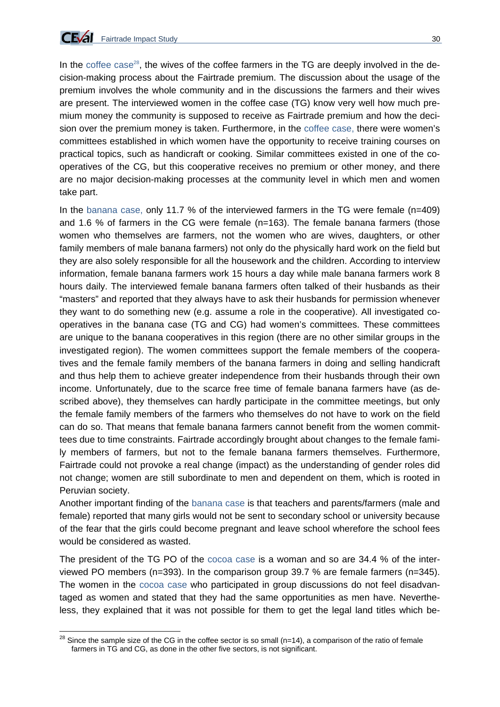

1

In the coffee case<sup>28</sup>, the wives of the coffee farmers in the TG are deeply involved in the decision-making process about the Fairtrade premium. The discussion about the usage of the premium involves the whole community and in the discussions the farmers and their wives are present. The interviewed women in the coffee case (TG) know very well how much premium money the community is supposed to receive as Fairtrade premium and how the decision over the premium money is taken. Furthermore, in the coffee case, there were women's committees established in which women have the opportunity to receive training courses on practical topics, such as handicraft or cooking. Similar committees existed in one of the cooperatives of the CG, but this cooperative receives no premium or other money, and there are no major decision-making processes at the community level in which men and women take part.

In the banana case, only 11.7 % of the interviewed farmers in the TG were female (n=409) and 1.6 % of farmers in the CG were female (n=163). The female banana farmers (those women who themselves are farmers, not the women who are wives, daughters, or other family members of male banana farmers) not only do the physically hard work on the field but they are also solely responsible for all the housework and the children. According to interview information, female banana farmers work 15 hours a day while male banana farmers work 8 hours daily. The interviewed female banana farmers often talked of their husbands as their "masters" and reported that they always have to ask their husbands for permission whenever they want to do something new (e.g. assume a role in the cooperative). All investigated cooperatives in the banana case (TG and CG) had women's committees. These committees are unique to the banana cooperatives in this region (there are no other similar groups in the investigated region). The women committees support the female members of the cooperatives and the female family members of the banana farmers in doing and selling handicraft and thus help them to achieve greater independence from their husbands through their own income. Unfortunately, due to the scarce free time of female banana farmers have (as described above), they themselves can hardly participate in the committee meetings, but only the female family members of the farmers who themselves do not have to work on the field can do so. That means that female banana farmers cannot benefit from the women committees due to time constraints. Fairtrade accordingly brought about changes to the female family members of farmers, but not to the female banana farmers themselves. Furthermore, Fairtrade could not provoke a real change (impact) as the understanding of gender roles did not change; women are still subordinate to men and dependent on them, which is rooted in Peruvian society.

Another important finding of the banana case is that teachers and parents/farmers (male and female) reported that many girls would not be sent to secondary school or university because of the fear that the girls could become pregnant and leave school wherefore the school fees would be considered as wasted.

The president of the TG PO of the cocoa case is a woman and so are 34.4 % of the interviewed PO members (n=393). In the comparison group 39.7 % are female farmers (n=345). The women in the cocoa case who participated in group discussions do not feel disadvantaged as women and stated that they had the same opportunities as men have. Nevertheless, they explained that it was not possible for them to get the legal land titles which be-

 $^{28}$  Since the sample size of the CG in the coffee sector is so small (n=14), a comparison of the ratio of female farmers in TG and CG, as done in the other five sectors, is not significant.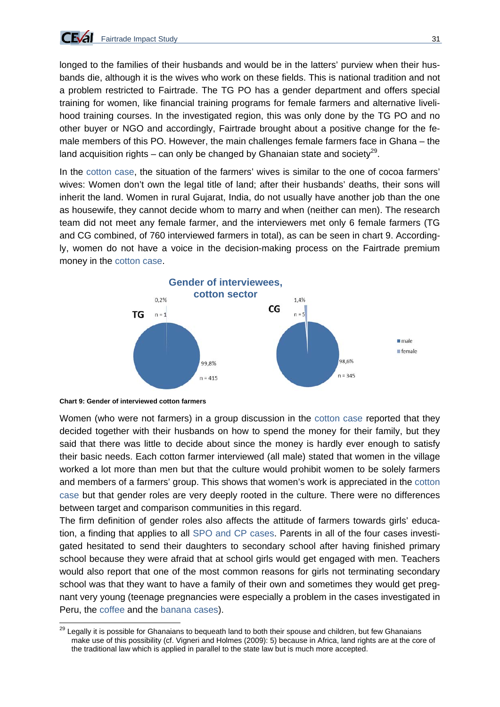

longed to the families of their husbands and would be in the latters' purview when their husbands die, although it is the wives who work on these fields. This is national tradition and not a problem restricted to Fairtrade. The TG PO has a gender department and offers special training for women, like financial training programs for female farmers and alternative livelihood training courses. In the investigated region, this was only done by the TG PO and no other buyer or NGO and accordingly, Fairtrade brought about a positive change for the female members of this PO. However, the main challenges female farmers face in Ghana – the land acquisition rights – can only be changed by Ghanaian state and society<sup>29</sup>.

In the cotton case, the situation of the farmers' wives is similar to the one of cocoa farmers' wives: Women don't own the legal title of land; after their husbands' deaths, their sons will inherit the land. Women in rural Gujarat, India, do not usually have another job than the one as housewife, they cannot decide whom to marry and when (neither can men). The research team did not meet any female farmer, and the interviewers met only 6 female farmers (TG and CG combined, of 760 interviewed farmers in total), as can be seen in chart 9. Accordingly, women do not have a voice in the decision-making process on the Fairtrade premium money in the cotton case.



**Chart 9: Gender of interviewed cotton farmers** 

1

Women (who were not farmers) in a group discussion in the cotton case reported that they decided together with their husbands on how to spend the money for their family, but they said that there was little to decide about since the money is hardly ever enough to satisfy their basic needs. Each cotton farmer interviewed (all male) stated that women in the village worked a lot more than men but that the culture would prohibit women to be solely farmers and members of a farmers' group. This shows that women's work is appreciated in the cotton case but that gender roles are very deeply rooted in the culture. There were no differences between target and comparison communities in this regard.

The firm definition of gender roles also affects the attitude of farmers towards girls' education, a finding that applies to all SPO and CP cases. Parents in all of the four cases investigated hesitated to send their daughters to secondary school after having finished primary school because they were afraid that at school girls would get engaged with men. Teachers would also report that one of the most common reasons for girls not terminating secondary school was that they want to have a family of their own and sometimes they would get pregnant very young (teenage pregnancies were especially a problem in the cases investigated in Peru, the coffee and the banana cases).

<sup>&</sup>lt;sup>29</sup> Legally it is possible for Ghanaians to bequeath land to both their spouse and children, but few Ghanaians make use of this possibility (cf. Vigneri and Holmes (2009): 5) because in Africa, land rights are at the core of the traditional law which is applied in parallel to the state law but is much more accepted.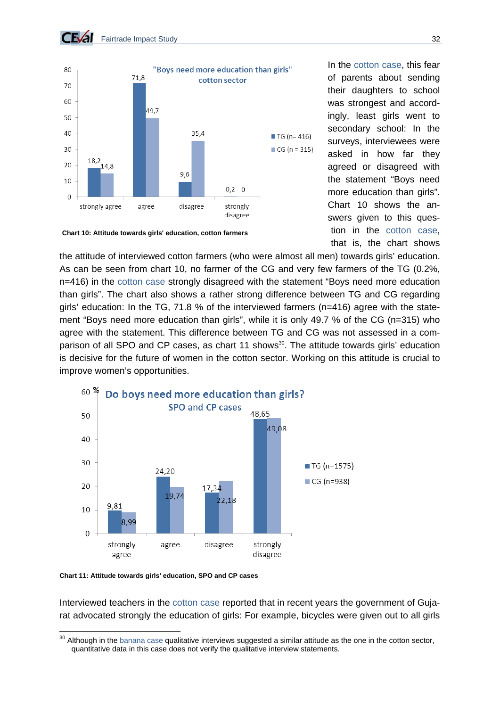

In the cotton case, this fear of parents about sending their daughters to school was strongest and accordingly, least girls went to secondary school: In the surveys, interviewees were asked in how far they agreed or disagreed with the statement "Boys need more education than girls". Chart 10 shows the answers given to this question in the cotton case, that is, the chart shows

**Chart 10: Attitude towards girls' education, cotton farmers** 

**CFVal** 

the attitude of interviewed cotton farmers (who were almost all men) towards girls' education. As can be seen from chart 10, no farmer of the CG and very few farmers of the TG (0.2%, n=416) in the cotton case strongly disagreed with the statement "Boys need more education than girls". The chart also shows a rather strong difference between TG and CG regarding girls' education: In the TG, 71.8 % of the interviewed farmers (n=416) agree with the statement "Boys need more education than girls", while it is only 49.7 % of the CG (n=315) who agree with the statement. This difference between TG and CG was not assessed in a comparison of all SPO and CP cases, as chart 11 shows<sup>30</sup>. The attitude towards girls' education is decisive for the future of women in the cotton sector. Working on this attitude is crucial to improve women's opportunities.



**Chart 11: Attitude towards girls' education, SPO and CP cases** 

1

Interviewed teachers in the cotton case reported that in recent years the government of Gujarat advocated strongly the education of girls: For example, bicycles were given out to all girls

 $30$  Although in the banana case qualitative interviews suggested a similar attitude as the one in the cotton sector, quantitative data in this case does not verify the qualitative interview statements.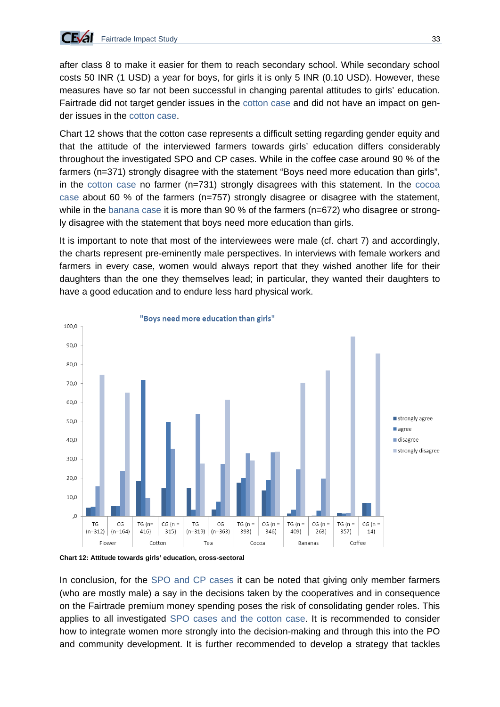after class 8 to make it easier for them to reach secondary school. While secondary school costs 50 INR (1 USD) a year for boys, for girls it is only 5 INR (0.10 USD). However, these measures have so far not been successful in changing parental attitudes to girls' education. Fairtrade did not target gender issues in the cotton case and did not have an impact on gender issues in the cotton case.

Chart 12 shows that the cotton case represents a difficult setting regarding gender equity and that the attitude of the interviewed farmers towards girls' education differs considerably throughout the investigated SPO and CP cases. While in the coffee case around 90 % of the farmers (n=371) strongly disagree with the statement "Boys need more education than girls", in the cotton case no farmer (n=731) strongly disagrees with this statement. In the cocoa case about 60 % of the farmers (n=757) strongly disagree or disagree with the statement, while in the banana case it is more than 90 % of the farmers (n=672) who disagree or strongly disagree with the statement that boys need more education than girls.

It is important to note that most of the interviewees were male (cf. chart 7) and accordingly, the charts represent pre-eminently male perspectives. In interviews with female workers and farmers in every case, women would always report that they wished another life for their daughters than the one they themselves lead; in particular, they wanted their daughters to have a good education and to endure less hard physical work.



**Chart 12: Attitude towards girls' education, cross-sectoral** 

In conclusion, for the SPO and CP cases it can be noted that giving only member farmers (who are mostly male) a say in the decisions taken by the cooperatives and in consequence on the Fairtrade premium money spending poses the risk of consolidating gender roles. This applies to all investigated SPO cases and the cotton case. It is recommended to consider how to integrate women more strongly into the decision-making and through this into the PO and community development. It is further recommended to develop a strategy that tackles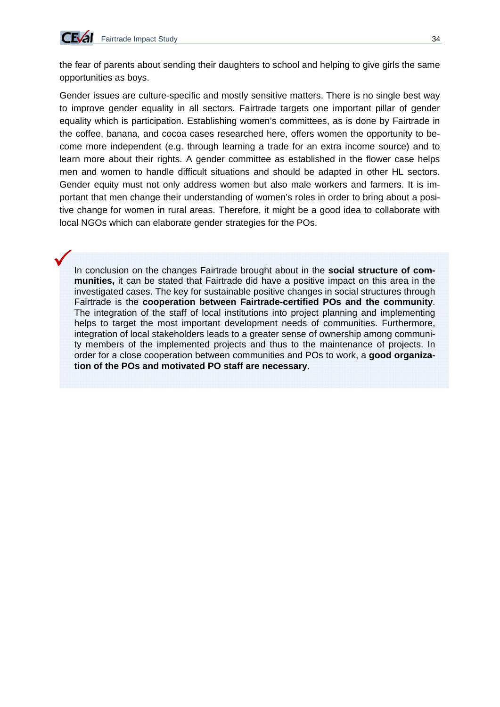

 $\checkmark$ 

the fear of parents about sending their daughters to school and helping to give girls the same opportunities as boys.

Gender issues are culture-specific and mostly sensitive matters. There is no single best way to improve gender equality in all sectors. Fairtrade targets one important pillar of gender equality which is participation. Establishing women's committees, as is done by Fairtrade in the coffee, banana, and cocoa cases researched here, offers women the opportunity to become more independent (e.g. through learning a trade for an extra income source) and to learn more about their rights. A gender committee as established in the flower case helps men and women to handle difficult situations and should be adapted in other HL sectors. Gender equity must not only address women but also male workers and farmers. It is important that men change their understanding of women's roles in order to bring about a positive change for women in rural areas. Therefore, it might be a good idea to collaborate with local NGOs which can elaborate gender strategies for the POs.

In conclusion on the changes Fairtrade brought about in the **social structure of communities,** it can be stated that Fairtrade did have a positive impact on this area in the investigated cases. The key for sustainable positive changes in social structures through Fairtrade is the **cooperation between Fairtrade-certified POs and the community**. The integration of the staff of local institutions into project planning and implementing helps to target the most important development needs of communities. Furthermore, integration of local stakeholders leads to a greater sense of ownership among community members of the implemented projects and thus to the maintenance of projects. In order for a close cooperation between communities and POs to work, a **good organization of the POs and motivated PO staff are necessary**.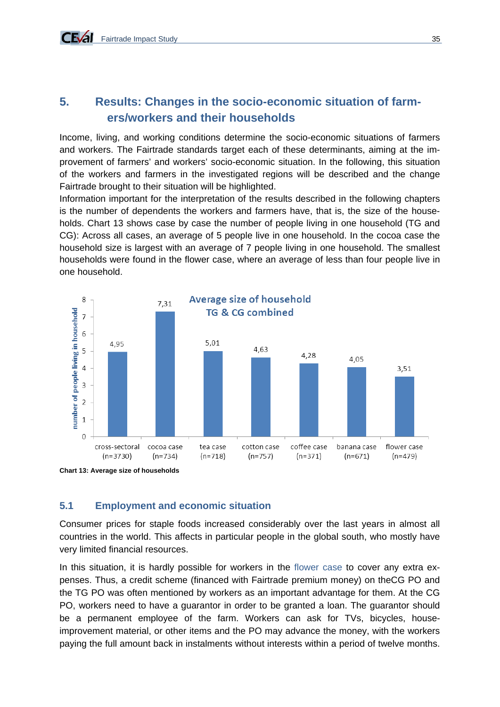### **5. Results: Changes in the socio-economic situation of farmers/workers and their households**

Income, living, and working conditions determine the socio-economic situations of farmers and workers. The Fairtrade standards target each of these determinants, aiming at the improvement of farmers' and workers' socio-economic situation. In the following, this situation of the workers and farmers in the investigated regions will be described and the change Fairtrade brought to their situation will be highlighted.

Information important for the interpretation of the results described in the following chapters is the number of dependents the workers and farmers have, that is, the size of the households. Chart 13 shows case by case the number of people living in one household (TG and CG): Across all cases, an average of 5 people live in one household. In the cocoa case the household size is largest with an average of 7 people living in one household. The smallest households were found in the flower case, where an average of less than four people live in one household.



**Chart 13: Average size of households** 

#### **5.1 Employment and economic situation**

Consumer prices for staple foods increased considerably over the last years in almost all countries in the world. This affects in particular people in the global south, who mostly have very limited financial resources.

In this situation, it is hardly possible for workers in the flower case to cover any extra expenses. Thus, a credit scheme (financed with Fairtrade premium money) on theCG PO and the TG PO was often mentioned by workers as an important advantage for them. At the CG PO, workers need to have a guarantor in order to be granted a loan. The guarantor should be a permanent employee of the farm. Workers can ask for TVs, bicycles, houseimprovement material, or other items and the PO may advance the money, with the workers paying the full amount back in instalments without interests within a period of twelve months.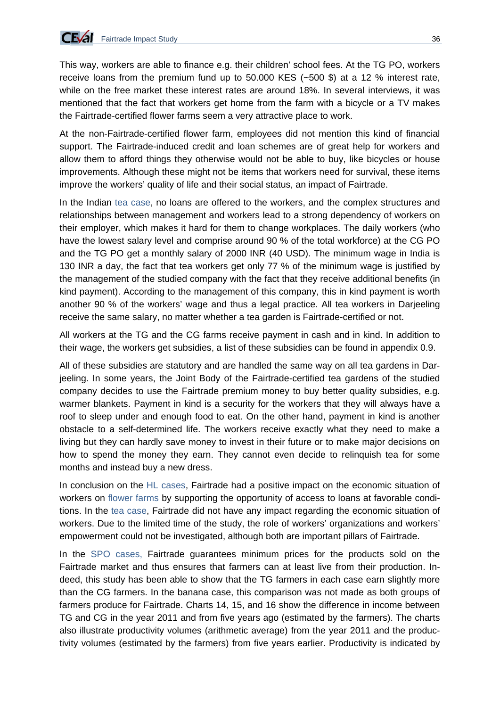This way, workers are able to finance e.g. their children' school fees. At the TG PO, workers receive loans from the premium fund up to 50.000 KES (~500 \$) at a 12 % interest rate, while on the free market these interest rates are around 18%. In several interviews, it was mentioned that the fact that workers get home from the farm with a bicycle or a TV makes the Fairtrade-certified flower farms seem a very attractive place to work.

At the non-Fairtrade-certified flower farm, employees did not mention this kind of financial support. The Fairtrade-induced credit and loan schemes are of great help for workers and allow them to afford things they otherwise would not be able to buy, like bicycles or house improvements. Although these might not be items that workers need for survival, these items improve the workers' quality of life and their social status, an impact of Fairtrade.

In the Indian tea case, no loans are offered to the workers, and the complex structures and relationships between management and workers lead to a strong dependency of workers on their employer, which makes it hard for them to change workplaces. The daily workers (who have the lowest salary level and comprise around 90 % of the total workforce) at the CG PO and the TG PO get a monthly salary of 2000 INR (40 USD). The minimum wage in India is 130 INR a day, the fact that tea workers get only 77 % of the minimum wage is justified by the management of the studied company with the fact that they receive additional benefits (in kind payment). According to the management of this company, this in kind payment is worth another 90 % of the workers' wage and thus a legal practice. All tea workers in Darjeeling receive the same salary, no matter whether a tea garden is Fairtrade-certified or not.

All workers at the TG and the CG farms receive payment in cash and in kind. In addition to their wage, the workers get subsidies, a list of these subsidies can be found in appendix 0.9.

All of these subsidies are statutory and are handled the same way on all tea gardens in Darjeeling. In some years, the Joint Body of the Fairtrade-certified tea gardens of the studied company decides to use the Fairtrade premium money to buy better quality subsidies, e.g. warmer blankets. Payment in kind is a security for the workers that they will always have a roof to sleep under and enough food to eat. On the other hand, payment in kind is another obstacle to a self-determined life. The workers receive exactly what they need to make a living but they can hardly save money to invest in their future or to make major decisions on how to spend the money they earn. They cannot even decide to relinquish tea for some months and instead buy a new dress.

In conclusion on the HL cases, Fairtrade had a positive impact on the economic situation of workers on flower farms by supporting the opportunity of access to loans at favorable conditions. In the tea case, Fairtrade did not have any impact regarding the economic situation of workers. Due to the limited time of the study, the role of workers' organizations and workers' empowerment could not be investigated, although both are important pillars of Fairtrade.

In the SPO cases, Fairtrade guarantees minimum prices for the products sold on the Fairtrade market and thus ensures that farmers can at least live from their production. Indeed, this study has been able to show that the TG farmers in each case earn slightly more than the CG farmers. In the banana case, this comparison was not made as both groups of farmers produce for Fairtrade. Charts 14, 15, and 16 show the difference in income between TG and CG in the year 2011 and from five years ago (estimated by the farmers). The charts also illustrate productivity volumes (arithmetic average) from the year 2011 and the productivity volumes (estimated by the farmers) from five years earlier. Productivity is indicated by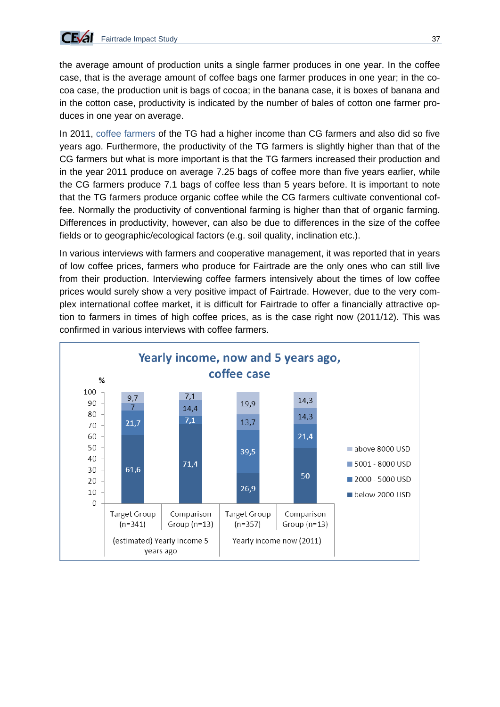the average amount of production units a single farmer produces in one year. In the coffee case, that is the average amount of coffee bags one farmer produces in one year; in the cocoa case, the production unit is bags of cocoa; in the banana case, it is boxes of banana and in the cotton case, productivity is indicated by the number of bales of cotton one farmer produces in one year on average.

In 2011, coffee farmers of the TG had a higher income than CG farmers and also did so five years ago. Furthermore, the productivity of the TG farmers is slightly higher than that of the CG farmers but what is more important is that the TG farmers increased their production and in the year 2011 produce on average 7.25 bags of coffee more than five years earlier, while the CG farmers produce 7.1 bags of coffee less than 5 years before. It is important to note that the TG farmers produce organic coffee while the CG farmers cultivate conventional coffee. Normally the productivity of conventional farming is higher than that of organic farming. Differences in productivity, however, can also be due to differences in the size of the coffee fields or to geographic/ecological factors (e.g. soil quality, inclination etc.).

In various interviews with farmers and cooperative management, it was reported that in years of low coffee prices, farmers who produce for Fairtrade are the only ones who can still live from their production. Interviewing coffee farmers intensively about the times of low coffee prices would surely show a very positive impact of Fairtrade. However, due to the very complex international coffee market, it is difficult for Fairtrade to offer a financially attractive option to farmers in times of high coffee prices, as is the case right now (2011/12). This was confirmed in various interviews with coffee farmers.

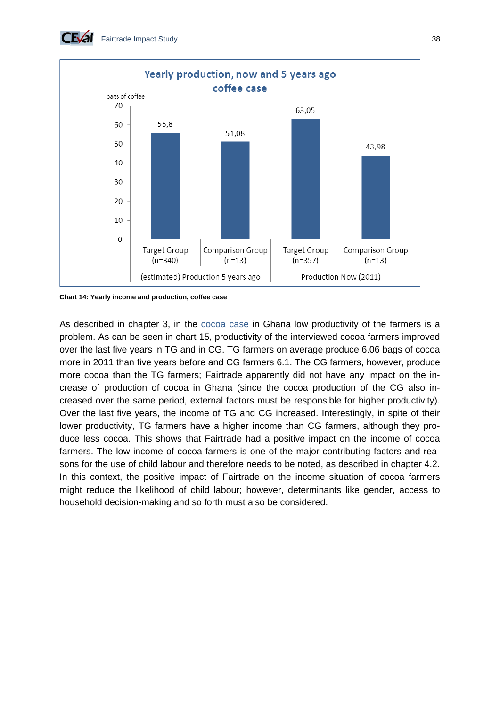

**Chart 14: Yearly income and production, coffee case** 

As described in chapter 3, in the cocoa case in Ghana low productivity of the farmers is a problem. As can be seen in chart 15, productivity of the interviewed cocoa farmers improved over the last five years in TG and in CG. TG farmers on average produce 6.06 bags of cocoa more in 2011 than five years before and CG farmers 6.1. The CG farmers, however, produce more cocoa than the TG farmers; Fairtrade apparently did not have any impact on the increase of production of cocoa in Ghana (since the cocoa production of the CG also increased over the same period, external factors must be responsible for higher productivity). Over the last five years, the income of TG and CG increased. Interestingly, in spite of their lower productivity, TG farmers have a higher income than CG farmers, although they produce less cocoa. This shows that Fairtrade had a positive impact on the income of cocoa farmers. The low income of cocoa farmers is one of the major contributing factors and reasons for the use of child labour and therefore needs to be noted, as described in chapter 4.2. In this context, the positive impact of Fairtrade on the income situation of cocoa farmers might reduce the likelihood of child labour; however, determinants like gender, access to household decision-making and so forth must also be considered.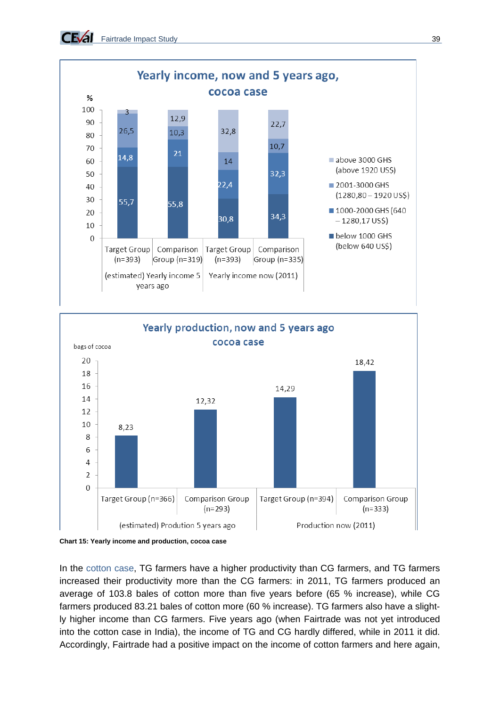





In the cotton case, TG farmers have a higher productivity than CG farmers, and TG farmers increased their productivity more than the CG farmers: in 2011, TG farmers produced an average of 103.8 bales of cotton more than five years before (65 % increase), while CG farmers produced 83.21 bales of cotton more (60 % increase). TG farmers also have a slightly higher income than CG farmers. Five years ago (when Fairtrade was not yet introduced into the cotton case in India), the income of TG and CG hardly differed, while in 2011 it did. Accordingly, Fairtrade had a positive impact on the income of cotton farmers and here again,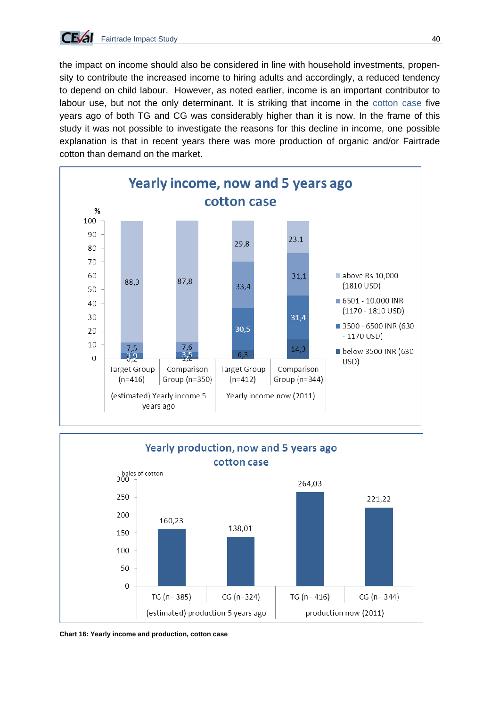the impact on income should also be considered in line with household investments, propensity to contribute the increased income to hiring adults and accordingly, a reduced tendency to depend on child labour. However, as noted earlier, income is an important contributor to labour use, but not the only determinant. It is striking that income in the cotton case five years ago of both TG and CG was considerably higher than it is now. In the frame of this study it was not possible to investigate the reasons for this decline in income, one possible explanation is that in recent years there was more production of organic and/or Fairtrade cotton than demand on the market.





**Chart 16: Yearly income and production, cotton case**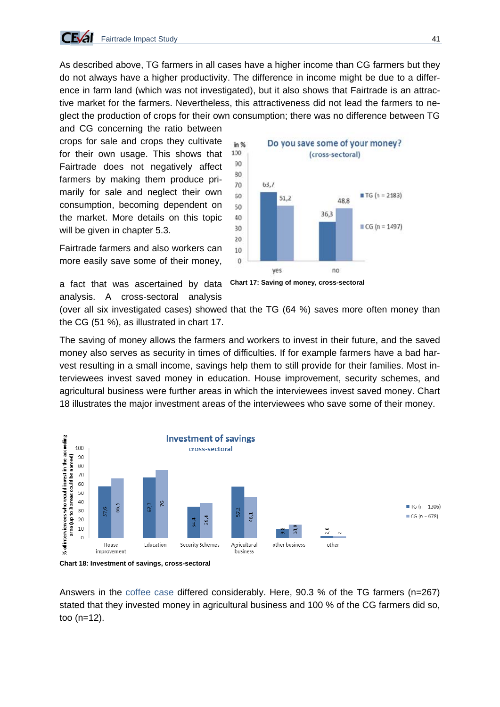

As described above, TG farmers in all cases have a higher income than CG farmers but they do not always have a higher productivity. The difference in income might be due to a difference in farm land (which was not investigated), but it also shows that Fairtrade is an attractive market for the farmers. Nevertheless, this attractiveness did not lead the farmers to neglect the production of crops for their own consumption; there was no difference between TG

and CG concerning the ratio between crops for sale and crops they cultivate for their own usage. This shows that Fairtrade does not negatively affect farmers by making them produce primarily for sale and neglect their own consumption, becoming dependent on the market. More details on this topic will be given in chapter 5.3.

Fairtrade farmers and also workers can more easily save some of their money,

a fact that was ascertained by data analysis. A cross-sectoral analysis





(over all six investigated cases) showed that the TG (64 %) saves more often money than the CG (51 %), as illustrated in chart 17.

The saving of money allows the farmers and workers to invest in their future, and the saved money also serves as security in times of difficulties. If for example farmers have a bad harvest resulting in a small income, savings help them to still provide for their families. Most interviewees invest saved money in education. House improvement, security schemes, and agricultural business were further areas in which the interviewees invest saved money. Chart 18 illustrates the major investment areas of the interviewees who save some of their money.



**Chart 18: Investment of savings, cross-sectoral** 

Answers in the coffee case differed considerably. Here, 90.3 % of the TG farmers (n=267) stated that they invested money in agricultural business and 100 % of the CG farmers did so, too (n=12).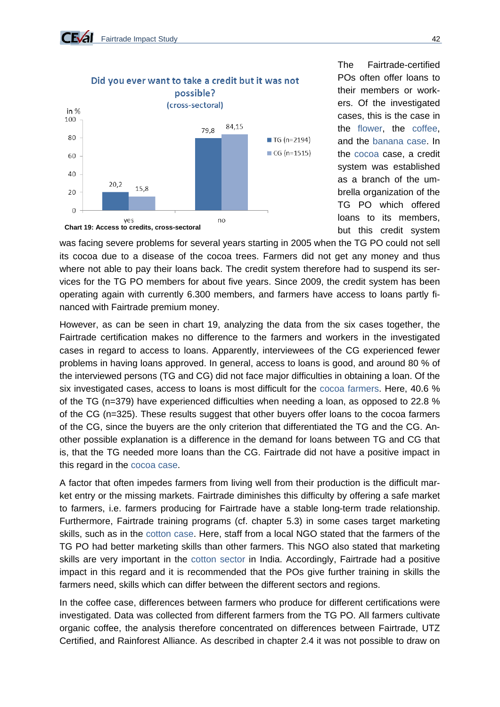



The Fairtrade-certified POs often offer loans to their members or workers. Of the investigated cases, this is the case in the flower, the coffee, and the banana case. In the cocoa case, a credit system was established as a branch of the umbrella organization of the TG PO which offered loans to its members, but this credit system

was facing severe problems for several years starting in 2005 when the TG PO could not sell its cocoa due to a disease of the cocoa trees. Farmers did not get any money and thus where not able to pay their loans back. The credit system therefore had to suspend its services for the TG PO members for about five years. Since 2009, the credit system has been operating again with currently 6.300 members, and farmers have access to loans partly financed with Fairtrade premium money.

However, as can be seen in chart 19, analyzing the data from the six cases together, the Fairtrade certification makes no difference to the farmers and workers in the investigated cases in regard to access to loans. Apparently, interviewees of the CG experienced fewer problems in having loans approved. In general, access to loans is good, and around 80 % of the interviewed persons (TG and CG) did not face major difficulties in obtaining a loan. Of the six investigated cases, access to loans is most difficult for the cocoa farmers. Here, 40.6 % of the TG (n=379) have experienced difficulties when needing a loan, as opposed to 22.8 % of the CG (n=325). These results suggest that other buyers offer loans to the cocoa farmers of the CG, since the buyers are the only criterion that differentiated the TG and the CG. Another possible explanation is a difference in the demand for loans between TG and CG that is, that the TG needed more loans than the CG. Fairtrade did not have a positive impact in this regard in the cocoa case.

A factor that often impedes farmers from living well from their production is the difficult market entry or the missing markets. Fairtrade diminishes this difficulty by offering a safe market to farmers, i.e. farmers producing for Fairtrade have a stable long-term trade relationship. Furthermore, Fairtrade training programs (cf. chapter 5.3) in some cases target marketing skills, such as in the cotton case. Here, staff from a local NGO stated that the farmers of the TG PO had better marketing skills than other farmers. This NGO also stated that marketing skills are very important in the cotton sector in India. Accordingly, Fairtrade had a positive impact in this regard and it is recommended that the POs give further training in skills the farmers need, skills which can differ between the different sectors and regions.

In the coffee case, differences between farmers who produce for different certifications were investigated. Data was collected from different farmers from the TG PO. All farmers cultivate organic coffee, the analysis therefore concentrated on differences between Fairtrade, UTZ Certified, and Rainforest Alliance. As described in chapter 2.4 it was not possible to draw on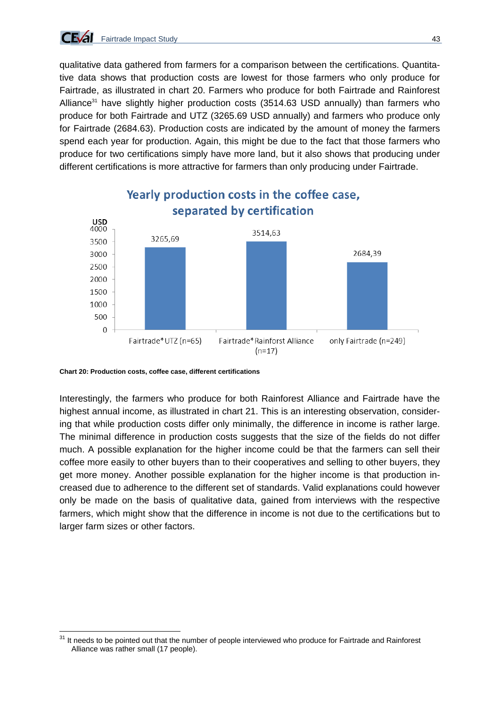

qualitative data gathered from farmers for a comparison between the certifications. Quantitative data shows that production costs are lowest for those farmers who only produce for Fairtrade, as illustrated in chart 20. Farmers who produce for both Fairtrade and Rainforest Alliance<sup>31</sup> have slightly higher production costs (3514.63 USD annually) than farmers who produce for both Fairtrade and UTZ (3265.69 USD annually) and farmers who produce only for Fairtrade (2684.63). Production costs are indicated by the amount of money the farmers spend each year for production. Again, this might be due to the fact that those farmers who produce for two certifications simply have more land, but it also shows that producing under different certifications is more attractive for farmers than only producing under Fairtrade.



#### **Chart 20: Production costs, coffee case, different certifications**

1

Interestingly, the farmers who produce for both Rainforest Alliance and Fairtrade have the highest annual income, as illustrated in chart 21. This is an interesting observation, considering that while production costs differ only minimally, the difference in income is rather large. The minimal difference in production costs suggests that the size of the fields do not differ much. A possible explanation for the higher income could be that the farmers can sell their coffee more easily to other buyers than to their cooperatives and selling to other buyers, they get more money. Another possible explanation for the higher income is that production increased due to adherence to the different set of standards. Valid explanations could however only be made on the basis of qualitative data, gained from interviews with the respective farmers, which might show that the difference in income is not due to the certifications but to larger farm sizes or other factors.

<sup>&</sup>lt;sup>31</sup> It needs to be pointed out that the number of people interviewed who produce for Fairtrade and Rainforest Alliance was rather small (17 people).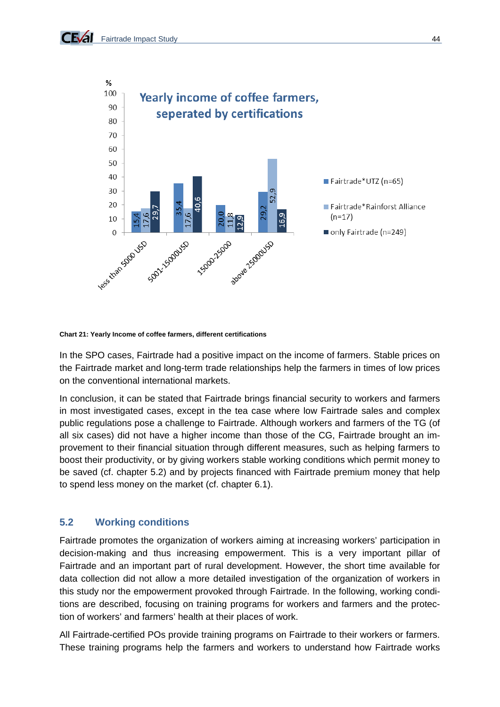

**Chart 21: Yearly Income of coffee farmers, different certifications** 

In the SPO cases, Fairtrade had a positive impact on the income of farmers. Stable prices on the Fairtrade market and long-term trade relationships help the farmers in times of low prices on the conventional international markets.

In conclusion, it can be stated that Fairtrade brings financial security to workers and farmers in most investigated cases, except in the tea case where low Fairtrade sales and complex public regulations pose a challenge to Fairtrade. Although workers and farmers of the TG (of all six cases) did not have a higher income than those of the CG, Fairtrade brought an improvement to their financial situation through different measures, such as helping farmers to boost their productivity, or by giving workers stable working conditions which permit money to be saved (cf. chapter 5.2) and by projects financed with Fairtrade premium money that help to spend less money on the market (cf. chapter 6.1).

#### **5.2 Working conditions**

Fairtrade promotes the organization of workers aiming at increasing workers' participation in decision-making and thus increasing empowerment. This is a very important pillar of Fairtrade and an important part of rural development. However, the short time available for data collection did not allow a more detailed investigation of the organization of workers in this study nor the empowerment provoked through Fairtrade. In the following, working conditions are described, focusing on training programs for workers and farmers and the protection of workers' and farmers' health at their places of work.

All Fairtrade-certified POs provide training programs on Fairtrade to their workers or farmers. These training programs help the farmers and workers to understand how Fairtrade works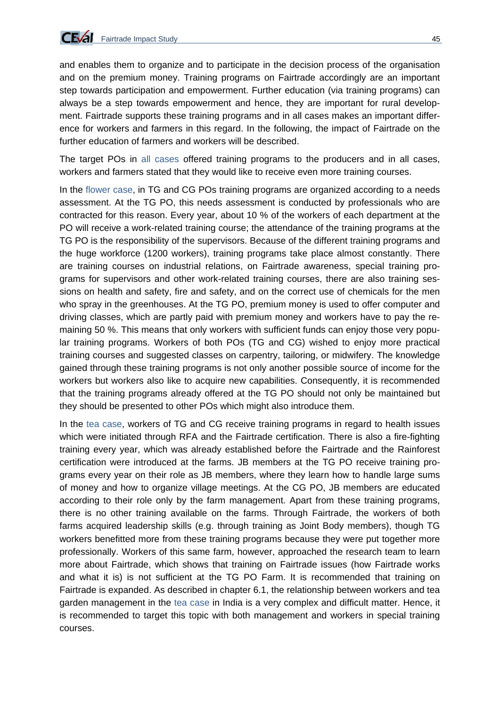and enables them to organize and to participate in the decision process of the organisation and on the premium money. Training programs on Fairtrade accordingly are an important step towards participation and empowerment. Further education (via training programs) can always be a step towards empowerment and hence, they are important for rural development. Fairtrade supports these training programs and in all cases makes an important difference for workers and farmers in this regard. In the following, the impact of Fairtrade on the further education of farmers and workers will be described.

The target POs in all cases offered training programs to the producers and in all cases, workers and farmers stated that they would like to receive even more training courses.

In the flower case, in TG and CG POs training programs are organized according to a needs assessment. At the TG PO, this needs assessment is conducted by professionals who are contracted for this reason. Every year, about 10 % of the workers of each department at the PO will receive a work-related training course; the attendance of the training programs at the TG PO is the responsibility of the supervisors. Because of the different training programs and the huge workforce (1200 workers), training programs take place almost constantly. There are training courses on industrial relations, on Fairtrade awareness, special training programs for supervisors and other work-related training courses, there are also training sessions on health and safety, fire and safety, and on the correct use of chemicals for the men who spray in the greenhouses. At the TG PO, premium money is used to offer computer and driving classes, which are partly paid with premium money and workers have to pay the remaining 50 %. This means that only workers with sufficient funds can enjoy those very popular training programs. Workers of both POs (TG and CG) wished to enjoy more practical training courses and suggested classes on carpentry, tailoring, or midwifery. The knowledge gained through these training programs is not only another possible source of income for the workers but workers also like to acquire new capabilities. Consequently, it is recommended that the training programs already offered at the TG PO should not only be maintained but they should be presented to other POs which might also introduce them.

In the tea case, workers of TG and CG receive training programs in regard to health issues which were initiated through RFA and the Fairtrade certification. There is also a fire-fighting training every year, which was already established before the Fairtrade and the Rainforest certification were introduced at the farms. JB members at the TG PO receive training programs every year on their role as JB members, where they learn how to handle large sums of money and how to organize village meetings. At the CG PO, JB members are educated according to their role only by the farm management. Apart from these training programs, there is no other training available on the farms. Through Fairtrade, the workers of both farms acquired leadership skills (e.g. through training as Joint Body members), though TG workers benefitted more from these training programs because they were put together more professionally. Workers of this same farm, however, approached the research team to learn more about Fairtrade, which shows that training on Fairtrade issues (how Fairtrade works and what it is) is not sufficient at the TG PO Farm. It is recommended that training on Fairtrade is expanded. As described in chapter 6.1, the relationship between workers and tea garden management in the tea case in India is a very complex and difficult matter. Hence, it is recommended to target this topic with both management and workers in special training courses.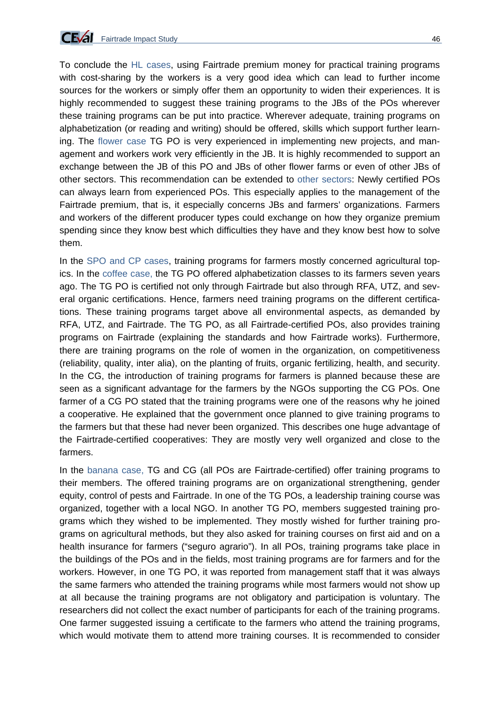

To conclude the HL cases, using Fairtrade premium money for practical training programs with cost-sharing by the workers is a very good idea which can lead to further income sources for the workers or simply offer them an opportunity to widen their experiences. It is highly recommended to suggest these training programs to the JBs of the POs wherever these training programs can be put into practice. Wherever adequate, training programs on alphabetization (or reading and writing) should be offered, skills which support further learning. The flower case TG PO is very experienced in implementing new projects, and management and workers work very efficiently in the JB. It is highly recommended to support an exchange between the JB of this PO and JBs of other flower farms or even of other JBs of other sectors. This recommendation can be extended to other sectors: Newly certified POs can always learn from experienced POs. This especially applies to the management of the Fairtrade premium, that is, it especially concerns JBs and farmers' organizations. Farmers and workers of the different producer types could exchange on how they organize premium spending since they know best which difficulties they have and they know best how to solve them.

In the SPO and CP cases, training programs for farmers mostly concerned agricultural topics. In the coffee case, the TG PO offered alphabetization classes to its farmers seven years ago. The TG PO is certified not only through Fairtrade but also through RFA, UTZ, and several organic certifications. Hence, farmers need training programs on the different certifications. These training programs target above all environmental aspects, as demanded by RFA, UTZ, and Fairtrade. The TG PO, as all Fairtrade-certified POs, also provides training programs on Fairtrade (explaining the standards and how Fairtrade works). Furthermore, there are training programs on the role of women in the organization, on competitiveness (reliability, quality, inter alia), on the planting of fruits, organic fertilizing, health, and security. In the CG, the introduction of training programs for farmers is planned because these are seen as a significant advantage for the farmers by the NGOs supporting the CG POs. One farmer of a CG PO stated that the training programs were one of the reasons why he joined a cooperative. He explained that the government once planned to give training programs to the farmers but that these had never been organized. This describes one huge advantage of the Fairtrade-certified cooperatives: They are mostly very well organized and close to the farmers.

In the banana case, TG and CG (all POs are Fairtrade-certified) offer training programs to their members. The offered training programs are on organizational strengthening, gender equity, control of pests and Fairtrade. In one of the TG POs, a leadership training course was organized, together with a local NGO. In another TG PO, members suggested training programs which they wished to be implemented. They mostly wished for further training programs on agricultural methods, but they also asked for training courses on first aid and on a health insurance for farmers ("seguro agrario"). In all POs, training programs take place in the buildings of the POs and in the fields, most training programs are for farmers and for the workers. However, in one TG PO, it was reported from management staff that it was always the same farmers who attended the training programs while most farmers would not show up at all because the training programs are not obligatory and participation is voluntary. The researchers did not collect the exact number of participants for each of the training programs. One farmer suggested issuing a certificate to the farmers who attend the training programs, which would motivate them to attend more training courses. It is recommended to consider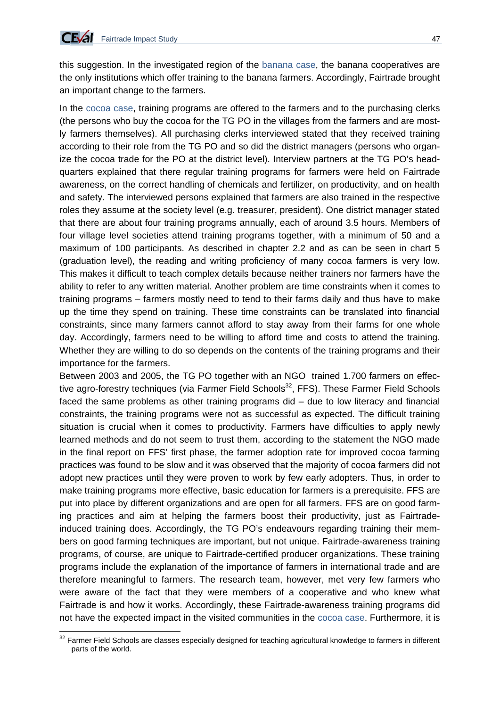this suggestion. In the investigated region of the banana case, the banana cooperatives are the only institutions which offer training to the banana farmers. Accordingly, Fairtrade brought an important change to the farmers.

In the cocoa case, training programs are offered to the farmers and to the purchasing clerks (the persons who buy the cocoa for the TG PO in the villages from the farmers and are mostly farmers themselves). All purchasing clerks interviewed stated that they received training according to their role from the TG PO and so did the district managers (persons who organize the cocoa trade for the PO at the district level). Interview partners at the TG PO's headquarters explained that there regular training programs for farmers were held on Fairtrade awareness, on the correct handling of chemicals and fertilizer, on productivity, and on health and safety. The interviewed persons explained that farmers are also trained in the respective roles they assume at the society level (e.g. treasurer, president). One district manager stated that there are about four training programs annually, each of around 3.5 hours. Members of four village level societies attend training programs together, with a minimum of 50 and a maximum of 100 participants. As described in chapter 2.2 and as can be seen in chart 5 (graduation level), the reading and writing proficiency of many cocoa farmers is very low. This makes it difficult to teach complex details because neither trainers nor farmers have the ability to refer to any written material. Another problem are time constraints when it comes to training programs – farmers mostly need to tend to their farms daily and thus have to make up the time they spend on training. These time constraints can be translated into financial constraints, since many farmers cannot afford to stay away from their farms for one whole day. Accordingly, farmers need to be willing to afford time and costs to attend the training. Whether they are willing to do so depends on the contents of the training programs and their importance for the farmers.

Between 2003 and 2005, the TG PO together with an NGO trained 1.700 farmers on effective agro-forestry techniques (via Farmer Field Schools<sup>32</sup>, FFS). These Farmer Field Schools faced the same problems as other training programs did – due to low literacy and financial constraints, the training programs were not as successful as expected. The difficult training situation is crucial when it comes to productivity. Farmers have difficulties to apply newly learned methods and do not seem to trust them, according to the statement the NGO made in the final report on FFS' first phase, the farmer adoption rate for improved cocoa farming practices was found to be slow and it was observed that the majority of cocoa farmers did not adopt new practices until they were proven to work by few early adopters. Thus, in order to make training programs more effective, basic education for farmers is a prerequisite. FFS are put into place by different organizations and are open for all farmers. FFS are on good farming practices and aim at helping the farmers boost their productivity, just as Fairtradeinduced training does. Accordingly, the TG PO's endeavours regarding training their members on good farming techniques are important, but not unique. Fairtrade-awareness training programs, of course, are unique to Fairtrade-certified producer organizations. These training programs include the explanation of the importance of farmers in international trade and are therefore meaningful to farmers. The research team, however, met very few farmers who were aware of the fact that they were members of a cooperative and who knew what Fairtrade is and how it works. Accordingly, these Fairtrade-awareness training programs did not have the expected impact in the visited communities in the cocoa case. Furthermore, it is

<sup>1</sup>  $32$  Farmer Field Schools are classes especially designed for teaching agricultural knowledge to farmers in different parts of the world.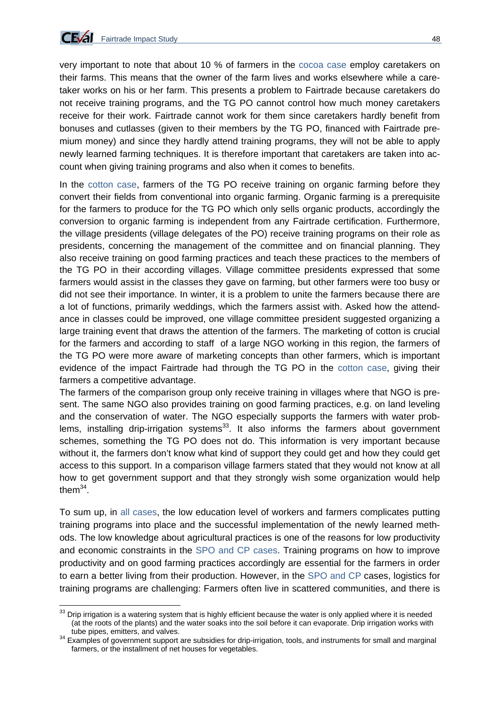

CEVal Fairtrade Impact Study 48

very important to note that about 10 % of farmers in the cocoa case employ caretakers on their farms. This means that the owner of the farm lives and works elsewhere while a caretaker works on his or her farm. This presents a problem to Fairtrade because caretakers do not receive training programs, and the TG PO cannot control how much money caretakers receive for their work. Fairtrade cannot work for them since caretakers hardly benefit from bonuses and cutlasses (given to their members by the TG PO, financed with Fairtrade premium money) and since they hardly attend training programs, they will not be able to apply newly learned farming techniques. It is therefore important that caretakers are taken into account when giving training programs and also when it comes to benefits.

In the cotton case, farmers of the TG PO receive training on organic farming before they convert their fields from conventional into organic farming. Organic farming is a prerequisite for the farmers to produce for the TG PO which only sells organic products, accordingly the conversion to organic farming is independent from any Fairtrade certification. Furthermore, the village presidents (village delegates of the PO) receive training programs on their role as presidents, concerning the management of the committee and on financial planning. They also receive training on good farming practices and teach these practices to the members of the TG PO in their according villages. Village committee presidents expressed that some farmers would assist in the classes they gave on farming, but other farmers were too busy or did not see their importance. In winter, it is a problem to unite the farmers because there are a lot of functions, primarily weddings, which the farmers assist with. Asked how the attendance in classes could be improved, one village committee president suggested organizing a large training event that draws the attention of the farmers. The marketing of cotton is crucial for the farmers and according to staff of a large NGO working in this region, the farmers of the TG PO were more aware of marketing concepts than other farmers, which is important evidence of the impact Fairtrade had through the TG PO in the cotton case, giving their farmers a competitive advantage.

The farmers of the comparison group only receive training in villages where that NGO is present. The same NGO also provides training on good farming practices, e.g. on land leveling and the conservation of water. The NGO especially supports the farmers with water problems, installing drip-irrigation systems<sup>33</sup>. It also informs the farmers about government schemes, something the TG PO does not do. This information is very important because without it, the farmers don't know what kind of support they could get and how they could get access to this support. In a comparison village farmers stated that they would not know at all how to get government support and that they strongly wish some organization would help them $34$ .

To sum up, in all cases, the low education level of workers and farmers complicates putting training programs into place and the successful implementation of the newly learned methods. The low knowledge about agricultural practices is one of the reasons for low productivity and economic constraints in the SPO and CP cases. Training programs on how to improve productivity and on good farming practices accordingly are essential for the farmers in order to earn a better living from their production. However, in the SPO and CP cases, logistics for training programs are challenging: Farmers often live in scattered communities, and there is

<sup>1</sup>  $33$  Drip irrigation is a watering system that is highly efficient because the water is only applied where it is needed (at the roots of the plants) and the water soaks into the soil before it can evaporate. Drip irrigation works with

tube pipes, emitters, and valves.<br><sup>34</sup> Examples of government support are subsidies for drip-irrigation, tools, and instruments for small and marginal farmers, or the installment of net houses for vegetables.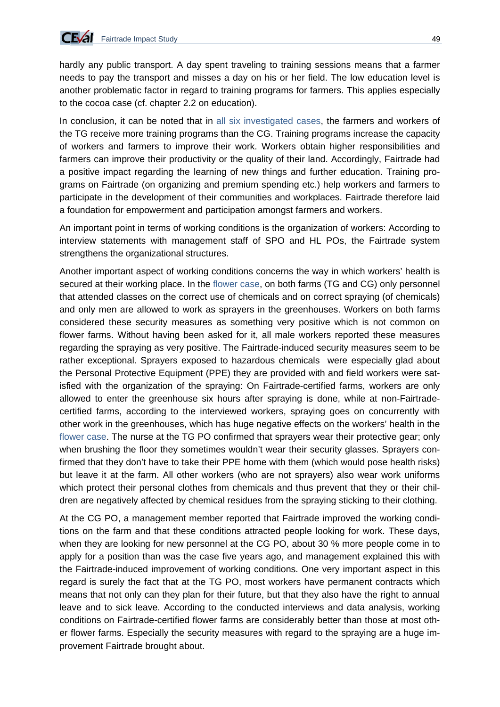hardly any public transport. A day spent traveling to training sessions means that a farmer needs to pay the transport and misses a day on his or her field. The low education level is another problematic factor in regard to training programs for farmers. This applies especially to the cocoa case (cf. chapter 2.2 on education).

In conclusion, it can be noted that in all six investigated cases, the farmers and workers of the TG receive more training programs than the CG. Training programs increase the capacity of workers and farmers to improve their work. Workers obtain higher responsibilities and farmers can improve their productivity or the quality of their land. Accordingly, Fairtrade had a positive impact regarding the learning of new things and further education. Training programs on Fairtrade (on organizing and premium spending etc.) help workers and farmers to participate in the development of their communities and workplaces. Fairtrade therefore laid a foundation for empowerment and participation amongst farmers and workers.

An important point in terms of working conditions is the organization of workers: According to interview statements with management staff of SPO and HL POs, the Fairtrade system strengthens the organizational structures.

Another important aspect of working conditions concerns the way in which workers' health is secured at their working place. In the flower case, on both farms (TG and CG) only personnel that attended classes on the correct use of chemicals and on correct spraying (of chemicals) and only men are allowed to work as sprayers in the greenhouses. Workers on both farms considered these security measures as something very positive which is not common on flower farms. Without having been asked for it, all male workers reported these measures regarding the spraying as very positive. The Fairtrade-induced security measures seem to be rather exceptional. Sprayers exposed to hazardous chemicals were especially glad about the Personal Protective Equipment (PPE) they are provided with and field workers were satisfied with the organization of the spraying: On Fairtrade-certified farms, workers are only allowed to enter the greenhouse six hours after spraying is done, while at non-Fairtradecertified farms, according to the interviewed workers, spraying goes on concurrently with other work in the greenhouses, which has huge negative effects on the workers' health in the flower case. The nurse at the TG PO confirmed that sprayers wear their protective gear; only when brushing the floor they sometimes wouldn't wear their security glasses. Sprayers confirmed that they don't have to take their PPE home with them (which would pose health risks) but leave it at the farm. All other workers (who are not sprayers) also wear work uniforms which protect their personal clothes from chemicals and thus prevent that they or their children are negatively affected by chemical residues from the spraying sticking to their clothing.

At the CG PO, a management member reported that Fairtrade improved the working conditions on the farm and that these conditions attracted people looking for work. These days, when they are looking for new personnel at the CG PO, about 30 % more people come in to apply for a position than was the case five years ago, and management explained this with the Fairtrade-induced improvement of working conditions. One very important aspect in this regard is surely the fact that at the TG PO, most workers have permanent contracts which means that not only can they plan for their future, but that they also have the right to annual leave and to sick leave. According to the conducted interviews and data analysis, working conditions on Fairtrade-certified flower farms are considerably better than those at most other flower farms. Especially the security measures with regard to the spraying are a huge improvement Fairtrade brought about.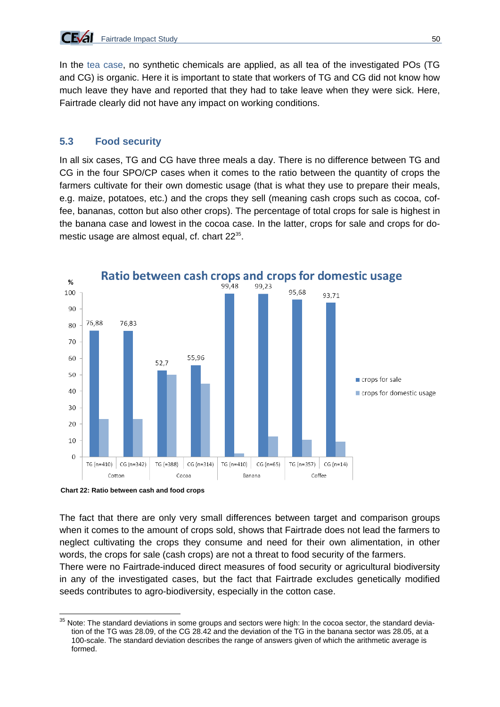In the tea case, no synthetic chemicals are applied, as all tea of the investigated POs (TG and CG) is organic. Here it is important to state that workers of TG and CG did not know how much leave they have and reported that they had to take leave when they were sick. Here, Fairtrade clearly did not have any impact on working conditions.

### **5.3 Food security**

In all six cases, TG and CG have three meals a day. There is no difference between TG and CG in the four SPO/CP cases when it comes to the ratio between the quantity of crops the farmers cultivate for their own domestic usage (that is what they use to prepare their meals, e.g. maize, potatoes, etc.) and the crops they sell (meaning cash crops such as cocoa, coffee, bananas, cotton but also other crops). The percentage of total crops for sale is highest in the banana case and lowest in the cocoa case. In the latter, crops for sale and crops for domestic usage are almost equal, cf. chart 22<sup>35</sup>.



**Chart 22: Ratio between cash and food crops** 

<u>.</u>

The fact that there are only very small differences between target and comparison groups when it comes to the amount of crops sold, shows that Fairtrade does not lead the farmers to neglect cultivating the crops they consume and need for their own alimentation, in other words, the crops for sale (cash crops) are not a threat to food security of the farmers.

There were no Fairtrade-induced direct measures of food security or agricultural biodiversity in any of the investigated cases, but the fact that Fairtrade excludes genetically modified seeds contributes to agro-biodiversity, especially in the cotton case.

 $35$  Note: The standard deviations in some groups and sectors were high: In the cocoa sector, the standard deviation of the TG was 28.09, of the CG 28.42 and the deviation of the TG in the banana sector was 28.05, at a 100-scale. The standard deviation describes the range of answers given of which the arithmetic average is formed.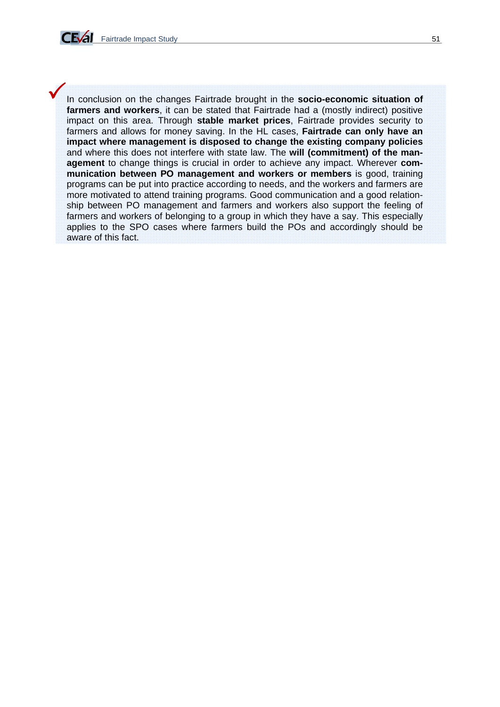

 $\checkmark$ 

In conclusion on the changes Fairtrade brought in the **socio-economic situation of farmers and workers**, it can be stated that Fairtrade had a (mostly indirect) positive impact on this area. Through **stable market prices**, Fairtrade provides security to farmers and allows for money saving. In the HL cases, **Fairtrade can only have an impact where management is disposed to change the existing company policies** and where this does not interfere with state law. The **will (commitment) of the management** to change things is crucial in order to achieve any impact. Wherever **communication between PO management and workers or members** is good, training programs can be put into practice according to needs, and the workers and farmers are more motivated to attend training programs. Good communication and a good relationship between PO management and farmers and workers also support the feeling of farmers and workers of belonging to a group in which they have a say. This especially applies to the SPO cases where farmers build the POs and accordingly should be aware of this fact.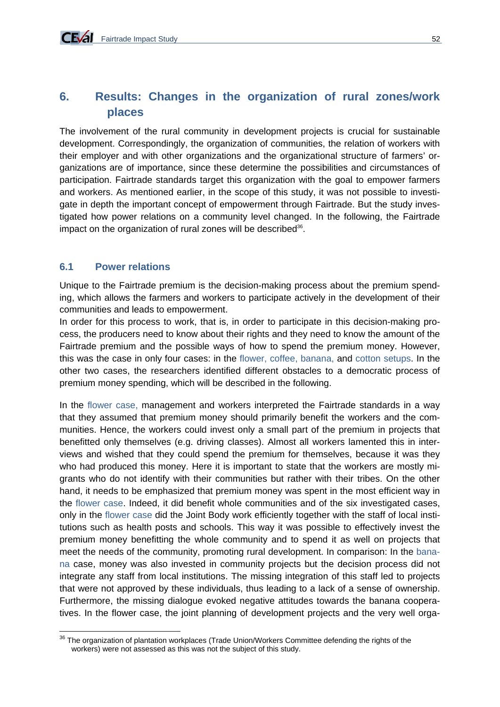## **6. Results: Changes in the organization of rural zones/work places**

The involvement of the rural community in development projects is crucial for sustainable development. Correspondingly, the organization of communities, the relation of workers with their employer and with other organizations and the organizational structure of farmers' organizations are of importance, since these determine the possibilities and circumstances of participation. Fairtrade standards target this organization with the goal to empower farmers and workers. As mentioned earlier, in the scope of this study, it was not possible to investigate in depth the important concept of empowerment through Fairtrade. But the study investigated how power relations on a community level changed. In the following, the Fairtrade impact on the organization of rural zones will be described<sup>36</sup>.

#### **6.1 Power relations**

Unique to the Fairtrade premium is the decision-making process about the premium spending, which allows the farmers and workers to participate actively in the development of their communities and leads to empowerment.

In order for this process to work, that is, in order to participate in this decision-making process, the producers need to know about their rights and they need to know the amount of the Fairtrade premium and the possible ways of how to spend the premium money. However, this was the case in only four cases: in the flower, coffee, banana, and cotton setups. In the other two cases, the researchers identified different obstacles to a democratic process of premium money spending, which will be described in the following.

In the flower case, management and workers interpreted the Fairtrade standards in a way that they assumed that premium money should primarily benefit the workers and the communities. Hence, the workers could invest only a small part of the premium in projects that benefitted only themselves (e.g. driving classes). Almost all workers lamented this in interviews and wished that they could spend the premium for themselves, because it was they who had produced this money. Here it is important to state that the workers are mostly migrants who do not identify with their communities but rather with their tribes. On the other hand, it needs to be emphasized that premium money was spent in the most efficient way in the flower case. Indeed, it did benefit whole communities and of the six investigated cases, only in the flower case did the Joint Body work efficiently together with the staff of local institutions such as health posts and schools. This way it was possible to effectively invest the premium money benefitting the whole community and to spend it as well on projects that meet the needs of the community, promoting rural development. In comparison: In the banana case, money was also invested in community projects but the decision process did not integrate any staff from local institutions. The missing integration of this staff led to projects that were not approved by these individuals, thus leading to a lack of a sense of ownership. Furthermore, the missing dialogue evoked negative attitudes towards the banana cooperatives. In the flower case, the joint planning of development projects and the very well orga-

<sup>1</sup>  $36$  The organization of plantation workplaces (Trade Union/Workers Committee defending the rights of the workers) were not assessed as this was not the subject of this study.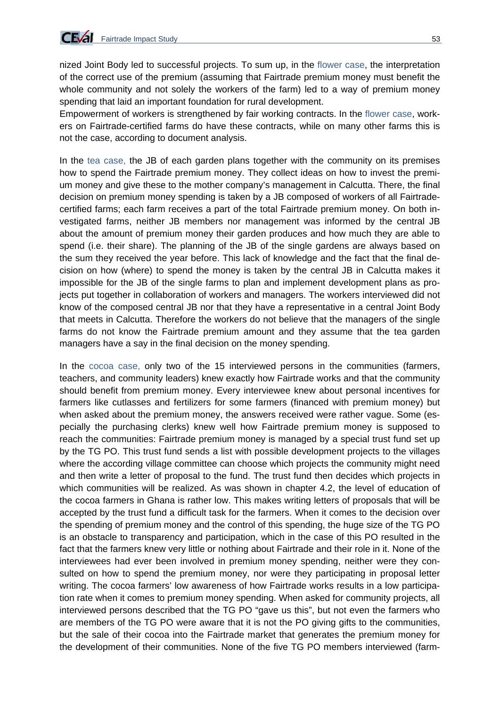nized Joint Body led to successful projects. To sum up, in the flower case, the interpretation of the correct use of the premium (assuming that Fairtrade premium money must benefit the whole community and not solely the workers of the farm) led to a way of premium money spending that laid an important foundation for rural development.

Empowerment of workers is strengthened by fair working contracts. In the flower case, workers on Fairtrade-certified farms do have these contracts, while on many other farms this is not the case, according to document analysis.

In the tea case, the JB of each garden plans together with the community on its premises how to spend the Fairtrade premium money. They collect ideas on how to invest the premium money and give these to the mother company's management in Calcutta. There, the final decision on premium money spending is taken by a JB composed of workers of all Fairtradecertified farms; each farm receives a part of the total Fairtrade premium money. On both investigated farms, neither JB members nor management was informed by the central JB about the amount of premium money their garden produces and how much they are able to spend (i.e. their share). The planning of the JB of the single gardens are always based on the sum they received the year before. This lack of knowledge and the fact that the final decision on how (where) to spend the money is taken by the central JB in Calcutta makes it impossible for the JB of the single farms to plan and implement development plans as projects put together in collaboration of workers and managers. The workers interviewed did not know of the composed central JB nor that they have a representative in a central Joint Body that meets in Calcutta. Therefore the workers do not believe that the managers of the single farms do not know the Fairtrade premium amount and they assume that the tea garden managers have a say in the final decision on the money spending.

In the cocoa case, only two of the 15 interviewed persons in the communities (farmers, teachers, and community leaders) knew exactly how Fairtrade works and that the community should benefit from premium money. Every interviewee knew about personal incentives for farmers like cutlasses and fertilizers for some farmers (financed with premium money) but when asked about the premium money, the answers received were rather vague. Some (especially the purchasing clerks) knew well how Fairtrade premium money is supposed to reach the communities: Fairtrade premium money is managed by a special trust fund set up by the TG PO. This trust fund sends a list with possible development projects to the villages where the according village committee can choose which projects the community might need and then write a letter of proposal to the fund. The trust fund then decides which projects in which communities will be realized. As was shown in chapter 4.2, the level of education of the cocoa farmers in Ghana is rather low. This makes writing letters of proposals that will be accepted by the trust fund a difficult task for the farmers. When it comes to the decision over the spending of premium money and the control of this spending, the huge size of the TG PO is an obstacle to transparency and participation, which in the case of this PO resulted in the fact that the farmers knew very little or nothing about Fairtrade and their role in it. None of the interviewees had ever been involved in premium money spending, neither were they consulted on how to spend the premium money, nor were they participating in proposal letter writing. The cocoa farmers' low awareness of how Fairtrade works results in a low participation rate when it comes to premium money spending. When asked for community projects, all interviewed persons described that the TG PO "gave us this", but not even the farmers who are members of the TG PO were aware that it is not the PO giving gifts to the communities, but the sale of their cocoa into the Fairtrade market that generates the premium money for the development of their communities. None of the five TG PO members interviewed (farm-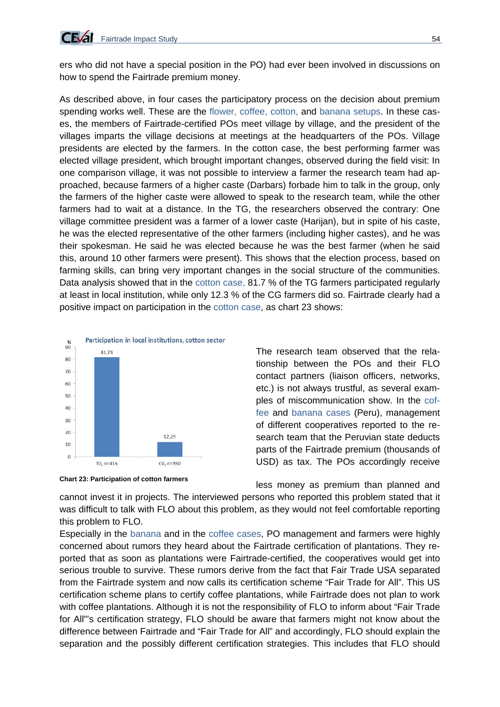

ers who did not have a special position in the PO) had ever been involved in discussions on how to spend the Fairtrade premium money.

As described above, in four cases the participatory process on the decision about premium spending works well. These are the flower, coffee, cotton, and banana setups. In these cases, the members of Fairtrade-certified POs meet village by village, and the president of the villages imparts the village decisions at meetings at the headquarters of the POs. Village presidents are elected by the farmers. In the cotton case, the best performing farmer was elected village president, which brought important changes, observed during the field visit: In one comparison village, it was not possible to interview a farmer the research team had approached, because farmers of a higher caste (Darbars) forbade him to talk in the group, only the farmers of the higher caste were allowed to speak to the research team, while the other farmers had to wait at a distance. In the TG, the researchers observed the contrary: One village committee president was a farmer of a lower caste (Harijan), but in spite of his caste, he was the elected representative of the other farmers (including higher castes), and he was their spokesman. He said he was elected because he was the best farmer (when he said this, around 10 other farmers were present). This shows that the election process, based on farming skills, can bring very important changes in the social structure of the communities. Data analysis showed that in the cotton case, 81.7 % of the TG farmers participated regularly at least in local institution, while only 12.3 % of the CG farmers did so. Fairtrade clearly had a positive impact on participation in the cotton case, as chart 23 shows:





The research team observed that the relationship between the POs and their FLO contact partners (liaison officers, networks, etc.) is not always trustful, as several examples of miscommunication show. In the coffee and banana cases (Peru), management of different cooperatives reported to the research team that the Peruvian state deducts parts of the Fairtrade premium (thousands of USD) as tax. The POs accordingly receive

less money as premium than planned and

cannot invest it in projects. The interviewed persons who reported this problem stated that it was difficult to talk with FLO about this problem, as they would not feel comfortable reporting this problem to FLO.

Especially in the banana and in the coffee cases, PO management and farmers were highly concerned about rumors they heard about the Fairtrade certification of plantations. They reported that as soon as plantations were Fairtrade-certified, the cooperatives would get into serious trouble to survive. These rumors derive from the fact that Fair Trade USA separated from the Fairtrade system and now calls its certification scheme "Fair Trade for All". This US certification scheme plans to certify coffee plantations, while Fairtrade does not plan to work with coffee plantations. Although it is not the responsibility of FLO to inform about "Fair Trade for All"'s certification strategy, FLO should be aware that farmers might not know about the difference between Fairtrade and "Fair Trade for All" and accordingly, FLO should explain the separation and the possibly different certification strategies. This includes that FLO should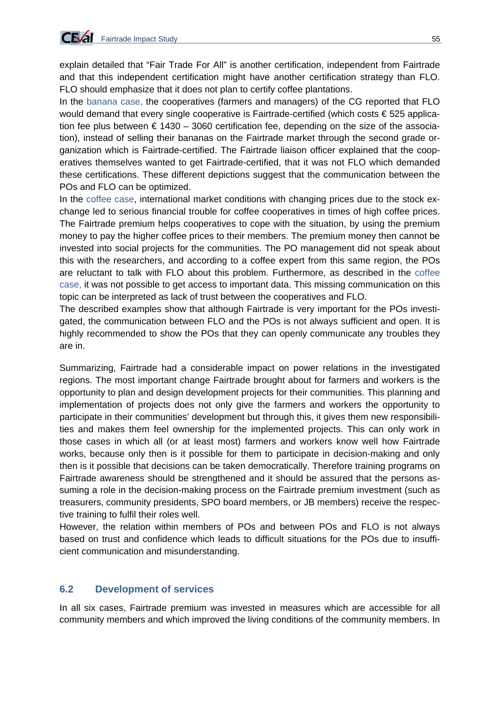

explain detailed that "Fair Trade For All" is another certification, independent from Fairtrade and that this independent certification might have another certification strategy than FLO. FLO should emphasize that it does not plan to certify coffee plantations.

In the banana case, the cooperatives (farmers and managers) of the CG reported that FLO would demand that every single cooperative is Fairtrade-certified (which costs € 525 application fee plus between  $\epsilon$  1430 – 3060 certification fee, depending on the size of the association), instead of selling their bananas on the Fairtrade market through the second grade organization which is Fairtrade-certified. The Fairtrade liaison officer explained that the cooperatives themselves wanted to get Fairtrade-certified, that it was not FLO which demanded these certifications. These different depictions suggest that the communication between the POs and FLO can be optimized.

In the coffee case, international market conditions with changing prices due to the stock exchange led to serious financial trouble for coffee cooperatives in times of high coffee prices. The Fairtrade premium helps cooperatives to cope with the situation, by using the premium money to pay the higher coffee prices to their members. The premium money then cannot be invested into social projects for the communities. The PO management did not speak about this with the researchers, and according to a coffee expert from this same region, the POs are reluctant to talk with FLO about this problem. Furthermore, as described in the coffee case, it was not possible to get access to important data. This missing communication on this topic can be interpreted as lack of trust between the cooperatives and FLO.

The described examples show that although Fairtrade is very important for the POs investigated, the communication between FLO and the POs is not always sufficient and open. It is highly recommended to show the POs that they can openly communicate any troubles they are in.

Summarizing, Fairtrade had a considerable impact on power relations in the investigated regions. The most important change Fairtrade brought about for farmers and workers is the opportunity to plan and design development projects for their communities. This planning and implementation of projects does not only give the farmers and workers the opportunity to participate in their communities' development but through this, it gives them new responsibilities and makes them feel ownership for the implemented projects. This can only work in those cases in which all (or at least most) farmers and workers know well how Fairtrade works, because only then is it possible for them to participate in decision-making and only then is it possible that decisions can be taken democratically. Therefore training programs on Fairtrade awareness should be strengthened and it should be assured that the persons assuming a role in the decision-making process on the Fairtrade premium investment (such as treasurers, community presidents, SPO board members, or JB members) receive the respective training to fulfil their roles well.

However, the relation within members of POs and between POs and FLO is not always based on trust and confidence which leads to difficult situations for the POs due to insufficient communication and misunderstanding.

### **6.2 Development of services**

In all six cases, Fairtrade premium was invested in measures which are accessible for all community members and which improved the living conditions of the community members. In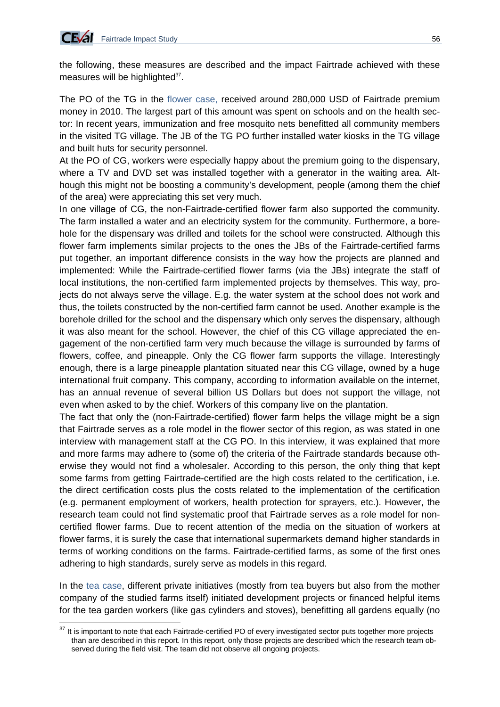

1

the following, these measures are described and the impact Fairtrade achieved with these measures will be highlighted<sup>37</sup>.

The PO of the TG in the flower case, received around 280,000 USD of Fairtrade premium money in 2010. The largest part of this amount was spent on schools and on the health sector: In recent years, immunization and free mosquito nets benefitted all community members in the visited TG village. The JB of the TG PO further installed water kiosks in the TG village and built huts for security personnel.

At the PO of CG, workers were especially happy about the premium going to the dispensary, where a TV and DVD set was installed together with a generator in the waiting area. Although this might not be boosting a community's development, people (among them the chief of the area) were appreciating this set very much.

In one village of CG, the non-Fairtrade-certified flower farm also supported the community. The farm installed a water and an electricity system for the community. Furthermore, a borehole for the dispensary was drilled and toilets for the school were constructed. Although this flower farm implements similar projects to the ones the JBs of the Fairtrade-certified farms put together, an important difference consists in the way how the projects are planned and implemented: While the Fairtrade-certified flower farms (via the JBs) integrate the staff of local institutions, the non-certified farm implemented projects by themselves. This way, projects do not always serve the village. E.g. the water system at the school does not work and thus, the toilets constructed by the non-certified farm cannot be used. Another example is the borehole drilled for the school and the dispensary which only serves the dispensary, although it was also meant for the school. However, the chief of this CG village appreciated the engagement of the non-certified farm very much because the village is surrounded by farms of flowers, coffee, and pineapple. Only the CG flower farm supports the village. Interestingly enough, there is a large pineapple plantation situated near this CG village, owned by a huge international fruit company. This company, according to information available on the internet, has an annual revenue of several billion US Dollars but does not support the village, not even when asked to by the chief. Workers of this company live on the plantation.

The fact that only the (non-Fairtrade-certified) flower farm helps the village might be a sign that Fairtrade serves as a role model in the flower sector of this region, as was stated in one interview with management staff at the CG PO. In this interview, it was explained that more and more farms may adhere to (some of) the criteria of the Fairtrade standards because otherwise they would not find a wholesaler. According to this person, the only thing that kept some farms from getting Fairtrade-certified are the high costs related to the certification, i.e. the direct certification costs plus the costs related to the implementation of the certification (e.g. permanent employment of workers, health protection for sprayers, etc.). However, the research team could not find systematic proof that Fairtrade serves as a role model for noncertified flower farms. Due to recent attention of the media on the situation of workers at flower farms, it is surely the case that international supermarkets demand higher standards in terms of working conditions on the farms. Fairtrade-certified farms, as some of the first ones adhering to high standards, surely serve as models in this regard.

In the tea case, different private initiatives (mostly from tea buyers but also from the mother company of the studied farms itself) initiated development projects or financed helpful items for the tea garden workers (like gas cylinders and stoves), benefitting all gardens equally (no

 $37$  It is important to note that each Fairtrade-certified PO of every investigated sector puts together more projects than are described in this report. In this report, only those projects are described which the research team observed during the field visit. The team did not observe all ongoing projects.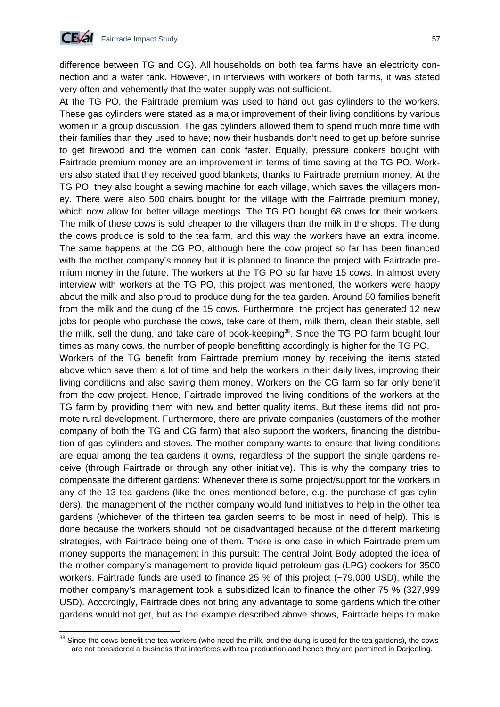

1

difference between TG and CG). All households on both tea farms have an electricity connection and a water tank. However, in interviews with workers of both farms, it was stated very often and vehemently that the water supply was not sufficient.

At the TG PO, the Fairtrade premium was used to hand out gas cylinders to the workers. These gas cylinders were stated as a major improvement of their living conditions by various women in a group discussion. The gas cylinders allowed them to spend much more time with their families than they used to have; now their husbands don't need to get up before sunrise to get firewood and the women can cook faster. Equally, pressure cookers bought with Fairtrade premium money are an improvement in terms of time saving at the TG PO. Workers also stated that they received good blankets, thanks to Fairtrade premium money. At the TG PO, they also bought a sewing machine for each village, which saves the villagers money. There were also 500 chairs bought for the village with the Fairtrade premium money, which now allow for better village meetings. The TG PO bought 68 cows for their workers. The milk of these cows is sold cheaper to the villagers than the milk in the shops. The dung the cows produce is sold to the tea farm, and this way the workers have an extra income. The same happens at the CG PO, although here the cow project so far has been financed with the mother company's money but it is planned to finance the project with Fairtrade premium money in the future. The workers at the TG PO so far have 15 cows. In almost every interview with workers at the TG PO, this project was mentioned, the workers were happy about the milk and also proud to produce dung for the tea garden. Around 50 families benefit from the milk and the dung of the 15 cows. Furthermore, the project has generated 12 new jobs for people who purchase the cows, take care of them, milk them, clean their stable, sell the milk, sell the dung, and take care of book-keeping<sup>38</sup>. Since the TG PO farm bought four times as many cows, the number of people benefitting accordingly is higher for the TG PO. Workers of the TG benefit from Fairtrade premium money by receiving the items stated

above which save them a lot of time and help the workers in their daily lives, improving their living conditions and also saving them money. Workers on the CG farm so far only benefit from the cow project. Hence, Fairtrade improved the living conditions of the workers at the TG farm by providing them with new and better quality items. But these items did not promote rural development. Furthermore, there are private companies (customers of the mother company of both the TG and CG farm) that also support the workers, financing the distribution of gas cylinders and stoves. The mother company wants to ensure that living conditions are equal among the tea gardens it owns, regardless of the support the single gardens receive (through Fairtrade or through any other initiative). This is why the company tries to compensate the different gardens: Whenever there is some project/support for the workers in any of the 13 tea gardens (like the ones mentioned before, e.g. the purchase of gas cylinders), the management of the mother company would fund initiatives to help in the other tea gardens (whichever of the thirteen tea garden seems to be most in need of help). This is done because the workers should not be disadvantaged because of the different marketing strategies, with Fairtrade being one of them. There is one case in which Fairtrade premium money supports the management in this pursuit: The central Joint Body adopted the idea of the mother company's management to provide liquid petroleum gas (LPG) cookers for 3500 workers. Fairtrade funds are used to finance 25 % of this project (~79,000 USD), while the mother company's management took a subsidized loan to finance the other 75 % (327,999 USD). Accordingly, Fairtrade does not bring any advantage to some gardens which the other gardens would not get, but as the example described above shows, Fairtrade helps to make

 $38$  Since the cows benefit the tea workers (who need the milk, and the dung is used for the tea gardens), the cows are not considered a business that interferes with tea production and hence they are permitted in Darjeeling.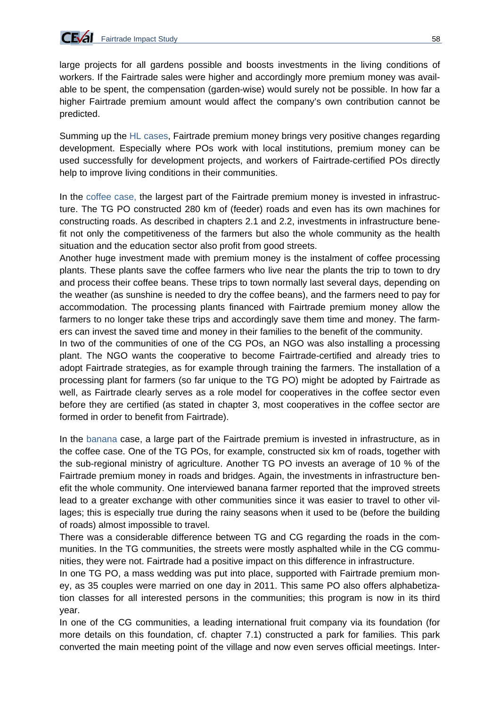

large projects for all gardens possible and boosts investments in the living conditions of workers. If the Fairtrade sales were higher and accordingly more premium money was available to be spent, the compensation (garden-wise) would surely not be possible. In how far a higher Fairtrade premium amount would affect the company's own contribution cannot be predicted.

Summing up the HL cases, Fairtrade premium money brings very positive changes regarding development. Especially where POs work with local institutions, premium money can be used successfully for development projects, and workers of Fairtrade-certified POs directly help to improve living conditions in their communities.

In the coffee case, the largest part of the Fairtrade premium money is invested in infrastructure. The TG PO constructed 280 km of (feeder) roads and even has its own machines for constructing roads. As described in chapters 2.1 and 2.2, investments in infrastructure benefit not only the competitiveness of the farmers but also the whole community as the health situation and the education sector also profit from good streets.

Another huge investment made with premium money is the instalment of coffee processing plants. These plants save the coffee farmers who live near the plants the trip to town to dry and process their coffee beans. These trips to town normally last several days, depending on the weather (as sunshine is needed to dry the coffee beans), and the farmers need to pay for accommodation. The processing plants financed with Fairtrade premium money allow the farmers to no longer take these trips and accordingly save them time and money. The farmers can invest the saved time and money in their families to the benefit of the community.

In two of the communities of one of the CG POs, an NGO was also installing a processing plant. The NGO wants the cooperative to become Fairtrade-certified and already tries to adopt Fairtrade strategies, as for example through training the farmers. The installation of a processing plant for farmers (so far unique to the TG PO) might be adopted by Fairtrade as well, as Fairtrade clearly serves as a role model for cooperatives in the coffee sector even before they are certified (as stated in chapter 3, most cooperatives in the coffee sector are formed in order to benefit from Fairtrade).

In the banana case, a large part of the Fairtrade premium is invested in infrastructure, as in the coffee case. One of the TG POs, for example, constructed six km of roads, together with the sub-regional ministry of agriculture. Another TG PO invests an average of 10 % of the Fairtrade premium money in roads and bridges. Again, the investments in infrastructure benefit the whole community. One interviewed banana farmer reported that the improved streets lead to a greater exchange with other communities since it was easier to travel to other villages; this is especially true during the rainy seasons when it used to be (before the building of roads) almost impossible to travel.

There was a considerable difference between TG and CG regarding the roads in the communities. In the TG communities, the streets were mostly asphalted while in the CG communities, they were not. Fairtrade had a positive impact on this difference in infrastructure.

In one TG PO, a mass wedding was put into place, supported with Fairtrade premium money, as 35 couples were married on one day in 2011. This same PO also offers alphabetization classes for all interested persons in the communities; this program is now in its third year.

In one of the CG communities, a leading international fruit company via its foundation (for more details on this foundation, cf. chapter 7.1) constructed a park for families. This park converted the main meeting point of the village and now even serves official meetings. Inter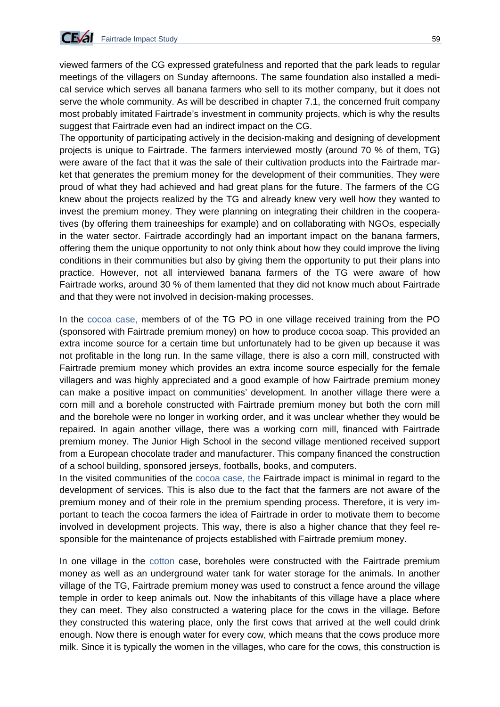viewed farmers of the CG expressed gratefulness and reported that the park leads to regular meetings of the villagers on Sunday afternoons. The same foundation also installed a medical service which serves all banana farmers who sell to its mother company, but it does not serve the whole community. As will be described in chapter 7.1, the concerned fruit company most probably imitated Fairtrade's investment in community projects, which is why the results suggest that Fairtrade even had an indirect impact on the CG.

The opportunity of participating actively in the decision-making and designing of development projects is unique to Fairtrade. The farmers interviewed mostly (around 70 % of them, TG) were aware of the fact that it was the sale of their cultivation products into the Fairtrade market that generates the premium money for the development of their communities. They were proud of what they had achieved and had great plans for the future. The farmers of the CG knew about the projects realized by the TG and already knew very well how they wanted to invest the premium money. They were planning on integrating their children in the cooperatives (by offering them traineeships for example) and on collaborating with NGOs, especially in the water sector. Fairtrade accordingly had an important impact on the banana farmers, offering them the unique opportunity to not only think about how they could improve the living conditions in their communities but also by giving them the opportunity to put their plans into practice. However, not all interviewed banana farmers of the TG were aware of how Fairtrade works, around 30 % of them lamented that they did not know much about Fairtrade and that they were not involved in decision-making processes.

In the cocoa case, members of of the TG PO in one village received training from the PO (sponsored with Fairtrade premium money) on how to produce cocoa soap. This provided an extra income source for a certain time but unfortunately had to be given up because it was not profitable in the long run. In the same village, there is also a corn mill, constructed with Fairtrade premium money which provides an extra income source especially for the female villagers and was highly appreciated and a good example of how Fairtrade premium money can make a positive impact on communities' development. In another village there were a corn mill and a borehole constructed with Fairtrade premium money but both the corn mill and the borehole were no longer in working order, and it was unclear whether they would be repaired. In again another village, there was a working corn mill, financed with Fairtrade premium money. The Junior High School in the second village mentioned received support from a European chocolate trader and manufacturer. This company financed the construction of a school building, sponsored jerseys, footballs, books, and computers.

In the visited communities of the cocoa case, the Fairtrade impact is minimal in regard to the development of services. This is also due to the fact that the farmers are not aware of the premium money and of their role in the premium spending process. Therefore, it is very important to teach the cocoa farmers the idea of Fairtrade in order to motivate them to become involved in development projects. This way, there is also a higher chance that they feel responsible for the maintenance of projects established with Fairtrade premium money.

In one village in the cotton case, boreholes were constructed with the Fairtrade premium money as well as an underground water tank for water storage for the animals. In another village of the TG, Fairtrade premium money was used to construct a fence around the village temple in order to keep animals out. Now the inhabitants of this village have a place where they can meet. They also constructed a watering place for the cows in the village. Before they constructed this watering place, only the first cows that arrived at the well could drink enough. Now there is enough water for every cow, which means that the cows produce more milk. Since it is typically the women in the villages, who care for the cows, this construction is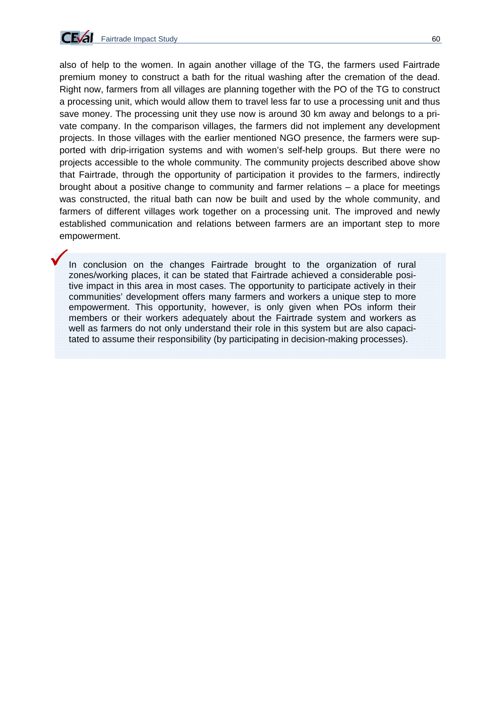

 $\checkmark$ 

also of help to the women. In again another village of the TG, the farmers used Fairtrade premium money to construct a bath for the ritual washing after the cremation of the dead. Right now, farmers from all villages are planning together with the PO of the TG to construct a processing unit, which would allow them to travel less far to use a processing unit and thus save money. The processing unit they use now is around 30 km away and belongs to a private company. In the comparison villages, the farmers did not implement any development projects. In those villages with the earlier mentioned NGO presence, the farmers were supported with drip-irrigation systems and with women's self-help groups. But there were no projects accessible to the whole community. The community projects described above show that Fairtrade, through the opportunity of participation it provides to the farmers, indirectly brought about a positive change to community and farmer relations – a place for meetings was constructed, the ritual bath can now be built and used by the whole community, and farmers of different villages work together on a processing unit. The improved and newly established communication and relations between farmers are an important step to more empowerment.

In conclusion on the changes Fairtrade brought to the organization of rural zones/working places, it can be stated that Fairtrade achieved a considerable positive impact in this area in most cases. The opportunity to participate actively in their communities' development offers many farmers and workers a unique step to more empowerment. This opportunity, however, is only given when POs inform their members or their workers adequately about the Fairtrade system and workers as well as farmers do not only understand their role in this system but are also capacitated to assume their responsibility (by participating in decision-making processes).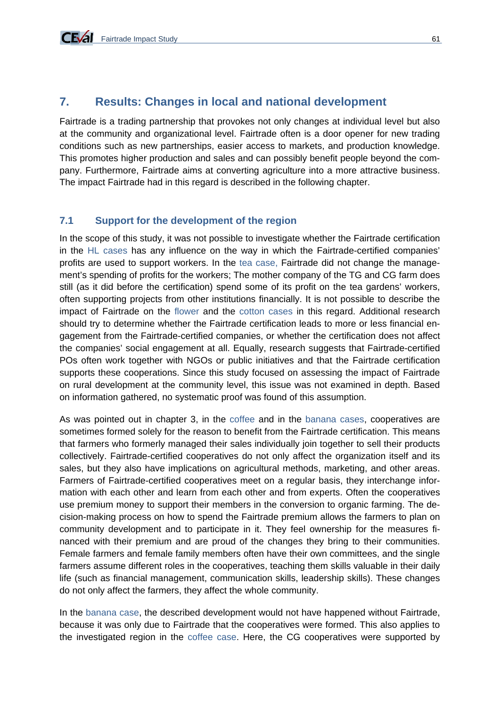### **7. Results: Changes in local and national development**

Fairtrade is a trading partnership that provokes not only changes at individual level but also at the community and organizational level. Fairtrade often is a door opener for new trading conditions such as new partnerships, easier access to markets, and production knowledge. This promotes higher production and sales and can possibly benefit people beyond the company. Furthermore, Fairtrade aims at converting agriculture into a more attractive business. The impact Fairtrade had in this regard is described in the following chapter.

### **7.1 Support for the development of the region**

In the scope of this study, it was not possible to investigate whether the Fairtrade certification in the HL cases has any influence on the way in which the Fairtrade-certified companies' profits are used to support workers. In the tea case, Fairtrade did not change the management's spending of profits for the workers; The mother company of the TG and CG farm does still (as it did before the certification) spend some of its profit on the tea gardens' workers, often supporting projects from other institutions financially. It is not possible to describe the impact of Fairtrade on the flower and the cotton cases in this regard. Additional research should try to determine whether the Fairtrade certification leads to more or less financial engagement from the Fairtrade-certified companies, or whether the certification does not affect the companies' social engagement at all. Equally, research suggests that Fairtrade-certified POs often work together with NGOs or public initiatives and that the Fairtrade certification supports these cooperations. Since this study focused on assessing the impact of Fairtrade on rural development at the community level, this issue was not examined in depth. Based on information gathered, no systematic proof was found of this assumption.

As was pointed out in chapter 3, in the coffee and in the banana cases, cooperatives are sometimes formed solely for the reason to benefit from the Fairtrade certification. This means that farmers who formerly managed their sales individually join together to sell their products collectively. Fairtrade-certified cooperatives do not only affect the organization itself and its sales, but they also have implications on agricultural methods, marketing, and other areas. Farmers of Fairtrade-certified cooperatives meet on a regular basis, they interchange information with each other and learn from each other and from experts. Often the cooperatives use premium money to support their members in the conversion to organic farming. The decision-making process on how to spend the Fairtrade premium allows the farmers to plan on community development and to participate in it. They feel ownership for the measures financed with their premium and are proud of the changes they bring to their communities. Female farmers and female family members often have their own committees, and the single farmers assume different roles in the cooperatives, teaching them skills valuable in their daily life (such as financial management, communication skills, leadership skills). These changes do not only affect the farmers, they affect the whole community.

In the banana case, the described development would not have happened without Fairtrade, because it was only due to Fairtrade that the cooperatives were formed. This also applies to the investigated region in the coffee case. Here, the CG cooperatives were supported by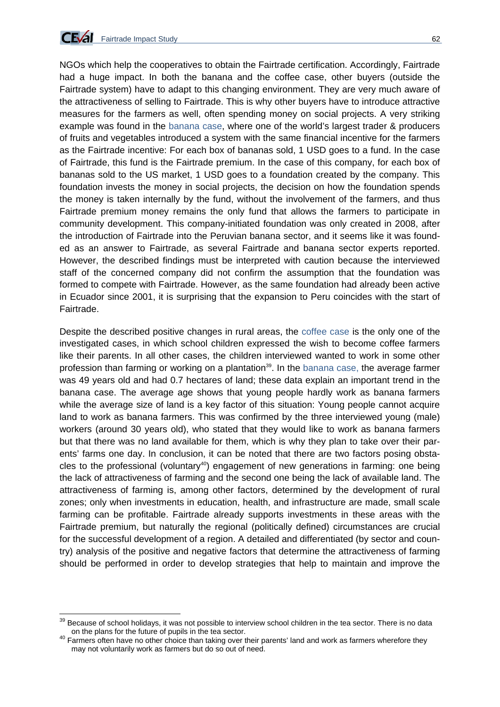

<u>.</u>

had a huge impact. In both the banana and the coffee case, other buyers (outside the Fairtrade system) have to adapt to this changing environment. They are very much aware of the attractiveness of selling to Fairtrade. This is why other buyers have to introduce attractive measures for the farmers as well, often spending money on social projects. A very striking example was found in the banana case, where one of the world's largest trader & producers of fruits and vegetables introduced a system with the same financial incentive for the farmers as the Fairtrade incentive: For each box of bananas sold, 1 USD goes to a fund. In the case of Fairtrade, this fund is the Fairtrade premium. In the case of this company, for each box of bananas sold to the US market, 1 USD goes to a foundation created by the company. This foundation invests the money in social projects, the decision on how the foundation spends the money is taken internally by the fund, without the involvement of the farmers, and thus Fairtrade premium money remains the only fund that allows the farmers to participate in community development. This company-initiated foundation was only created in 2008, after the introduction of Fairtrade into the Peruvian banana sector, and it seems like it was founded as an answer to Fairtrade, as several Fairtrade and banana sector experts reported. However, the described findings must be interpreted with caution because the interviewed staff of the concerned company did not confirm the assumption that the foundation was formed to compete with Fairtrade. However, as the same foundation had already been active in Ecuador since 2001, it is surprising that the expansion to Peru coincides with the start of Fairtrade.

Despite the described positive changes in rural areas, the coffee case is the only one of the investigated cases, in which school children expressed the wish to become coffee farmers like their parents. In all other cases, the children interviewed wanted to work in some other profession than farming or working on a plantation<sup>39</sup>. In the banana case, the average farmer was 49 years old and had 0.7 hectares of land; these data explain an important trend in the banana case. The average age shows that young people hardly work as banana farmers while the average size of land is a key factor of this situation: Young people cannot acquire land to work as banana farmers. This was confirmed by the three interviewed young (male) workers (around 30 years old), who stated that they would like to work as banana farmers but that there was no land available for them, which is why they plan to take over their parents' farms one day. In conclusion, it can be noted that there are two factors posing obstacles to the professional (voluntary<sup>40</sup>) engagement of new generations in farming: one being the lack of attractiveness of farming and the second one being the lack of available land. The attractiveness of farming is, among other factors, determined by the development of rural zones; only when investments in education, health, and infrastructure are made, small scale farming can be profitable. Fairtrade already supports investments in these areas with the Fairtrade premium, but naturally the regional (politically defined) circumstances are crucial for the successful development of a region. A detailed and differentiated (by sector and country) analysis of the positive and negative factors that determine the attractiveness of farming should be performed in order to develop strategies that help to maintain and improve the

 $39$  Because of school holidays, it was not possible to interview school children in the tea sector. There is no data

on the plans for the future of pupils in the tea sector.<br><sup>40</sup> Farmers often have no other choice than taking over their parents' land and work as farmers wherefore they may not voluntarily work as farmers but do so out of need.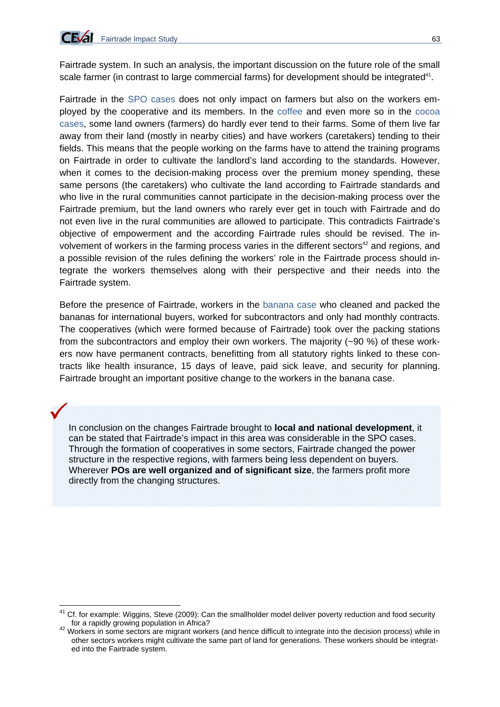$\checkmark$ 

Fairtrade system. In such an analysis, the important discussion on the future role of the small scale farmer (in contrast to large commercial farms) for development should be integrated<sup>41</sup>.

Fairtrade in the SPO cases does not only impact on farmers but also on the workers employed by the cooperative and its members. In the coffee and even more so in the cocoa cases, some land owners (farmers) do hardly ever tend to their farms. Some of them live far away from their land (mostly in nearby cities) and have workers (caretakers) tending to their fields. This means that the people working on the farms have to attend the training programs on Fairtrade in order to cultivate the landlord's land according to the standards. However, when it comes to the decision-making process over the premium money spending, these same persons (the caretakers) who cultivate the land according to Fairtrade standards and who live in the rural communities cannot participate in the decision-making process over the Fairtrade premium, but the land owners who rarely ever get in touch with Fairtrade and do not even live in the rural communities are allowed to participate. This contradicts Fairtrade's objective of empowerment and the according Fairtrade rules should be revised. The involvement of workers in the farming process varies in the different sectors $42$  and regions, and a possible revision of the rules defining the workers' role in the Fairtrade process should integrate the workers themselves along with their perspective and their needs into the Fairtrade system.

Before the presence of Fairtrade, workers in the banana case who cleaned and packed the bananas for international buyers, worked for subcontractors and only had monthly contracts. The cooperatives (which were formed because of Fairtrade) took over the packing stations from the subcontractors and employ their own workers. The majority (~90 %) of these workers now have permanent contracts, benefitting from all statutory rights linked to these contracts like health insurance, 15 days of leave, paid sick leave, and security for planning. Fairtrade brought an important positive change to the workers in the banana case.

In conclusion on the changes Fairtrade brought to **local and national development**, it can be stated that Fairtrade's impact in this area was considerable in the SPO cases. Through the formation of cooperatives in some sectors, Fairtrade changed the power structure in the respective regions, with farmers being less dependent on buyers. Wherever **POs are well organized and of significant size**, the farmers profit more directly from the changing structures.

<sup>1</sup> <sup>41</sup> Cf. for example: Wiggins, Steve (2009): Can the smallholder model deliver poverty reduction and food security

for a rapidly growing population in Africa?<br><sup>42</sup> Workers in some sectors are migrant workers (and hence difficult to integrate into the decision process) while in other sectors workers might cultivate the same part of land for generations. These workers should be integrated into the Fairtrade system.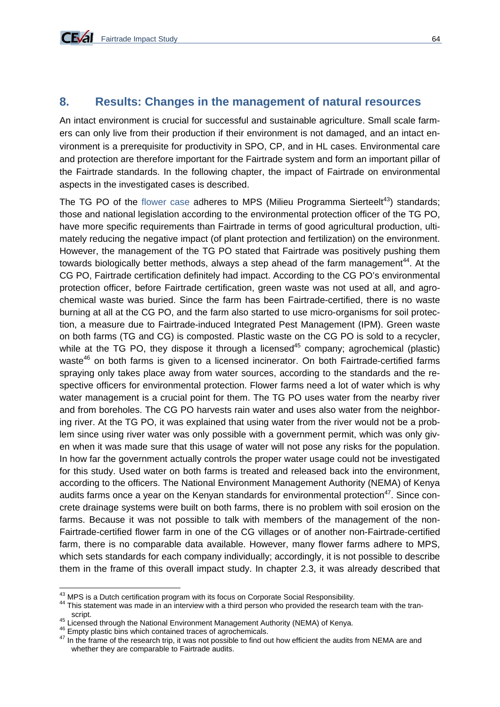# **8. Results: Changes in the management of natural resources**

An intact environment is crucial for successful and sustainable agriculture. Small scale farmers can only live from their production if their environment is not damaged, and an intact environment is a prerequisite for productivity in SPO, CP, and in HL cases. Environmental care and protection are therefore important for the Fairtrade system and form an important pillar of the Fairtrade standards. In the following chapter, the impact of Fairtrade on environmental aspects in the investigated cases is described.

The TG PO of the flower case adheres to MPS (Milieu Programma Sierteelt<sup>43</sup>) standards: those and national legislation according to the environmental protection officer of the TG PO, have more specific requirements than Fairtrade in terms of good agricultural production, ultimately reducing the negative impact (of plant protection and fertilization) on the environment. However, the management of the TG PO stated that Fairtrade was positively pushing them towards biologically better methods, always a step ahead of the farm management<sup>44</sup>. At the CG PO, Fairtrade certification definitely had impact. According to the CG PO's environmental protection officer, before Fairtrade certification, green waste was not used at all, and agrochemical waste was buried. Since the farm has been Fairtrade-certified, there is no waste burning at all at the CG PO, and the farm also started to use micro-organisms for soil protection, a measure due to Fairtrade-induced Integrated Pest Management (IPM). Green waste on both farms (TG and CG) is composted. Plastic waste on the CG PO is sold to a recycler, while at the TG PO, they dispose it through a licensed<sup>45</sup> company; agrochemical (plastic) waste<sup>46</sup> on both farms is given to a licensed incinerator. On both Fairtrade-certified farms spraying only takes place away from water sources, according to the standards and the respective officers for environmental protection. Flower farms need a lot of water which is why water management is a crucial point for them. The TG PO uses water from the nearby river and from boreholes. The CG PO harvests rain water and uses also water from the neighboring river. At the TG PO, it was explained that using water from the river would not be a problem since using river water was only possible with a government permit, which was only given when it was made sure that this usage of water will not pose any risks for the population. In how far the government actually controls the proper water usage could not be investigated for this study. Used water on both farms is treated and released back into the environment, according to the officers. The National Environment Management Authority (NEMA) of Kenya audits farms once a year on the Kenyan standards for environmental protection $47$ . Since concrete drainage systems were built on both farms, there is no problem with soil erosion on the farms. Because it was not possible to talk with members of the management of the non-Fairtrade-certified flower farm in one of the CG villages or of another non-Fairtrade-certified farm, there is no comparable data available. However, many flower farms adhere to MPS, which sets standards for each company individually; accordingly, it is not possible to describe them in the frame of this overall impact study. In chapter 2.3, it was already described that

<sup>&</sup>lt;sup>43</sup> MPS is a Dutch certification program with its focus on Corporate Social Responsibility.

<sup>&</sup>lt;sup>44</sup> This statement was made in an interview with a third person who provided the research team with the transcript.<br><sup>45</sup> Licensed through the National Environment Management Authority (NEMA) of Kenya.<br><sup>46</sup> Empty plastic bins which contained traces of agrochemicals.<br><sup>47</sup> In the frame of the research trip, it was not possible to f

whether they are comparable to Fairtrade audits.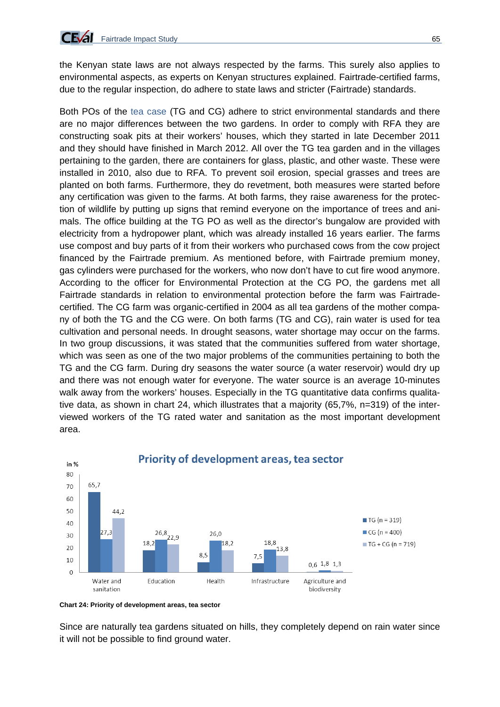the Kenyan state laws are not always respected by the farms. This surely also applies to environmental aspects, as experts on Kenyan structures explained. Fairtrade-certified farms, due to the regular inspection, do adhere to state laws and stricter (Fairtrade) standards.

Both POs of the tea case (TG and CG) adhere to strict environmental standards and there are no major differences between the two gardens. In order to comply with RFA they are constructing soak pits at their workers' houses, which they started in late December 2011 and they should have finished in March 2012. All over the TG tea garden and in the villages pertaining to the garden, there are containers for glass, plastic, and other waste. These were installed in 2010, also due to RFA. To prevent soil erosion, special grasses and trees are planted on both farms. Furthermore, they do revetment, both measures were started before any certification was given to the farms. At both farms, they raise awareness for the protection of wildlife by putting up signs that remind everyone on the importance of trees and animals. The office building at the TG PO as well as the director's bungalow are provided with electricity from a hydropower plant, which was already installed 16 years earlier. The farms use compost and buy parts of it from their workers who purchased cows from the cow project financed by the Fairtrade premium. As mentioned before, with Fairtrade premium money, gas cylinders were purchased for the workers, who now don't have to cut fire wood anymore. According to the officer for Environmental Protection at the CG PO, the gardens met all Fairtrade standards in relation to environmental protection before the farm was Fairtradecertified. The CG farm was organic-certified in 2004 as all tea gardens of the mother company of both the TG and the CG were. On both farms (TG and CG), rain water is used for tea cultivation and personal needs. In drought seasons, water shortage may occur on the farms. In two group discussions, it was stated that the communities suffered from water shortage, which was seen as one of the two major problems of the communities pertaining to both the TG and the CG farm. During dry seasons the water source (a water reservoir) would dry up and there was not enough water for everyone. The water source is an average 10-minutes walk away from the workers' houses. Especially in the TG quantitative data confirms qualitative data, as shown in chart 24, which illustrates that a majority (65,7%, n=319) of the interviewed workers of the TG rated water and sanitation as the most important development area.



**Chart 24: Priority of development areas, tea sector**

Since are naturally tea gardens situated on hills, they completely depend on rain water since it will not be possible to find ground water.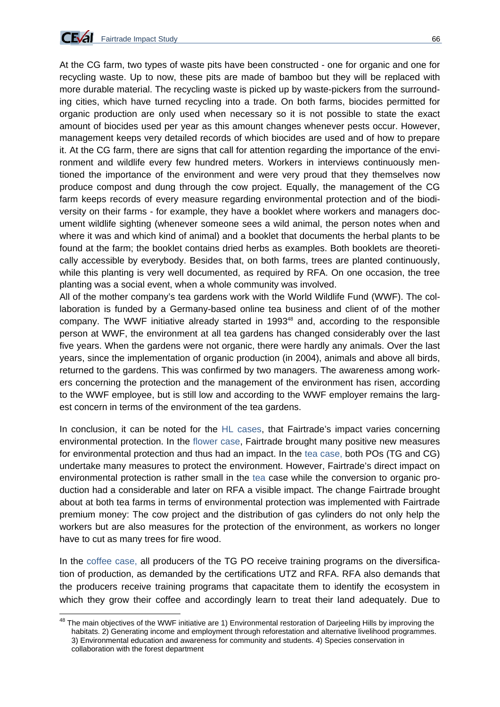

<u>.</u>

At the CG farm, two types of waste pits have been constructed - one for organic and one for recycling waste. Up to now, these pits are made of bamboo but they will be replaced with more durable material. The recycling waste is picked up by waste-pickers from the surrounding cities, which have turned recycling into a trade. On both farms, biocides permitted for organic production are only used when necessary so it is not possible to state the exact amount of biocides used per year as this amount changes whenever pests occur. However, management keeps very detailed records of which biocides are used and of how to prepare it. At the CG farm, there are signs that call for attention regarding the importance of the environment and wildlife every few hundred meters. Workers in interviews continuously mentioned the importance of the environment and were very proud that they themselves now produce compost and dung through the cow project. Equally, the management of the CG farm keeps records of every measure regarding environmental protection and of the biodiversity on their farms - for example, they have a booklet where workers and managers document wildlife sighting (whenever someone sees a wild animal, the person notes when and where it was and which kind of animal) and a booklet that documents the herbal plants to be found at the farm; the booklet contains dried herbs as examples. Both booklets are theoretically accessible by everybody. Besides that, on both farms, trees are planted continuously, while this planting is very well documented, as required by RFA. On one occasion, the tree planting was a social event, when a whole community was involved.

All of the mother company's tea gardens work with the World Wildlife Fund (WWF). The collaboration is funded by a Germany-based online tea business and client of of the mother company. The WWF initiative already started in 1993<sup>48</sup> and, according to the responsible person at WWF, the environment at all tea gardens has changed considerably over the last five years. When the gardens were not organic, there were hardly any animals. Over the last years, since the implementation of organic production (in 2004), animals and above all birds, returned to the gardens. This was confirmed by two managers. The awareness among workers concerning the protection and the management of the environment has risen, according to the WWF employee, but is still low and according to the WWF employer remains the largest concern in terms of the environment of the tea gardens.

In conclusion, it can be noted for the HL cases, that Fairtrade's impact varies concerning environmental protection. In the flower case, Fairtrade brought many positive new measures for environmental protection and thus had an impact. In the tea case, both POs (TG and CG) undertake many measures to protect the environment. However, Fairtrade's direct impact on environmental protection is rather small in the tea case while the conversion to organic production had a considerable and later on RFA a visible impact. The change Fairtrade brought about at both tea farms in terms of environmental protection was implemented with Fairtrade premium money: The cow project and the distribution of gas cylinders do not only help the workers but are also measures for the protection of the environment, as workers no longer have to cut as many trees for fire wood.

In the coffee case, all producers of the TG PO receive training programs on the diversification of production, as demanded by the certifications UTZ and RFA. RFA also demands that the producers receive training programs that capacitate them to identify the ecosystem in which they grow their coffee and accordingly learn to treat their land adequately. Due to

<sup>&</sup>lt;sup>48</sup> The main objectives of the WWF initiative are 1) Environmental restoration of Darjeeling Hills by improving the habitats. 2) Generating income and employment through reforestation and alternative livelihood programmes. 3) Environmental education and awareness for community and students. 4) Species conservation in collaboration with the forest department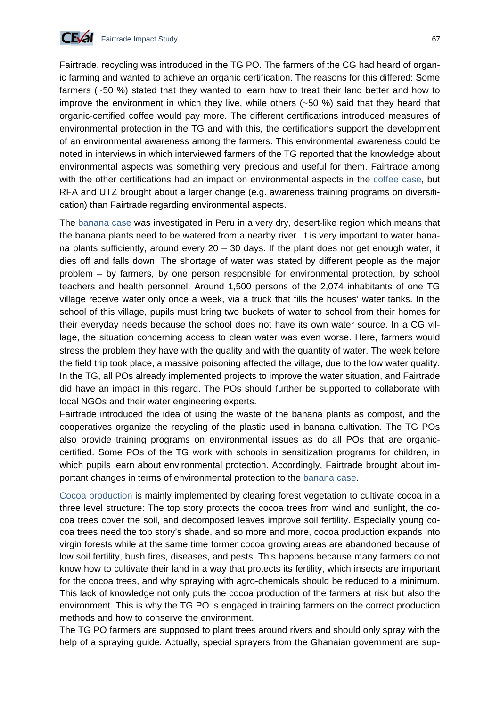Fairtrade, recycling was introduced in the TG PO. The farmers of the CG had heard of organic farming and wanted to achieve an organic certification. The reasons for this differed: Some farmers (~50 %) stated that they wanted to learn how to treat their land better and how to improve the environment in which they live, while others (~50 %) said that they heard that organic-certified coffee would pay more. The different certifications introduced measures of environmental protection in the TG and with this, the certifications support the development of an environmental awareness among the farmers. This environmental awareness could be noted in interviews in which interviewed farmers of the TG reported that the knowledge about environmental aspects was something very precious and useful for them. Fairtrade among with the other certifications had an impact on environmental aspects in the coffee case, but RFA and UTZ brought about a larger change (e.g. awareness training programs on diversification) than Fairtrade regarding environmental aspects.

The banana case was investigated in Peru in a very dry, desert-like region which means that the banana plants need to be watered from a nearby river. It is very important to water banana plants sufficiently, around every 20 – 30 days. If the plant does not get enough water, it dies off and falls down. The shortage of water was stated by different people as the major problem – by farmers, by one person responsible for environmental protection, by school teachers and health personnel. Around 1,500 persons of the 2,074 inhabitants of one TG village receive water only once a week, via a truck that fills the houses' water tanks. In the school of this village, pupils must bring two buckets of water to school from their homes for their everyday needs because the school does not have its own water source. In a CG village, the situation concerning access to clean water was even worse. Here, farmers would stress the problem they have with the quality and with the quantity of water. The week before the field trip took place, a massive poisoning affected the village, due to the low water quality. In the TG, all POs already implemented projects to improve the water situation, and Fairtrade did have an impact in this regard. The POs should further be supported to collaborate with local NGOs and their water engineering experts.

Fairtrade introduced the idea of using the waste of the banana plants as compost, and the cooperatives organize the recycling of the plastic used in banana cultivation. The TG POs also provide training programs on environmental issues as do all POs that are organiccertified. Some POs of the TG work with schools in sensitization programs for children, in which pupils learn about environmental protection. Accordingly, Fairtrade brought about important changes in terms of environmental protection to the banana case.

Cocoa production is mainly implemented by clearing forest vegetation to cultivate cocoa in a three level structure: The top story protects the cocoa trees from wind and sunlight, the cocoa trees cover the soil, and decomposed leaves improve soil fertility. Especially young cocoa trees need the top story's shade, and so more and more, cocoa production expands into virgin forests while at the same time former cocoa growing areas are abandoned because of low soil fertility, bush fires, diseases, and pests. This happens because many farmers do not know how to cultivate their land in a way that protects its fertility, which insects are important for the cocoa trees, and why spraying with agro-chemicals should be reduced to a minimum. This lack of knowledge not only puts the cocoa production of the farmers at risk but also the environment. This is why the TG PO is engaged in training farmers on the correct production methods and how to conserve the environment.

The TG PO farmers are supposed to plant trees around rivers and should only spray with the help of a spraying guide. Actually, special sprayers from the Ghanaian government are sup-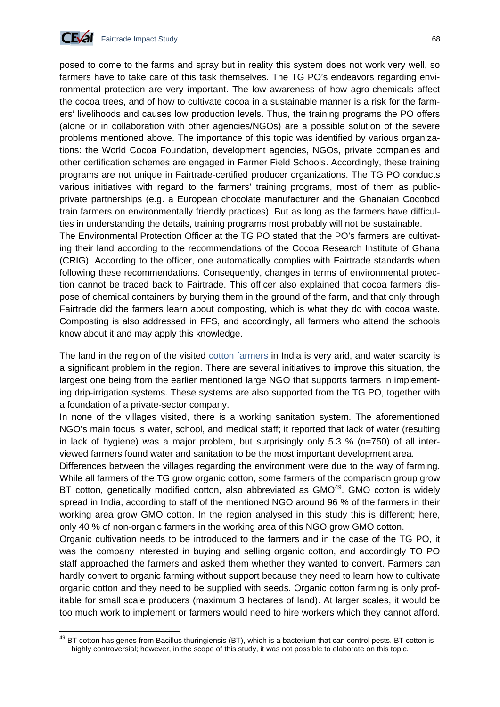

1

posed to come to the farms and spray but in reality this system does not work very well, so farmers have to take care of this task themselves. The TG PO's endeavors regarding environmental protection are very important. The low awareness of how agro-chemicals affect the cocoa trees, and of how to cultivate cocoa in a sustainable manner is a risk for the farmers' livelihoods and causes low production levels. Thus, the training programs the PO offers (alone or in collaboration with other agencies/NGOs) are a possible solution of the severe problems mentioned above. The importance of this topic was identified by various organizations: the World Cocoa Foundation, development agencies, NGOs, private companies and other certification schemes are engaged in Farmer Field Schools. Accordingly, these training programs are not unique in Fairtrade-certified producer organizations. The TG PO conducts various initiatives with regard to the farmers' training programs, most of them as publicprivate partnerships (e.g. a European chocolate manufacturer and the Ghanaian Cocobod train farmers on environmentally friendly practices). But as long as the farmers have difficulties in understanding the details, training programs most probably will not be sustainable.

The Environmental Protection Officer at the TG PO stated that the PO's farmers are cultivating their land according to the recommendations of the Cocoa Research Institute of Ghana (CRIG). According to the officer, one automatically complies with Fairtrade standards when following these recommendations. Consequently, changes in terms of environmental protection cannot be traced back to Fairtrade. This officer also explained that cocoa farmers dispose of chemical containers by burying them in the ground of the farm, and that only through Fairtrade did the farmers learn about composting, which is what they do with cocoa waste. Composting is also addressed in FFS, and accordingly, all farmers who attend the schools know about it and may apply this knowledge.

The land in the region of the visited cotton farmers in India is very arid, and water scarcity is a significant problem in the region. There are several initiatives to improve this situation, the largest one being from the earlier mentioned large NGO that supports farmers in implementing drip-irrigation systems. These systems are also supported from the TG PO, together with a foundation of a private-sector company.

In none of the villages visited, there is a working sanitation system. The aforementioned NGO's main focus is water, school, and medical staff; it reported that lack of water (resulting in lack of hygiene) was a major problem, but surprisingly only 5.3  $%$  (n=750) of all interviewed farmers found water and sanitation to be the most important development area.

Differences between the villages regarding the environment were due to the way of farming. While all farmers of the TG grow organic cotton, some farmers of the comparison group grow BT cotton, genetically modified cotton, also abbreviated as  $GMO<sup>49</sup>$ . GMO cotton is widely spread in India, according to staff of the mentioned NGO around 96 % of the farmers in their working area grow GMO cotton. In the region analysed in this study this is different; here, only 40 % of non-organic farmers in the working area of this NGO grow GMO cotton.

Organic cultivation needs to be introduced to the farmers and in the case of the TG PO, it was the company interested in buying and selling organic cotton, and accordingly TO PO staff approached the farmers and asked them whether they wanted to convert. Farmers can hardly convert to organic farming without support because they need to learn how to cultivate organic cotton and they need to be supplied with seeds. Organic cotton farming is only profitable for small scale producers (maximum 3 hectares of land). At larger scales, it would be too much work to implement or farmers would need to hire workers which they cannot afford.

 $^{49}$  BT cotton has genes from Bacillus thuringiensis (BT), which is a bacterium that can control pests. BT cotton is highly controversial; however, in the scope of this study, it was not possible to elaborate on this topic.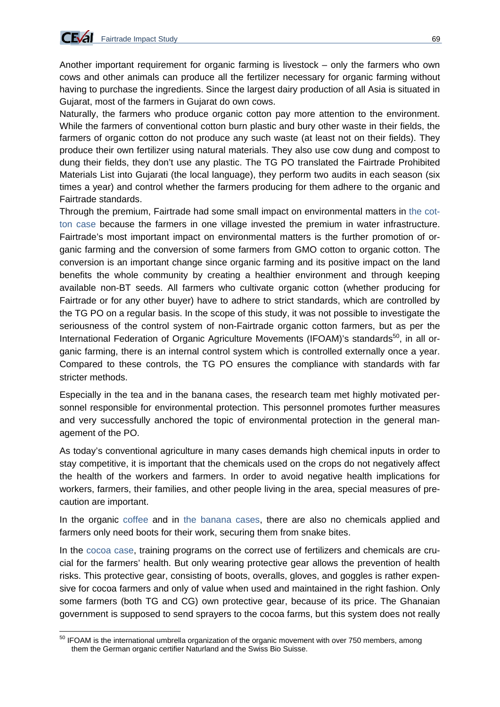Another important requirement for organic farming is livestock – only the farmers who own cows and other animals can produce all the fertilizer necessary for organic farming without having to purchase the ingredients. Since the largest dairy production of all Asia is situated in Gujarat, most of the farmers in Gujarat do own cows.

Naturally, the farmers who produce organic cotton pay more attention to the environment. While the farmers of conventional cotton burn plastic and bury other waste in their fields, the farmers of organic cotton do not produce any such waste (at least not on their fields). They produce their own fertilizer using natural materials. They also use cow dung and compost to dung their fields, they don't use any plastic. The TG PO translated the Fairtrade Prohibited Materials List into Gujarati (the local language), they perform two audits in each season (six times a year) and control whether the farmers producing for them adhere to the organic and Fairtrade standards.

Through the premium, Fairtrade had some small impact on environmental matters in the cotton case because the farmers in one village invested the premium in water infrastructure. Fairtrade's most important impact on environmental matters is the further promotion of organic farming and the conversion of some farmers from GMO cotton to organic cotton. The conversion is an important change since organic farming and its positive impact on the land benefits the whole community by creating a healthier environment and through keeping available non-BT seeds. All farmers who cultivate organic cotton (whether producing for Fairtrade or for any other buyer) have to adhere to strict standards, which are controlled by the TG PO on a regular basis. In the scope of this study, it was not possible to investigate the seriousness of the control system of non-Fairtrade organic cotton farmers, but as per the International Federation of Organic Agriculture Movements (IFOAM)'s standards<sup>50</sup>, in all organic farming, there is an internal control system which is controlled externally once a year. Compared to these controls, the TG PO ensures the compliance with standards with far stricter methods.

Especially in the tea and in the banana cases, the research team met highly motivated personnel responsible for environmental protection. This personnel promotes further measures and very successfully anchored the topic of environmental protection in the general management of the PO.

As today's conventional agriculture in many cases demands high chemical inputs in order to stay competitive, it is important that the chemicals used on the crops do not negatively affect the health of the workers and farmers. In order to avoid negative health implications for workers, farmers, their families, and other people living in the area, special measures of precaution are important.

In the organic coffee and in the banana cases, there are also no chemicals applied and farmers only need boots for their work, securing them from snake bites.

In the cocoa case, training programs on the correct use of fertilizers and chemicals are crucial for the farmers' health. But only wearing protective gear allows the prevention of health risks. This protective gear, consisting of boots, overalls, gloves, and goggles is rather expensive for cocoa farmers and only of value when used and maintained in the right fashion. Only some farmers (both TG and CG) own protective gear, because of its price. The Ghanaian government is supposed to send sprayers to the cocoa farms, but this system does not really

<sup>1</sup>  $50$  IFOAM is the international umbrella organization of the organic movement with over 750 members, among them the German organic certifier Naturland and the Swiss Bio Suisse.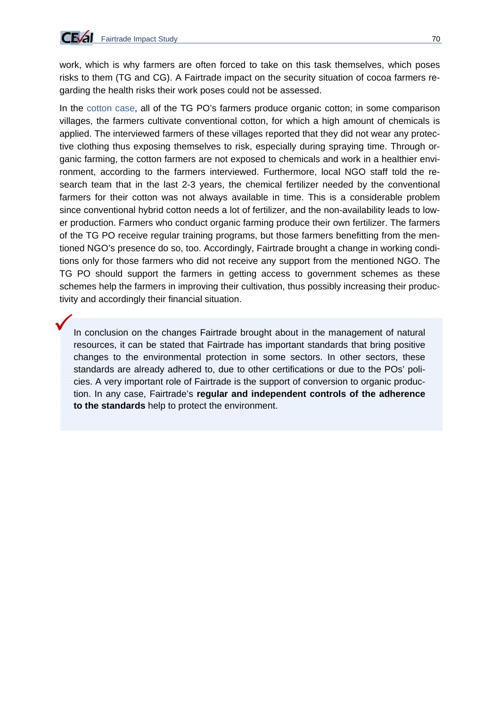$\checkmark$ 

work, which is why farmers are often forced to take on this task themselves, which poses risks to them (TG and CG). A Fairtrade impact on the security situation of cocoa farmers regarding the health risks their work poses could not be assessed.

In the cotton case, all of the TG PO's farmers produce organic cotton; in some comparison villages, the farmers cultivate conventional cotton, for which a high amount of chemicals is applied. The interviewed farmers of these villages reported that they did not wear any protective clothing thus exposing themselves to risk, especially during spraying time. Through organic farming, the cotton farmers are not exposed to chemicals and work in a healthier environment, according to the farmers interviewed. Furthermore, local NGO staff told the research team that in the last 2-3 years, the chemical fertilizer needed by the conventional farmers for their cotton was not always available in time. This is a considerable problem since conventional hybrid cotton needs a lot of fertilizer, and the non-availability leads to lower production. Farmers who conduct organic farming produce their own fertilizer. The farmers of the TG PO receive regular training programs, but those farmers benefitting from the mentioned NGO's presence do so, too. Accordingly, Fairtrade brought a change in working conditions only for those farmers who did not receive any support from the mentioned NGO. The TG PO should support the farmers in getting access to government schemes as these schemes help the farmers in improving their cultivation, thus possibly increasing their productivity and accordingly their financial situation.

In conclusion on the changes Fairtrade brought about in the management of natural resources, it can be stated that Fairtrade has important standards that bring positive changes to the environmental protection in some sectors. In other sectors, these standards are already adhered to, due to other certifications or due to the POs' policies. A very important role of Fairtrade is the support of conversion to organic production. In any case, Fairtrade's **regular and independent controls of the adherence to the standards** help to protect the environment.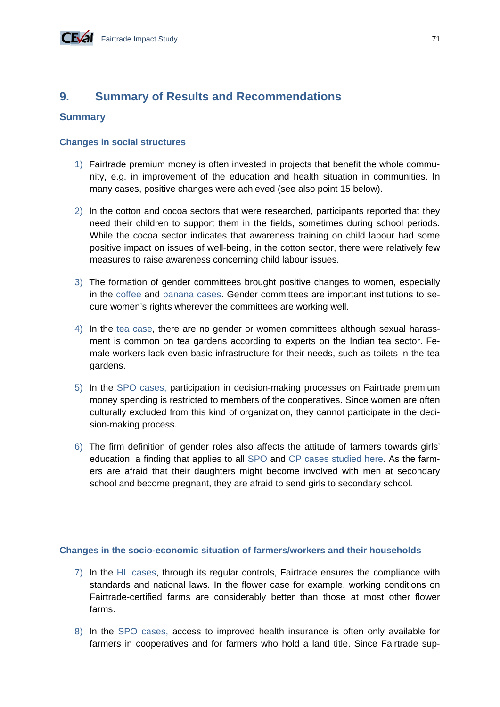# **9. Summary of Results and Recommendations**

## **Summary**

## **Changes in social structures**

- 1) Fairtrade premium money is often invested in projects that benefit the whole community, e.g. in improvement of the education and health situation in communities. In many cases, positive changes were achieved (see also point 15 below).
- 2) In the cotton and cocoa sectors that were researched, participants reported that they need their children to support them in the fields, sometimes during school periods. While the cocoa sector indicates that awareness training on child labour had some positive impact on issues of well-being, in the cotton sector, there were relatively few measures to raise awareness concerning child labour issues.
- 3) The formation of gender committees brought positive changes to women, especially in the coffee and banana cases. Gender committees are important institutions to secure women's rights wherever the committees are working well.
- 4) In the tea case, there are no gender or women committees although sexual harassment is common on tea gardens according to experts on the Indian tea sector. Female workers lack even basic infrastructure for their needs, such as toilets in the tea gardens.
- 5) In the SPO cases, participation in decision-making processes on Fairtrade premium money spending is restricted to members of the cooperatives. Since women are often culturally excluded from this kind of organization, they cannot participate in the decision-making process.
- 6) The firm definition of gender roles also affects the attitude of farmers towards girls' education, a finding that applies to all SPO and CP cases studied here. As the farmers are afraid that their daughters might become involved with men at secondary school and become pregnant, they are afraid to send girls to secondary school.

## **Changes in the socio-economic situation of farmers/workers and their households**

- 7) In the HL cases, through its regular controls, Fairtrade ensures the compliance with standards and national laws. In the flower case for example, working conditions on Fairtrade-certified farms are considerably better than those at most other flower farms.
- 8) In the SPO cases, access to improved health insurance is often only available for farmers in cooperatives and for farmers who hold a land title. Since Fairtrade sup-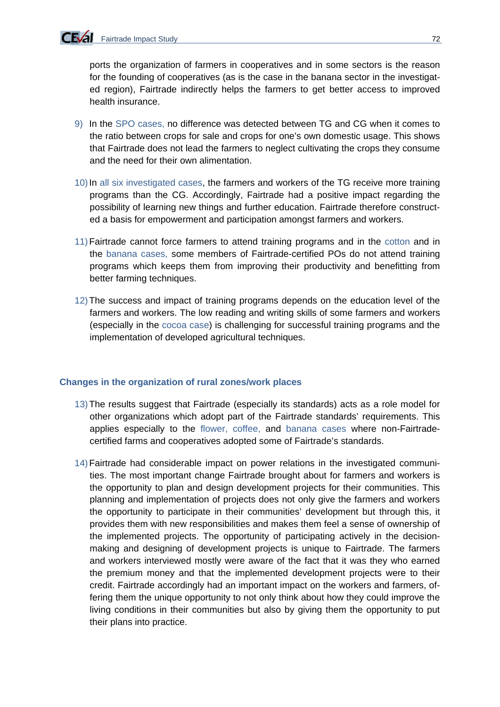ports the organization of farmers in cooperatives and in some sectors is the reason for the founding of cooperatives (as is the case in the banana sector in the investigated region), Fairtrade indirectly helps the farmers to get better access to improved health insurance.

- 9) In the SPO cases, no difference was detected between TG and CG when it comes to the ratio between crops for sale and crops for one's own domestic usage. This shows that Fairtrade does not lead the farmers to neglect cultivating the crops they consume and the need for their own alimentation.
- 10) In all six investigated cases, the farmers and workers of the TG receive more training programs than the CG. Accordingly, Fairtrade had a positive impact regarding the possibility of learning new things and further education. Fairtrade therefore constructed a basis for empowerment and participation amongst farmers and workers.
- 11) Fairtrade cannot force farmers to attend training programs and in the cotton and in the banana cases, some members of Fairtrade-certified POs do not attend training programs which keeps them from improving their productivity and benefitting from better farming techniques.
- 12) The success and impact of training programs depends on the education level of the farmers and workers. The low reading and writing skills of some farmers and workers (especially in the cocoa case) is challenging for successful training programs and the implementation of developed agricultural techniques.

## **Changes in the organization of rural zones/work places**

- 13) The results suggest that Fairtrade (especially its standards) acts as a role model for other organizations which adopt part of the Fairtrade standards' requirements. This applies especially to the flower, coffee, and banana cases where non-Fairtradecertified farms and cooperatives adopted some of Fairtrade's standards.
- 14) Fairtrade had considerable impact on power relations in the investigated communities. The most important change Fairtrade brought about for farmers and workers is the opportunity to plan and design development projects for their communities. This planning and implementation of projects does not only give the farmers and workers the opportunity to participate in their communities' development but through this, it provides them with new responsibilities and makes them feel a sense of ownership of the implemented projects. The opportunity of participating actively in the decisionmaking and designing of development projects is unique to Fairtrade. The farmers and workers interviewed mostly were aware of the fact that it was they who earned the premium money and that the implemented development projects were to their credit. Fairtrade accordingly had an important impact on the workers and farmers, offering them the unique opportunity to not only think about how they could improve the living conditions in their communities but also by giving them the opportunity to put their plans into practice.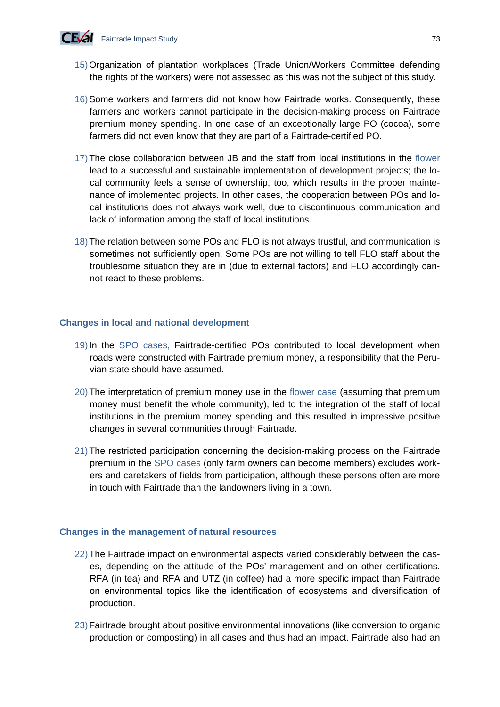

- 15) Organization of plantation workplaces (Trade Union/Workers Committee defending the rights of the workers) were not assessed as this was not the subject of this study.
- 16) Some workers and farmers did not know how Fairtrade works. Consequently, these farmers and workers cannot participate in the decision-making process on Fairtrade premium money spending. In one case of an exceptionally large PO (cocoa), some farmers did not even know that they are part of a Fairtrade-certified PO.
- 17) The close collaboration between JB and the staff from local institutions in the flower lead to a successful and sustainable implementation of development projects; the local community feels a sense of ownership, too, which results in the proper maintenance of implemented projects. In other cases, the cooperation between POs and local institutions does not always work well, due to discontinuous communication and lack of information among the staff of local institutions.
- 18) The relation between some POs and FLO is not always trustful, and communication is sometimes not sufficiently open. Some POs are not willing to tell FLO staff about the troublesome situation they are in (due to external factors) and FLO accordingly cannot react to these problems.

#### **Changes in local and national development**

- 19) In the SPO cases, Fairtrade-certified POs contributed to local development when roads were constructed with Fairtrade premium money, a responsibility that the Peruvian state should have assumed.
- 20) The interpretation of premium money use in the flower case (assuming that premium money must benefit the whole community), led to the integration of the staff of local institutions in the premium money spending and this resulted in impressive positive changes in several communities through Fairtrade.
- 21) The restricted participation concerning the decision-making process on the Fairtrade premium in the SPO cases (only farm owners can become members) excludes workers and caretakers of fields from participation, although these persons often are more in touch with Fairtrade than the landowners living in a town.

#### **Changes in the management of natural resources**

- 22) The Fairtrade impact on environmental aspects varied considerably between the cases, depending on the attitude of the POs' management and on other certifications. RFA (in tea) and RFA and UTZ (in coffee) had a more specific impact than Fairtrade on environmental topics like the identification of ecosystems and diversification of production.
- 23) Fairtrade brought about positive environmental innovations (like conversion to organic production or composting) in all cases and thus had an impact. Fairtrade also had an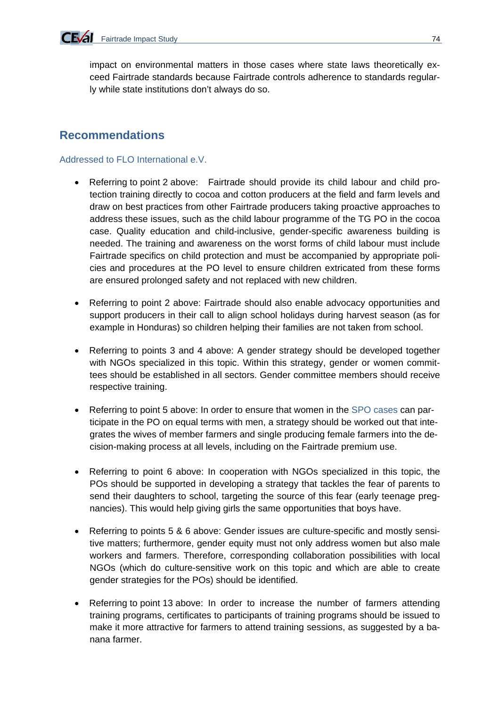

impact on environmental matters in those cases where state laws theoretically exceed Fairtrade standards because Fairtrade controls adherence to standards regularly while state institutions don't always do so.

# **Recommendations**

Addressed to FLO International e.V.

- Referring to point 2 above: Fairtrade should provide its child labour and child protection training directly to cocoa and cotton producers at the field and farm levels and draw on best practices from other Fairtrade producers taking proactive approaches to address these issues, such as the child labour programme of the TG PO in the cocoa case. Quality education and child-inclusive, gender-specific awareness building is needed. The training and awareness on the worst forms of child labour must include Fairtrade specifics on child protection and must be accompanied by appropriate policies and procedures at the PO level to ensure children extricated from these forms are ensured prolonged safety and not replaced with new children.
- Referring to point 2 above: Fairtrade should also enable advocacy opportunities and support producers in their call to align school holidays during harvest season (as for example in Honduras) so children helping their families are not taken from school.
- Referring to points 3 and 4 above: A gender strategy should be developed together with NGOs specialized in this topic. Within this strategy, gender or women committees should be established in all sectors. Gender committee members should receive respective training.
- Referring to point 5 above: In order to ensure that women in the SPO cases can participate in the PO on equal terms with men, a strategy should be worked out that integrates the wives of member farmers and single producing female farmers into the decision-making process at all levels, including on the Fairtrade premium use.
- Referring to point 6 above: In cooperation with NGOs specialized in this topic, the POs should be supported in developing a strategy that tackles the fear of parents to send their daughters to school, targeting the source of this fear (early teenage pregnancies). This would help giving girls the same opportunities that boys have.
- Referring to points 5 & 6 above: Gender issues are culture-specific and mostly sensitive matters; furthermore, gender equity must not only address women but also male workers and farmers. Therefore, corresponding collaboration possibilities with local NGOs (which do culture-sensitive work on this topic and which are able to create gender strategies for the POs) should be identified.
- Referring to point 13 above: In order to increase the number of farmers attending training programs, certificates to participants of training programs should be issued to make it more attractive for farmers to attend training sessions, as suggested by a banana farmer.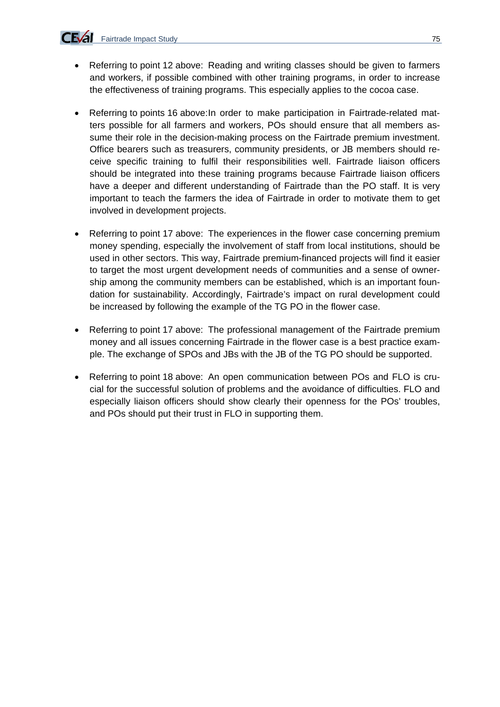

- Referring to point 12 above: Reading and writing classes should be given to farmers and workers, if possible combined with other training programs, in order to increase the effectiveness of training programs. This especially applies to the cocoa case.
- Referring to points 16 above: In order to make participation in Fairtrade-related matters possible for all farmers and workers, POs should ensure that all members assume their role in the decision-making process on the Fairtrade premium investment. Office bearers such as treasurers, community presidents, or JB members should receive specific training to fulfil their responsibilities well. Fairtrade liaison officers should be integrated into these training programs because Fairtrade liaison officers have a deeper and different understanding of Fairtrade than the PO staff. It is very important to teach the farmers the idea of Fairtrade in order to motivate them to get involved in development projects.
- Referring to point 17 above: The experiences in the flower case concerning premium money spending, especially the involvement of staff from local institutions, should be used in other sectors. This way, Fairtrade premium-financed projects will find it easier to target the most urgent development needs of communities and a sense of ownership among the community members can be established, which is an important foundation for sustainability. Accordingly, Fairtrade's impact on rural development could be increased by following the example of the TG PO in the flower case.
- Referring to point 17 above: The professional management of the Fairtrade premium money and all issues concerning Fairtrade in the flower case is a best practice example. The exchange of SPOs and JBs with the JB of the TG PO should be supported.
- Referring to point 18 above: An open communication between POs and FLO is crucial for the successful solution of problems and the avoidance of difficulties. FLO and especially liaison officers should show clearly their openness for the POs' troubles, and POs should put their trust in FLO in supporting them.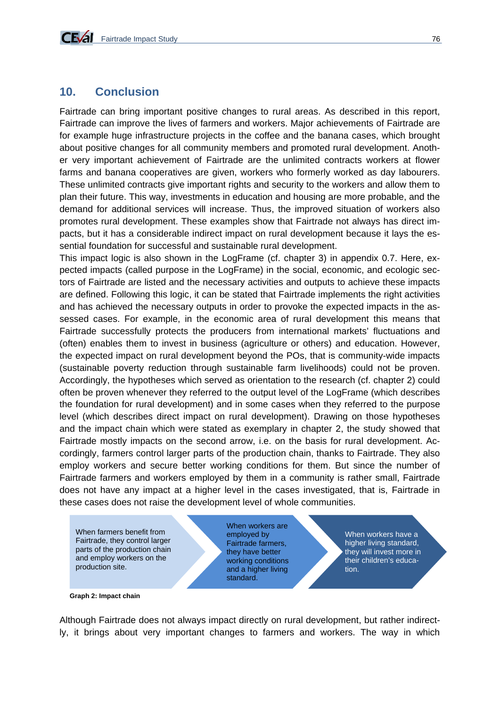# **10. Conclusion**

Fairtrade can bring important positive changes to rural areas. As described in this report, Fairtrade can improve the lives of farmers and workers. Major achievements of Fairtrade are for example huge infrastructure projects in the coffee and the banana cases, which brought about positive changes for all community members and promoted rural development. Another very important achievement of Fairtrade are the unlimited contracts workers at flower farms and banana cooperatives are given, workers who formerly worked as day labourers. These unlimited contracts give important rights and security to the workers and allow them to plan their future. This way, investments in education and housing are more probable, and the demand for additional services will increase. Thus, the improved situation of workers also promotes rural development. These examples show that Fairtrade not always has direct impacts, but it has a considerable indirect impact on rural development because it lays the essential foundation for successful and sustainable rural development.

This impact logic is also shown in the LogFrame (cf. chapter 3) in appendix 0.7. Here, expected impacts (called purpose in the LogFrame) in the social, economic, and ecologic sectors of Fairtrade are listed and the necessary activities and outputs to achieve these impacts are defined. Following this logic, it can be stated that Fairtrade implements the right activities and has achieved the necessary outputs in order to provoke the expected impacts in the assessed cases. For example, in the economic area of rural development this means that Fairtrade successfully protects the producers from international markets' fluctuations and (often) enables them to invest in business (agriculture or others) and education. However, the expected impact on rural development beyond the POs, that is community-wide impacts (sustainable poverty reduction through sustainable farm livelihoods) could not be proven. Accordingly, the hypotheses which served as orientation to the research (cf. chapter 2) could often be proven whenever they referred to the output level of the LogFrame (which describes the foundation for rural development) and in some cases when they referred to the purpose level (which describes direct impact on rural development). Drawing on those hypotheses and the impact chain which were stated as exemplary in chapter 2, the study showed that Fairtrade mostly impacts on the second arrow, i.e. on the basis for rural development. Accordingly, farmers control larger parts of the production chain, thanks to Fairtrade. They also employ workers and secure better working conditions for them. But since the number of Fairtrade farmers and workers employed by them in a community is rather small, Fairtrade does not have any impact at a higher level in the cases investigated, that is, Fairtrade in these cases does not raise the development level of whole communities.

When farmers benefit from Fairtrade, they control larger parts of the production chain and employ workers on the production site.

When workers are employed by Fairtrade farmers, they have better working conditions and a higher living standard.

When workers have a higher living standard, they will invest more in their children's education.

**Graph 2: Impact chain** 

Although Fairtrade does not always impact directly on rural development, but rather indirectly, it brings about very important changes to farmers and workers. The way in which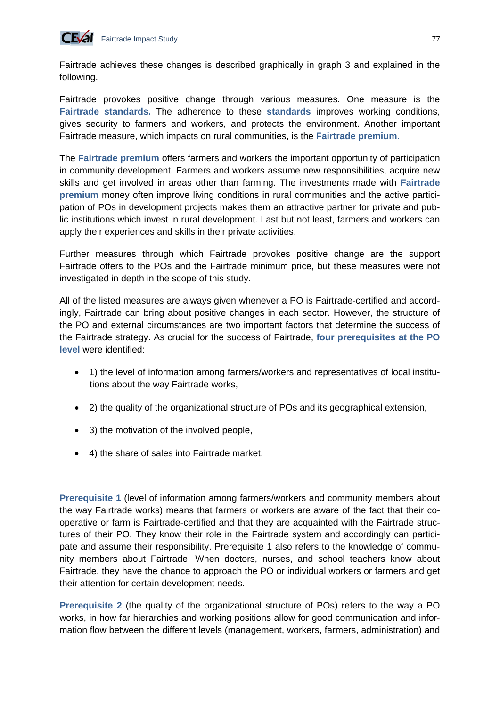

Fairtrade achieves these changes is described graphically in graph 3 and explained in the following.

Fairtrade provokes positive change through various measures. One measure is the **Fairtrade standards.** The adherence to these **standards** improves working conditions, gives security to farmers and workers, and protects the environment. Another important Fairtrade measure, which impacts on rural communities, is the **Fairtrade premium.** 

The **Fairtrade premium** offers farmers and workers the important opportunity of participation in community development. Farmers and workers assume new responsibilities, acquire new skills and get involved in areas other than farming. The investments made with **Fairtrade premium** money often improve living conditions in rural communities and the active participation of POs in development projects makes them an attractive partner for private and public institutions which invest in rural development. Last but not least, farmers and workers can apply their experiences and skills in their private activities.

Further measures through which Fairtrade provokes positive change are the support Fairtrade offers to the POs and the Fairtrade minimum price, but these measures were not investigated in depth in the scope of this study.

All of the listed measures are always given whenever a PO is Fairtrade-certified and accordingly, Fairtrade can bring about positive changes in each sector. However, the structure of the PO and external circumstances are two important factors that determine the success of the Fairtrade strategy. As crucial for the success of Fairtrade, **four prerequisites at the PO level** were identified:

- 1) the level of information among farmers/workers and representatives of local institutions about the way Fairtrade works,
- 2) the quality of the organizational structure of POs and its geographical extension,
- 3) the motivation of the involved people,
- 4) the share of sales into Fairtrade market.

**Prerequisite 1** (level of information among farmers/workers and community members about the way Fairtrade works) means that farmers or workers are aware of the fact that their cooperative or farm is Fairtrade-certified and that they are acquainted with the Fairtrade structures of their PO. They know their role in the Fairtrade system and accordingly can participate and assume their responsibility. Prerequisite 1 also refers to the knowledge of community members about Fairtrade. When doctors, nurses, and school teachers know about Fairtrade, they have the chance to approach the PO or individual workers or farmers and get their attention for certain development needs.

**Prerequisite 2** (the quality of the organizational structure of POs) refers to the way a PO works, in how far hierarchies and working positions allow for good communication and information flow between the different levels (management, workers, farmers, administration) and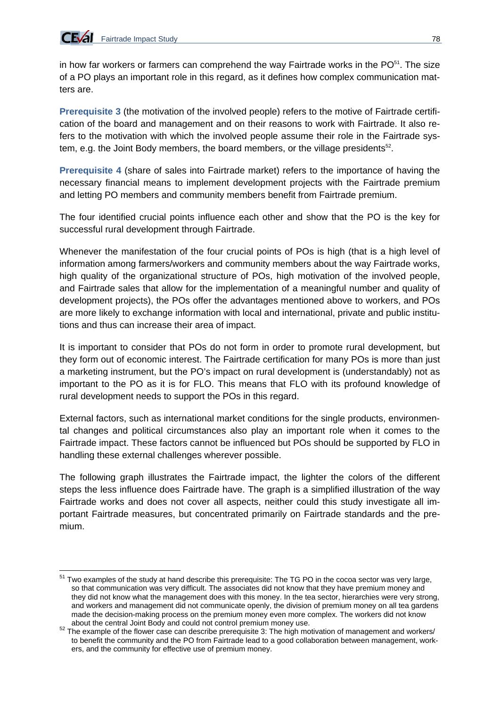in how far workers or farmers can comprehend the way Fairtrade works in the  $PO<sup>51</sup>$ . The size of a PO plays an important role in this regard, as it defines how complex communication matters are.

**Prerequisite 3** (the motivation of the involved people) refers to the motive of Fairtrade certification of the board and management and on their reasons to work with Fairtrade. It also refers to the motivation with which the involved people assume their role in the Fairtrade system, e.g. the Joint Body members, the board members, or the village presidents<sup>52</sup>.

**Prerequisite 4** (share of sales into Fairtrade market) refers to the importance of having the necessary financial means to implement development projects with the Fairtrade premium and letting PO members and community members benefit from Fairtrade premium.

The four identified crucial points influence each other and show that the PO is the key for successful rural development through Fairtrade.

Whenever the manifestation of the four crucial points of POs is high (that is a high level of information among farmers/workers and community members about the way Fairtrade works, high quality of the organizational structure of POs, high motivation of the involved people, and Fairtrade sales that allow for the implementation of a meaningful number and quality of development projects), the POs offer the advantages mentioned above to workers, and POs are more likely to exchange information with local and international, private and public institutions and thus can increase their area of impact.

It is important to consider that POs do not form in order to promote rural development, but they form out of economic interest. The Fairtrade certification for many POs is more than just a marketing instrument, but the PO's impact on rural development is (understandably) not as important to the PO as it is for FLO. This means that FLO with its profound knowledge of rural development needs to support the POs in this regard.

External factors, such as international market conditions for the single products, environmental changes and political circumstances also play an important role when it comes to the Fairtrade impact. These factors cannot be influenced but POs should be supported by FLO in handling these external challenges wherever possible.

The following graph illustrates the Fairtrade impact, the lighter the colors of the different steps the less influence does Fairtrade have. The graph is a simplified illustration of the way Fairtrade works and does not cover all aspects, neither could this study investigate all important Fairtrade measures, but concentrated primarily on Fairtrade standards and the premium.

<sup>1</sup> <sup>51</sup> Two examples of the study at hand describe this prerequisite: The TG PO in the cocoa sector was very large, so that communication was very difficult. The associates did not know that they have premium money and they did not know what the management does with this money. In the tea sector, hierarchies were very strong, and workers and management did not communicate openly, the division of premium money on all tea gardens made the decision-making process on the premium money even more complex. The workers did not know about the central Joint Body and could not control premium money use.

about the central Joint Body and control premium money use. The high motivation of management and workers/ to benefit the community and the PO from Fairtrade lead to a good collaboration between management, workers, and the community for effective use of premium money.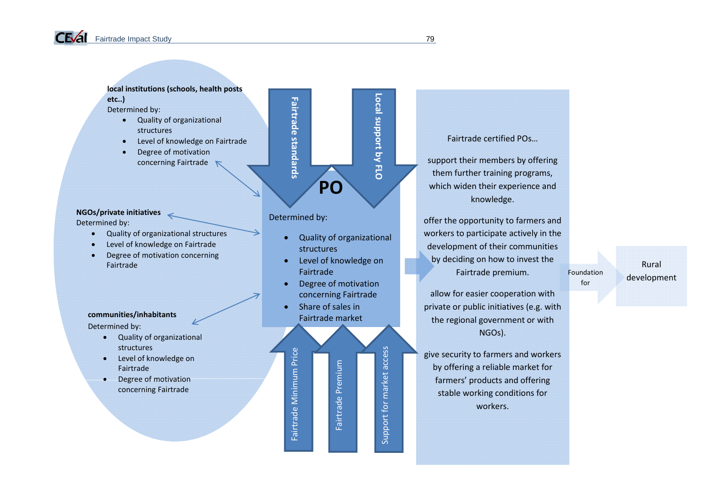**local institutions (schools, health posts etc..)**

Determined by:

- $\bullet$  Quality of organizational structures
- O Level of knowledge on Fairtrade
- O Degree of motivation concerning Fairtrade

#### **NGOs/private initiatives** Determined by:

- $\bullet$ Quality of organizational structures
- $\bullet$ Level of knowledge on Fairtrade
- $\bullet$  Degree of motivation concerning Fairtrade

# **communities/inhabitants**

Determined by:

- Quality of organizational structures
- Level of knowledge on Fairtrade
- $\bullet$  Degree of motivation concerning Fairtrade

# **Local support by FLO**

#### Determined by:

**Fairtrade**

**standards**

- $\bullet$  Quality of organizational structures
- 0 Level of knowledge on Fairtrade

**PO**

- $\bullet$  Degree of motivation concerning Fairtrade
- $\bullet$ • Share of sales in Fairtrade market

Fairtrade Premium Fairtrade Premium

Fairtrade Minimum Price

Fairtrade Minimum Price

Support for market access Support for market access

Fairtrade certified POs…

support their members by offering them further training programs, which widen their experience and knowledge.

offer the opportunity to farmers and workers to participate actively in the development of their communities by deciding on how to invest the Fairtrade premium.

allow for easier cooperation with private or public initiatives (e.g. with the regional government or with NGOs).

give security to farmers and workers by offering <sup>a</sup> reliable market for farmers' products and offering stable working conditions for workers.

RuralFoundation development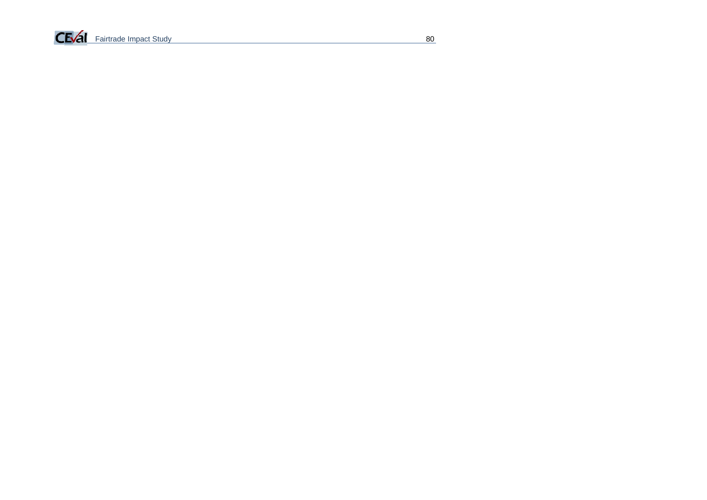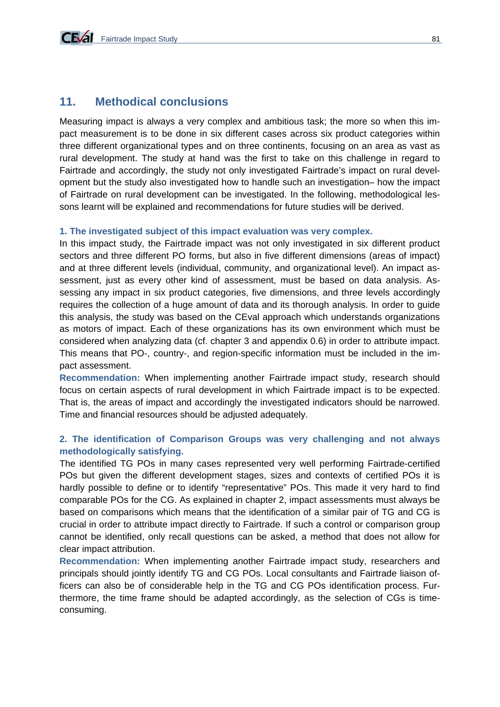# **11. Methodical conclusions**

Measuring impact is always a very complex and ambitious task; the more so when this impact measurement is to be done in six different cases across six product categories within three different organizational types and on three continents, focusing on an area as vast as rural development. The study at hand was the first to take on this challenge in regard to Fairtrade and accordingly, the study not only investigated Fairtrade's impact on rural development but the study also investigated how to handle such an investigation– how the impact of Fairtrade on rural development can be investigated. In the following, methodological lessons learnt will be explained and recommendations for future studies will be derived.

## **1. The investigated subject of this impact evaluation was very complex.**

In this impact study, the Fairtrade impact was not only investigated in six different product sectors and three different PO forms, but also in five different dimensions (areas of impact) and at three different levels (individual, community, and organizational level). An impact assessment, just as every other kind of assessment, must be based on data analysis. Assessing any impact in six product categories, five dimensions, and three levels accordingly requires the collection of a huge amount of data and its thorough analysis. In order to guide this analysis, the study was based on the CEval approach which understands organizations as motors of impact. Each of these organizations has its own environment which must be considered when analyzing data (cf. chapter 3 and appendix 0.6) in order to attribute impact. This means that PO-, country-, and region-specific information must be included in the impact assessment.

**Recommendation:** When implementing another Fairtrade impact study, research should focus on certain aspects of rural development in which Fairtrade impact is to be expected. That is, the areas of impact and accordingly the investigated indicators should be narrowed. Time and financial resources should be adjusted adequately.

## **2. The identification of Comparison Groups was very challenging and not always methodologically satisfying.**

The identified TG POs in many cases represented very well performing Fairtrade-certified POs but given the different development stages, sizes and contexts of certified POs it is hardly possible to define or to identify "representative" POs. This made it very hard to find comparable POs for the CG. As explained in chapter 2, impact assessments must always be based on comparisons which means that the identification of a similar pair of TG and CG is crucial in order to attribute impact directly to Fairtrade. If such a control or comparison group cannot be identified, only recall questions can be asked, a method that does not allow for clear impact attribution.

**Recommendation:** When implementing another Fairtrade impact study, researchers and principals should jointly identify TG and CG POs. Local consultants and Fairtrade liaison officers can also be of considerable help in the TG and CG POs identification process. Furthermore, the time frame should be adapted accordingly, as the selection of CGs is timeconsuming.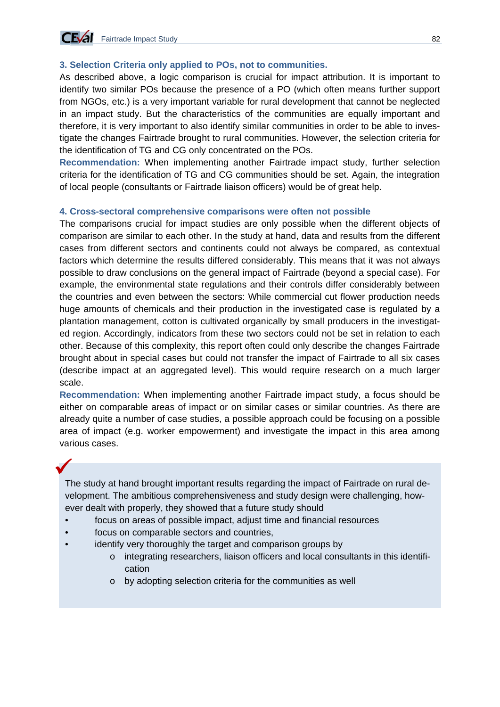

## **3. Selection Criteria only applied to POs, not to communities.**

As described above, a logic comparison is crucial for impact attribution. It is important to identify two similar POs because the presence of a PO (which often means further support from NGOs, etc.) is a very important variable for rural development that cannot be neglected in an impact study. But the characteristics of the communities are equally important and therefore, it is very important to also identify similar communities in order to be able to investigate the changes Fairtrade brought to rural communities. However, the selection criteria for the identification of TG and CG only concentrated on the POs.

**Recommendation:** When implementing another Fairtrade impact study, further selection criteria for the identification of TG and CG communities should be set. Again, the integration of local people (consultants or Fairtrade liaison officers) would be of great help.

### **4. Cross-sectoral comprehensive comparisons were often not possible**

The comparisons crucial for impact studies are only possible when the different objects of comparison are similar to each other. In the study at hand, data and results from the different cases from different sectors and continents could not always be compared, as contextual factors which determine the results differed considerably. This means that it was not always possible to draw conclusions on the general impact of Fairtrade (beyond a special case). For example, the environmental state regulations and their controls differ considerably between the countries and even between the sectors: While commercial cut flower production needs huge amounts of chemicals and their production in the investigated case is regulated by a plantation management, cotton is cultivated organically by small producers in the investigated region. Accordingly, indicators from these two sectors could not be set in relation to each other. Because of this complexity, this report often could only describe the changes Fairtrade brought about in special cases but could not transfer the impact of Fairtrade to all six cases (describe impact at an aggregated level). This would require research on a much larger scale.

**Recommendation:** When implementing another Fairtrade impact study, a focus should be either on comparable areas of impact or on similar cases or similar countries. As there are already quite a number of case studies, a possible approach could be focusing on a possible area of impact (e.g. worker empowerment) and investigate the impact in this area among various cases.

The study at hand brought important results regarding the impact of Fairtrade on rural development. The ambitious comprehensiveness and study design were challenging, however dealt with properly, they showed that a future study should  $\checkmark$ 

- focus on areas of possible impact, adjust time and financial resources
- focus on comparable sectors and countries,
- identify very thoroughly the target and comparison groups by
	- o integrating researchers, liaison officers and local consultants in this identification
	- o by adopting selection criteria for the communities as well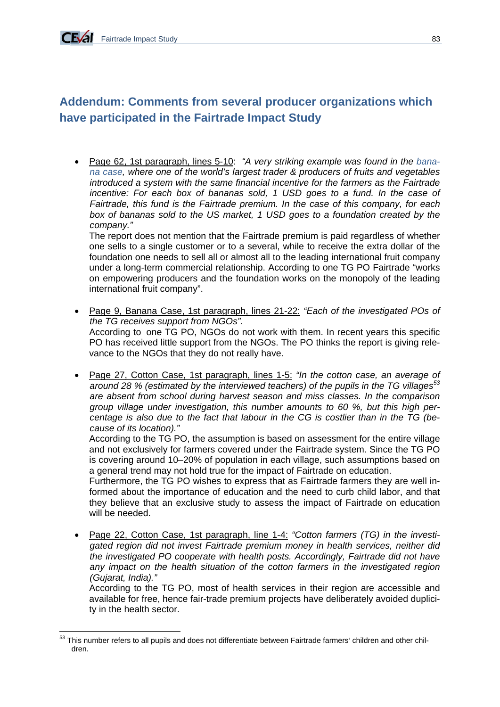# **Addendum: Comments from several producer organizations which have participated in the Fairtrade Impact Study**

 Page 62, 1st paragraph, lines 5-10: *"A very striking example was found in the banana case, where one of the world's largest trader & producers of fruits and vegetables introduced a system with the same financial incentive for the farmers as the Fairtrade*  incentive: For each box of bananas sold, 1 USD goes to a fund. In the case of *Fairtrade, this fund is the Fairtrade premium. In the case of this company, for each box of bananas sold to the US market, 1 USD goes to a foundation created by the company."* 

The report does not mention that the Fairtrade premium is paid regardless of whether one sells to a single customer or to a several, while to receive the extra dollar of the foundation one needs to sell all or almost all to the leading international fruit company under a long-term commercial relationship. According to one TG PO Fairtrade "works on empowering producers and the foundation works on the monopoly of the leading international fruit company".

- Page 9, Banana Case, 1st paragraph, lines 21-22: *"Each of the investigated POs of the TG receives support from NGOs".*  According to one TG PO, NGOs do not work with them. In recent years this specific PO has received little support from the NGOs. The PO thinks the report is giving relevance to the NGOs that they do not really have.
- Page 27, Cotton Case, 1st paragraph, lines 1-5: *"In the cotton case, an average of around 28 % (estimated by the interviewed teachers) of the pupils in the TG villages<sup>53</sup> are absent from school during harvest season and miss classes. In the comparison group village under investigation, this number amounts to 60 %, but this high percentage is also due to the fact that labour in the CG is costlier than in the TG (because of its location)."*

According to the TG PO, the assumption is based on assessment for the entire village and not exclusively for farmers covered under the Fairtrade system. Since the TG PO is covering around 10–20% of population in each village, such assumptions based on a general trend may not hold true for the impact of Fairtrade on education.

Furthermore, the TG PO wishes to express that as Fairtrade farmers they are well informed about the importance of education and the need to curb child labor, and that they believe that an exclusive study to assess the impact of Fairtrade on education will be needed.

 Page 22, Cotton Case, 1st paragraph, line 1-4: *"Cotton farmers (TG) in the investigated region did not invest Fairtrade premium money in health services, neither did the investigated PO cooperate with health posts. Accordingly, Fairtrade did not have any impact on the health situation of the cotton farmers in the investigated region (Gujarat, India)."*

According to the TG PO, most of health services in their region are accessible and available for free, hence fair-trade premium projects have deliberately avoided duplicity in the health sector.

<sup>1</sup>  $53$  This number refers to all pupils and does not differentiate between Fairtrade farmers' children and other children.